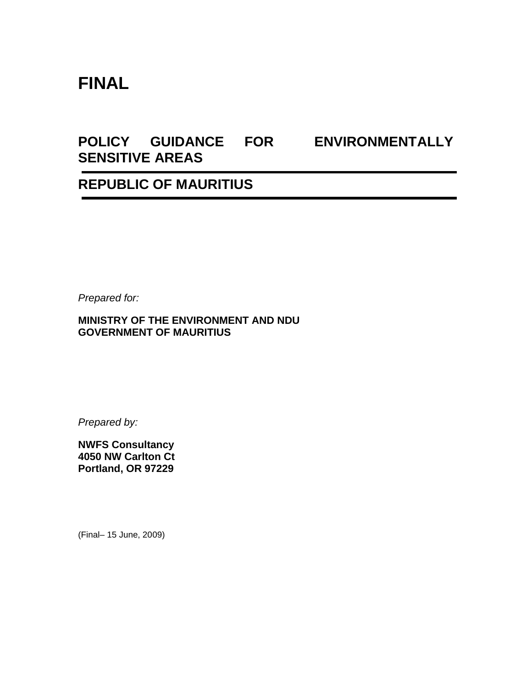# **FINAL**

# **POLICY GUIDANCE FOR ENVIRONMENTALLY SENSITIVE AREAS**

## **REPUBLIC OF MAURITIUS**

*Prepared for:* 

#### **MINISTRY OF THE ENVIRONMENT AND NDU GOVERNMENT OF MAURITIUS**

*Prepared by:* 

**NWFS Consultancy 4050 NW Carlton Ct Portland, OR 97229** 

(Final– 15 June, 2009)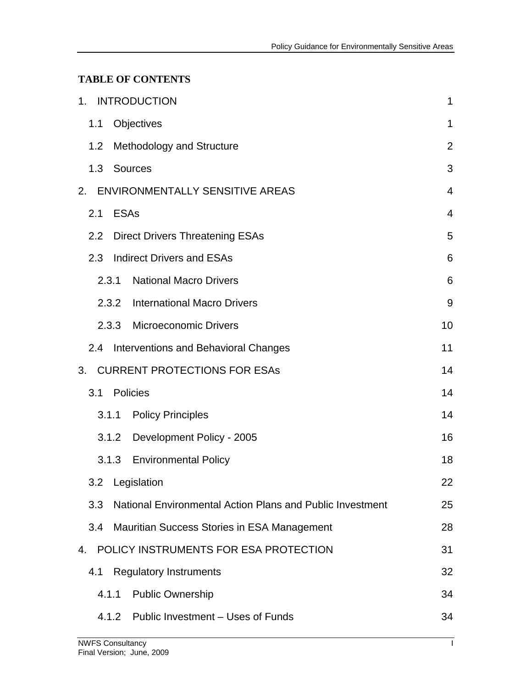### **TABLE OF CONTENTS**

| 1. INTRODUCTION                                                  | $\mathbf 1$    |
|------------------------------------------------------------------|----------------|
| Objectives<br>1.1                                                | $\mathbf{1}$   |
| 1.2<br><b>Methodology and Structure</b>                          | $\overline{2}$ |
| 1.3 Sources                                                      | 3              |
| ENVIRONMENTALLY SENSITIVE AREAS<br>2.                            | $\overline{4}$ |
| <b>ESAs</b><br>2.1                                               | $\overline{4}$ |
| 2.2<br><b>Direct Drivers Threatening ESAs</b>                    | 5              |
| 2.3<br><b>Indirect Drivers and ESAs</b>                          | 6              |
| 2.3.1<br><b>National Macro Drivers</b>                           | 6              |
| 2.3.2<br><b>International Macro Drivers</b>                      | 9              |
| 2.3.3<br><b>Microeconomic Drivers</b>                            | 10             |
| Interventions and Behavioral Changes<br>2.4                      | 11             |
| <b>CURRENT PROTECTIONS FOR ESAS</b><br>3.                        | 14             |
| Policies<br>3.1                                                  | 14             |
| 3.1.1<br><b>Policy Principles</b>                                | 14             |
| Development Policy - 2005<br>3.1.2                               | 16             |
| <b>Environmental Policy</b><br>3.1.3                             | 18             |
| 3.2 Legislation                                                  | 22             |
| 3.3<br>National Environmental Action Plans and Public Investment | 25             |
| 3.4<br>Mauritian Success Stories in ESA Management               | 28             |
| POLICY INSTRUMENTS FOR ESA PROTECTION<br>4.                      | 31             |
| <b>Regulatory Instruments</b><br>4.1                             | 32             |
| <b>Public Ownership</b><br>4.1.1                                 | 34             |
| 4.1.2 Public Investment – Uses of Funds                          | 34             |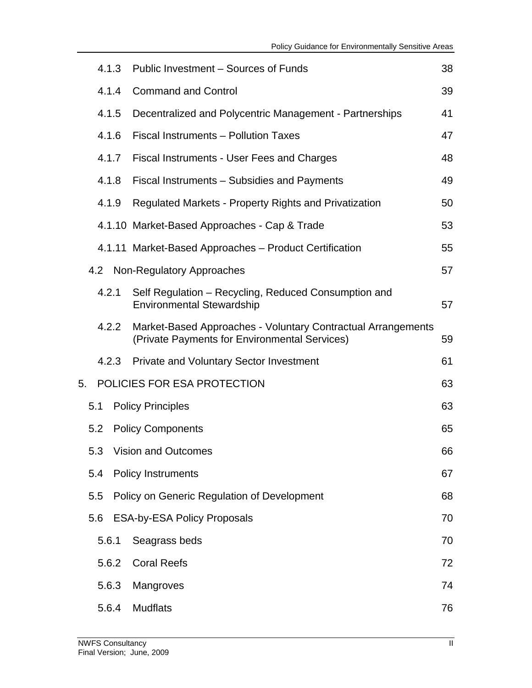|    |     | 4.1.3 | Public Investment - Sources of Funds                                                                          | 38 |
|----|-----|-------|---------------------------------------------------------------------------------------------------------------|----|
|    |     | 4.1.4 | <b>Command and Control</b>                                                                                    | 39 |
|    |     | 4.1.5 | Decentralized and Polycentric Management - Partnerships                                                       | 41 |
|    |     | 4.1.6 | Fiscal Instruments - Pollution Taxes                                                                          | 47 |
|    |     | 4.1.7 | <b>Fiscal Instruments - User Fees and Charges</b>                                                             | 48 |
|    |     | 4.1.8 | Fiscal Instruments - Subsidies and Payments                                                                   | 49 |
|    |     | 4.1.9 | Regulated Markets - Property Rights and Privatization                                                         | 50 |
|    |     |       | 4.1.10 Market-Based Approaches - Cap & Trade                                                                  | 53 |
|    |     |       | 4.1.11 Market-Based Approaches - Product Certification                                                        | 55 |
|    |     |       | 4.2 Non-Regulatory Approaches                                                                                 | 57 |
|    |     | 4.2.1 | Self Regulation – Recycling, Reduced Consumption and<br><b>Environmental Stewardship</b>                      | 57 |
|    |     | 4.2.2 | Market-Based Approaches - Voluntary Contractual Arrangements<br>(Private Payments for Environmental Services) | 59 |
|    |     | 4.2.3 | <b>Private and Voluntary Sector Investment</b>                                                                | 61 |
| 5. |     |       | POLICIES FOR ESA PROTECTION                                                                                   | 63 |
|    | 5.1 |       | <b>Policy Principles</b>                                                                                      | 63 |
|    |     | 5.2   | <b>Policy Components</b>                                                                                      | 65 |
|    |     |       | 5.3 Vision and Outcomes                                                                                       | 66 |
|    | 5.4 |       | <b>Policy Instruments</b>                                                                                     | 67 |
|    | 5.5 |       | Policy on Generic Regulation of Development                                                                   | 68 |
|    |     | 5.6   | <b>ESA-by-ESA Policy Proposals</b>                                                                            | 70 |
|    |     | 5.6.1 | Seagrass beds                                                                                                 | 70 |
|    |     | 5.6.2 | <b>Coral Reefs</b>                                                                                            | 72 |
|    |     | 5.6.3 | Mangroves                                                                                                     | 74 |
|    |     | 5.6.4 | <b>Mudflats</b>                                                                                               | 76 |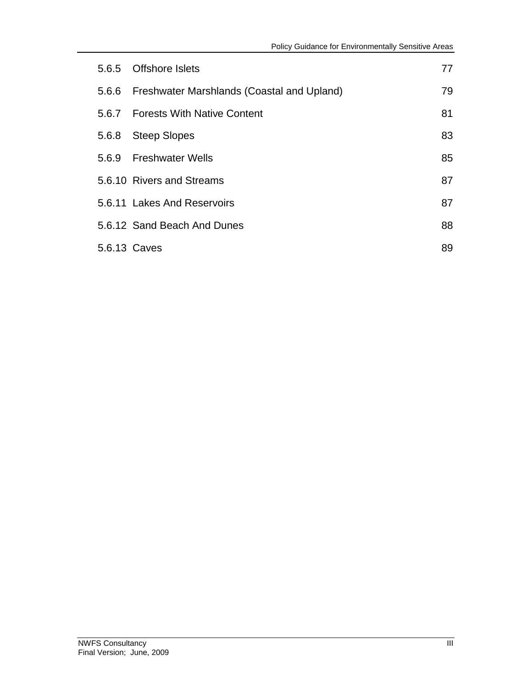| 5.6.5        | <b>Offshore Islets</b>                     | 77 |
|--------------|--------------------------------------------|----|
| 5.6.6        | Freshwater Marshlands (Coastal and Upland) | 79 |
|              | 5.6.7 Forests With Native Content          | 81 |
| 5.6.8        | <b>Steep Slopes</b>                        | 83 |
|              | 5.6.9 Freshwater Wells                     | 85 |
|              | 5.6.10 Rivers and Streams                  | 87 |
|              | 5.6.11 Lakes And Reservoirs                | 87 |
|              | 5.6.12 Sand Beach And Dunes                | 88 |
| 5.6.13 Caves |                                            | 89 |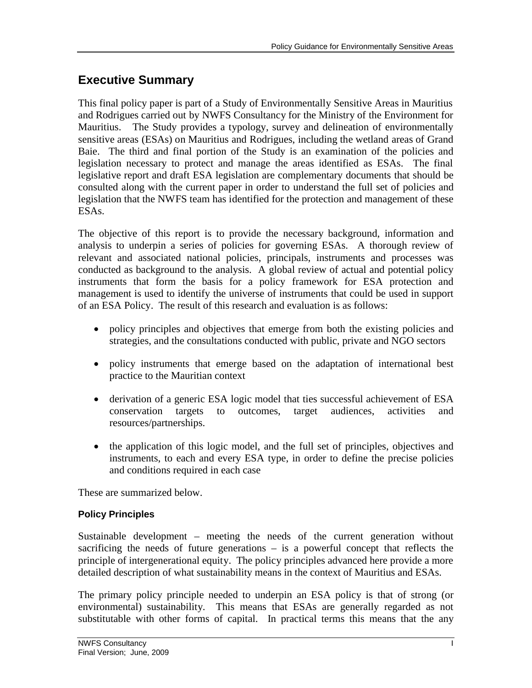## **Executive Summary**

legislation necessary to protect and manage the areas identified as ESAs. The final This final policy paper is part of a Study of Environmentally Sensitive Areas in Mauritius and Rodrigues carried out by NWFS Consultancy for the Ministry of the Environment for Mauritius. The Study provides a typology, survey and delineation of environmentally sensitive areas (ESAs) on Mauritius and Rodrigues, including the wetland areas of Grand Baie. The third and final portion of the Study is an examination of the policies and legislative report and draft ESA legislation are complementary documents that should be consulted along with the current paper in order to understand the full set of policies and legislation that the NWFS team has identified for the protection and management of these ESAs.

The objective of this report is to provide the necessary background, information and analysis to underpin a series of policies for governing ESAs. A thorough review of relevant and associated national policies, principals, instruments and processes was conducted as background to the analysis. A global review of actual and potential policy instruments that form the basis for a policy framework for ESA protection and management is used to identify the universe of instruments that could be used in support of an ESA Policy. The result of this research and evaluation is as follows:

- policy principles and objectives that emerge from both the existing policies and strategies, and the consultations conducted with public, private and NGO sectors
- policy instruments that emerge based on the adaptation of international best practice to the Mauritian context
- derivation of a generic ESA logic model that ties successful achievement of ESA conservation targets to outcomes, target audiences, activities and resources/partnerships.
- the application of this logic model, and the full set of principles, objectives and instruments, to each and every ESA type, in order to define the precise policies and conditions required in each case

These are summarized below.

### **Policy Principles**

Sustainable development – meeting the needs of the current generation without sacrificing the needs of future generations – is a powerful concept that reflects the principle of intergenerational equity. The policy principles advanced here provide a more detailed description of what sustainability means in the context of Mauritius and ESAs.

The primary policy principle needed to underpin an ESA policy is that of strong (or environmental) sustainability. This means that ESAs are generally regarded as not substitutable with other forms of capital. In practical terms this means that the any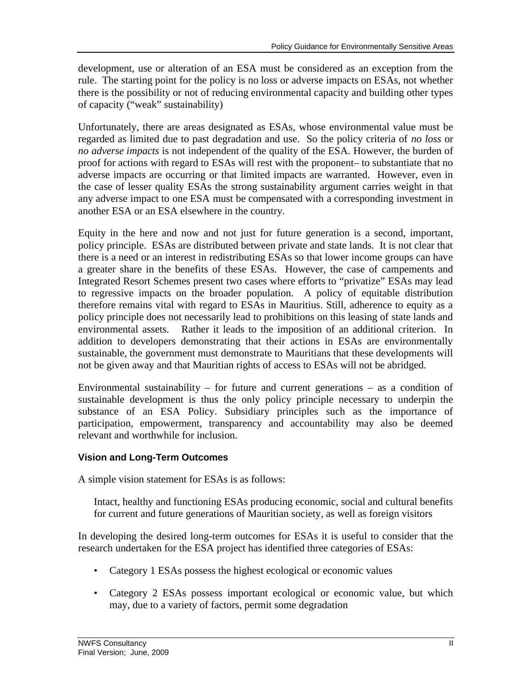development, use or alteration of an ESA must be considered as an exception from the rule. The starting point for the policy is no loss or adverse impacts on ESAs, not whether there is the possibility or not of reducing environmental capacity and building other types of capacity ("weak" sustainability)

Unfortunately, there are areas designated as ESAs, whose environmental value must be regarded as limited due to past degradation and use. So the policy criteria of *no loss* or *no adverse impacts* is not independent of the quality of the ESA. However, the burden of proof for actions with regard to ESAs will rest with the proponent– to substantiate that no adverse impacts are occurring or that limited impacts are warranted. However, even in the case of lesser quality ESAs the strong sustainability argument carries weight in that any adverse impact to one ESA must be compensated with a corresponding investment in another ESA or an ESA elsewhere in the country.

Equity in the here and now and not just for future generation is a second, important, policy principle. ESAs are distributed between private and state lands. It is not clear that there is a need or an interest in redistributing ESAs so that lower income groups can have a greater share in the benefits of these ESAs. However, the case of campements and Integrated Resort Schemes present two cases where efforts to "privatize" ESAs may lead to regressive impacts on the broader population. A policy of equitable distribution therefore remains vital with regard to ESAs in Mauritius. Still, adherence to equity as a policy principle does not necessarily lead to prohibitions on this leasing of state lands and environmental assets. Rather it leads to the imposition of an additional criterion. In addition to developers demonstrating that their actions in ESAs are environmentally sustainable, the government must demonstrate to Mauritians that these developments will not be given away and that Mauritian rights of access to ESAs will not be abridged.

Environmental sustainability – for future and current generations – as a condition of sustainable development is thus the only policy principle necessary to underpin the substance of an ESA Policy. Subsidiary principles such as the importance of participation, empowerment, transparency and accountability may also be deemed relevant and worthwhile for inclusion.

### **Vision and Long-Term Outcomes**

A simple vision statement for ESAs is as follows:

Intact, healthy and functioning ESAs producing economic, social and cultural benefits for current and future generations of Mauritian society, as well as foreign visitors

In developing the desired long-term outcomes for ESAs it is useful to consider that the research undertaken for the ESA project has identified three categories of ESAs:

- Category 1 ESAs possess the highest ecological or economic values
- Category 2 ESAs possess important ecological or economic value, but which may, due to a variety of factors, permit some degradation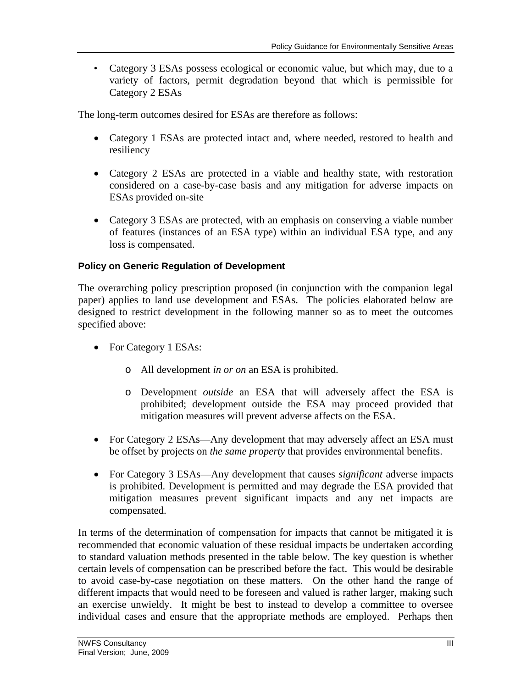• Category 3 ESAs possess ecological or economic value, but which may, due to a variety of factors, permit degradation beyond that which is permissible for Category 2 ESAs

The long-term outcomes desired for ESAs are therefore as follows:

- Category 1 ESAs are protected intact and, where needed, restored to health and resiliency
- Category 2 ESAs are protected in a viable and healthy state, with restoration considered on a case-by-case basis and any mitigation for adverse impacts on ESAs provided on-site
- Category 3 ESAs are protected, with an emphasis on conserving a viable number of features (instances of an ESA type) within an individual ESA type, and any loss is compensated.

#### **Policy on Generic Regulation of Development**

The overarching policy prescription proposed (in conjunction with the companion legal paper) applies to land use development and ESAs. The policies elaborated below are designed to restrict development in the following manner so as to meet the outcomes specified above:

- For Category 1 ESAs:
	- o All development *in or on* an ESA is prohibited.
	- o Development *outside* an ESA that will adversely affect the ESA is prohibited; development outside the ESA may proceed provided that mitigation measures will prevent adverse affects on the ESA.
- For Category 2 ESAs—Any development that may adversely affect an ESA must be offset by projects on *the same property* that provides environmental benefits.
- For Category 3 ESAs—Any development that causes *significant* adverse impacts is prohibited. Development is permitted and may degrade the ESA provided that mitigation measures prevent significant impacts and any net impacts are compensated.

In terms of the determination of compensation for impacts that cannot be mitigated it is recommended that economic valuation of these residual impacts be undertaken according to standard valuation methods presented in the table below. The key question is whether certain levels of compensation can be prescribed before the fact. This would be desirable to avoid case-by-case negotiation on these matters. On the other hand the range of different impacts that would need to be foreseen and valued is rather larger, making such an exercise unwieldy. It might be best to instead to develop a committee to oversee individual cases and ensure that the appropriate methods are employed. Perhaps then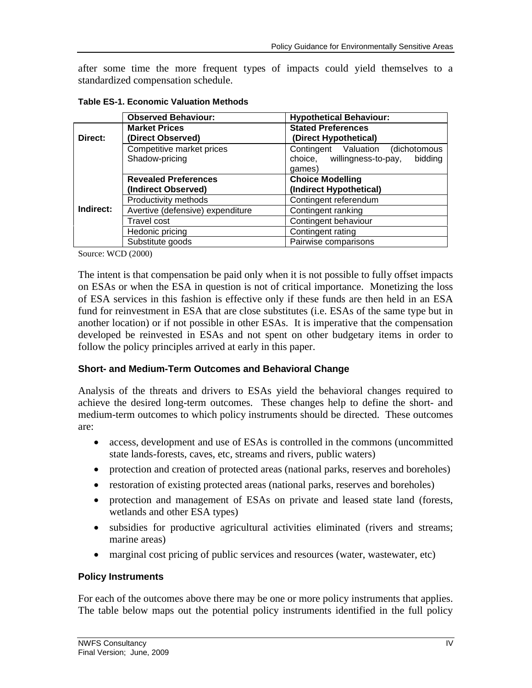after some time the more frequent types of impacts could yield themselves to a standardized compensation schedule.

|                     | <b>Observed Behaviour:</b>       | <b>Hypothetical Behaviour:</b>         |  |  |  |
|---------------------|----------------------------------|----------------------------------------|--|--|--|
|                     | <b>Market Prices</b>             | <b>Stated Preferences</b>              |  |  |  |
| Direct:             | (Direct Observed)                | (Direct Hypothetical)                  |  |  |  |
|                     | Competitive market prices        | Contingent Valuation (dichotomous      |  |  |  |
|                     | Shadow-pricing                   | choice, willingness-to-pay,<br>bidding |  |  |  |
|                     |                                  | games)                                 |  |  |  |
|                     | <b>Revealed Preferences</b>      | <b>Choice Modelling</b>                |  |  |  |
| (Indirect Observed) |                                  | (Indirect Hypothetical)                |  |  |  |
|                     | Productivity methods             | Contingent referendum                  |  |  |  |
| Indirect:           | Avertive (defensive) expenditure | Contingent ranking                     |  |  |  |
|                     | Travel cost                      | Contingent behaviour                   |  |  |  |
|                     | Hedonic pricing                  | Contingent rating                      |  |  |  |
|                     | Substitute goods                 | Pairwise comparisons                   |  |  |  |

**Table ES-1. Economic Valuation Methods**

Source: WCD (2000)

The intent is that compensation be paid only when it is not possible to fully offset impacts on ESAs or when the ESA in question is not of critical importance. Monetizing the loss of ESA services in this fashion is effective only if these funds are then held in an ESA fund for reinvestment in ESA that are close substitutes (i.e. ESAs of the same type but in another location) or if not possible in other ESAs. It is imperative that the compensation developed be reinvested in ESAs and not spent on other budgetary items in order to follow the policy principles arrived at early in this paper.

#### **Short- and Medium-Term Outcomes and Behavioral Change**

Analysis of the threats and drivers to ESAs yield the behavioral changes required to achieve the desired long-term outcomes. These changes help to define the short- and medium-term outcomes to which policy instruments should be directed. These outcomes are:

- access, development and use of ESAs is controlled in the commons (uncommitted state lands-forests, caves, etc, streams and rivers, public waters)
- protection and creation of protected areas (national parks, reserves and boreholes)
- restoration of existing protected areas (national parks, reserves and boreholes)
- protection and management of ESAs on private and leased state land (forests, wetlands and other ESA types)
- subsidies for productive agricultural activities eliminated (rivers and streams; marine areas)
- marginal cost pricing of public services and resources (water, wastewater, etc)

#### **Policy Instruments**

For each of the outcomes above there may be one or more policy instruments that applies. The table below maps out the potential policy instruments identified in the full policy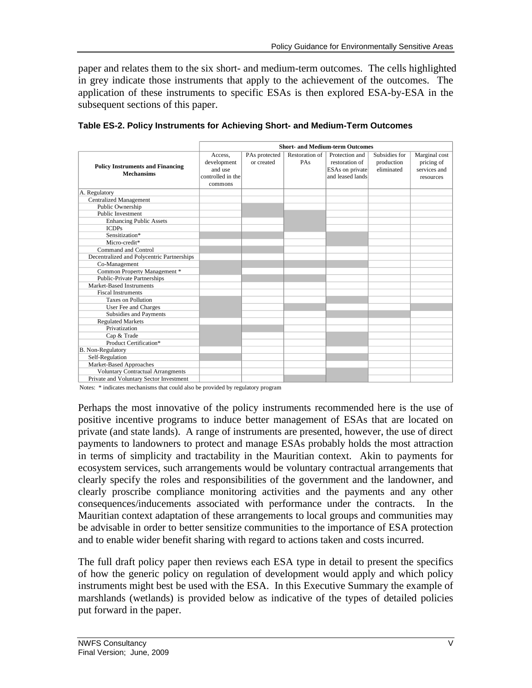subsequent sections of this paper. paper and relates them to the six short- and medium-term outcomes. The cells highlighted in grey indicate those instruments that apply to the achievement of the outcomes. The application of these instruments to specific ESAs is then explored ESA-by-ESA in the

|                                                              | <b>Short- and Medium-term Outcomes</b>                            |                             |                       |                                                                         |                                           |                                                          |
|--------------------------------------------------------------|-------------------------------------------------------------------|-----------------------------|-----------------------|-------------------------------------------------------------------------|-------------------------------------------|----------------------------------------------------------|
| <b>Policy Instruments and Financing</b><br><b>Mechansims</b> | Access,<br>development<br>and use<br>controlled in the<br>commons | PAs protected<br>or created | Restoration of<br>PAs | Protection and<br>restoration of<br>ESAs on private<br>and leased lands | Subsidies for<br>production<br>eliminated | Marginal cost<br>pricing of<br>services and<br>resources |
| A. Regulatory                                                |                                                                   |                             |                       |                                                                         |                                           |                                                          |
| <b>Centralized Management</b>                                |                                                                   |                             |                       |                                                                         |                                           |                                                          |
| Public Ownership                                             |                                                                   |                             |                       |                                                                         |                                           |                                                          |
| <b>Public Investment</b>                                     |                                                                   |                             |                       |                                                                         |                                           |                                                          |
| <b>Enhancing Public Assets</b>                               |                                                                   |                             |                       |                                                                         |                                           |                                                          |
| <b>ICDPs</b>                                                 |                                                                   |                             |                       |                                                                         |                                           |                                                          |
| Sensitization*                                               |                                                                   |                             |                       |                                                                         |                                           |                                                          |
| Micro-credit*                                                |                                                                   |                             |                       |                                                                         |                                           |                                                          |
| Command and Control                                          |                                                                   |                             |                       |                                                                         |                                           |                                                          |
| Decentralized and Polycentric Partnerships                   |                                                                   |                             |                       |                                                                         |                                           |                                                          |
| Co-Management                                                |                                                                   |                             |                       |                                                                         |                                           |                                                          |
| Common Property Management *                                 |                                                                   |                             |                       |                                                                         |                                           |                                                          |
| <b>Public-Private Partnerships</b>                           |                                                                   |                             |                       |                                                                         |                                           |                                                          |
| Market-Based Instruments                                     |                                                                   |                             |                       |                                                                         |                                           |                                                          |
| <b>Fiscal Instruments</b>                                    |                                                                   |                             |                       |                                                                         |                                           |                                                          |
| <b>Taxes on Pollution</b>                                    |                                                                   |                             |                       |                                                                         |                                           |                                                          |
| User Fee and Charges                                         |                                                                   |                             |                       |                                                                         |                                           |                                                          |
| Subsidies and Payments                                       |                                                                   |                             |                       |                                                                         |                                           |                                                          |
| <b>Regulated Markets</b>                                     |                                                                   |                             |                       |                                                                         |                                           |                                                          |
| Privatization                                                |                                                                   |                             |                       |                                                                         |                                           |                                                          |
| Cap & Trade                                                  |                                                                   |                             |                       |                                                                         |                                           |                                                          |
| Product Certification*                                       |                                                                   |                             |                       |                                                                         |                                           |                                                          |
| <b>B.</b> Non-Regulatory                                     |                                                                   |                             |                       |                                                                         |                                           |                                                          |
| Self-Regulation                                              |                                                                   |                             |                       |                                                                         |                                           |                                                          |
| Market-Based Approaches                                      |                                                                   |                             |                       |                                                                         |                                           |                                                          |
| <b>Voluntary Contractual Arrangments</b>                     |                                                                   |                             |                       |                                                                         |                                           |                                                          |
| Private and Voluntary Sector Investment                      |                                                                   |                             |                       |                                                                         |                                           |                                                          |

**Table ES-2. Policy Instruments for Achieving Short- and Medium-Term Outcomes**

Notes: \* indicates mechanisms that could also be provided by regulatory program

Perhaps the most innovative of the policy instruments recommended here is the use of positive incentive programs to induce better management of ESAs that are located on private (and state lands). A range of instruments are presented, however, the use of direct payments to landowners to protect and manage ESAs probably holds the most attraction in terms of simplicity and tractability in the Mauritian context. Akin to payments for ecosystem services, such arrangements would be voluntary contractual arrangements that clearly specify the roles and responsibilities of the government and the landowner, and clearly proscribe compliance monitoring activities and the payments and any other consequences/inducements associated with performance under the contracts. In the Mauritian context adaptation of these arrangements to local groups and communities may be advisable in order to better sensitize communities to the importance of ESA protection and to enable wider benefit sharing with regard to actions taken and costs incurred.

The full draft policy paper then reviews each ESA type in detail to present the specifics of how the generic policy on regulation of development would apply and which policy instruments might best be used with the ESA. In this Executive Summary the example of marshlands (wetlands) is provided below as indicative of the types of detailed policies put forward in the paper.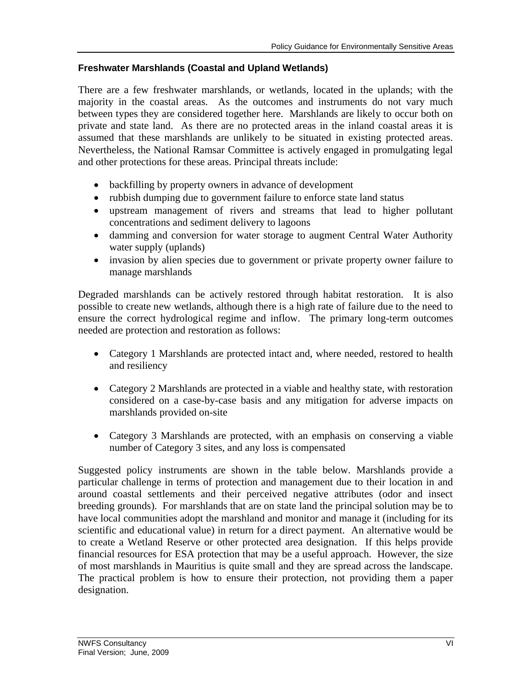#### **Freshwater Marshlands (Coastal and Upland Wetlands)**

There are a few freshwater marshlands, or wetlands, located in the uplands; with the majority in the coastal areas. As the outcomes and instruments do not vary much between types they are considered together here. Marshlands are likely to occur both on private and state land. As there are no protected areas in the inland coastal areas it is assumed that these marshlands are unlikely to be situated in existing protected areas. Nevertheless, the National Ramsar Committee is actively engaged in promulgating legal and other protections for these areas. Principal threats include:

- backfilling by property owners in advance of development
- rubbish dumping due to government failure to enforce state land status
- upstream management of rivers and streams that lead to higher pollutant concentrations and sediment delivery to lagoons
- damming and conversion for water storage to augment Central Water Authority water supply (uplands)
- invasion by alien species due to government or private property owner failure to manage marshlands

Degraded marshlands can be actively restored through habitat restoration. It is also possible to create new wetlands, although there is a high rate of failure due to the need to ensure the correct hydrological regime and inflow. The primary long-term outcomes needed are protection and restoration as follows:

- Category 1 Marshlands are protected intact and, where needed, restored to health and resiliency
- Category 2 Marshlands are protected in a viable and healthy state, with restoration considered on a case-by-case basis and any mitigation for adverse impacts on marshlands provided on-site
- Category 3 Marshlands are protected, with an emphasis on conserving a viable number of Category 3 sites, and any loss is compensated

Suggested policy instruments are shown in the table below. Marshlands provide a particular challenge in terms of protection and management due to their location in and around coastal settlements and their perceived negative attributes (odor and insect breeding grounds). For marshlands that are on state land the principal solution may be to have local communities adopt the marshland and monitor and manage it (including for its scientific and educational value) in return for a direct payment. An alternative would be to create a Wetland Reserve or other protected area designation. If this helps provide financial resources for ESA protection that may be a useful approach. However, the size of most marshlands in Mauritius is quite small and they are spread across the landscape. The practical problem is how to ensure their protection, not providing them a paper designation.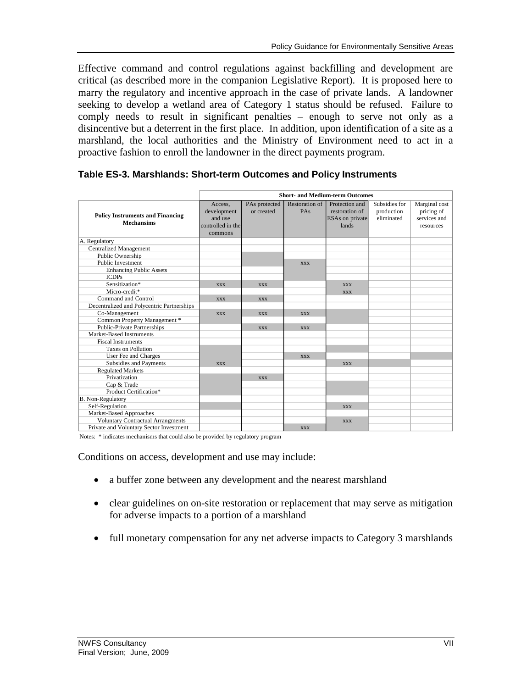Effective command and control regulations against backfilling and development are critical (as described more in the companion Legislative Report). It is proposed here to marry the regulatory and incentive approach in the case of private lands. A landowner seeking to develop a wetland area of Category 1 status should be refused. Failure to comply needs to result in significant penalties – enough to serve not only as a disincentive but a deterrent in the first place. In addition, upon identification of a site as a marshland, the local authorities and the Ministry of Environment need to act in a proactive fashion to enroll the landowner in the direct payments program.

|                                                              | <b>Short- and Medium-term Outcomes</b>                            |                             |                              |                                                              |                                           |                                                          |
|--------------------------------------------------------------|-------------------------------------------------------------------|-----------------------------|------------------------------|--------------------------------------------------------------|-------------------------------------------|----------------------------------------------------------|
| <b>Policy Instruments and Financing</b><br><b>Mechansims</b> | Access.<br>development<br>and use<br>controlled in the<br>commons | PAs protected<br>or created | <b>Restoration of</b><br>PAs | Protection and<br>restoration of<br>ESAs on private<br>lands | Subsidies for<br>production<br>eliminated | Marginal cost<br>pricing of<br>services and<br>resources |
| A. Regulatory                                                |                                                                   |                             |                              |                                                              |                                           |                                                          |
| <b>Centralized Management</b>                                |                                                                   |                             |                              |                                                              |                                           |                                                          |
| Public Ownership                                             |                                                                   |                             |                              |                                                              |                                           |                                                          |
| <b>Public Investment</b>                                     |                                                                   |                             | <b>XXX</b>                   |                                                              |                                           |                                                          |
| <b>Enhancing Public Assets</b>                               |                                                                   |                             |                              |                                                              |                                           |                                                          |
| <b>ICDPs</b>                                                 |                                                                   |                             |                              |                                                              |                                           |                                                          |
| Sensitization*                                               | <b>XXX</b>                                                        | <b>XXX</b>                  |                              | <b>XXX</b>                                                   |                                           |                                                          |
| Micro-credit*                                                |                                                                   |                             |                              | <b>XXX</b>                                                   |                                           |                                                          |
| Command and Control                                          | <b>XXX</b>                                                        | <b>XXX</b>                  |                              |                                                              |                                           |                                                          |
| Decentralized and Polycentric Partnerships                   |                                                                   |                             |                              |                                                              |                                           |                                                          |
| Co-Management                                                | <b>XXX</b>                                                        | <b>XXX</b>                  | <b>XXX</b>                   |                                                              |                                           |                                                          |
| Common Property Management *                                 |                                                                   |                             |                              |                                                              |                                           |                                                          |
| <b>Public-Private Partnerships</b>                           |                                                                   | <b>XXX</b>                  | <b>XXX</b>                   |                                                              |                                           |                                                          |
| Market-Based Instruments                                     |                                                                   |                             |                              |                                                              |                                           |                                                          |
| <b>Fiscal Instruments</b>                                    |                                                                   |                             |                              |                                                              |                                           |                                                          |
| <b>Taxes on Pollution</b>                                    |                                                                   |                             |                              |                                                              |                                           |                                                          |
| User Fee and Charges                                         |                                                                   |                             | <b>XXX</b>                   |                                                              |                                           |                                                          |
| Subsidies and Payments                                       | <b>XXX</b>                                                        |                             |                              | <b>XXX</b>                                                   |                                           |                                                          |
| <b>Regulated Markets</b>                                     |                                                                   |                             |                              |                                                              |                                           |                                                          |
| Privatization                                                |                                                                   | <b>XXX</b>                  |                              |                                                              |                                           |                                                          |
| Cap & Trade                                                  |                                                                   |                             |                              |                                                              |                                           |                                                          |
| Product Certification*                                       |                                                                   |                             |                              |                                                              |                                           |                                                          |
| B. Non-Regulatory                                            |                                                                   |                             |                              |                                                              |                                           |                                                          |
| Self-Regulation                                              |                                                                   |                             |                              | <b>XXX</b>                                                   |                                           |                                                          |
| Market-Based Approaches                                      |                                                                   |                             |                              |                                                              |                                           |                                                          |
| <b>Voluntary Contractual Arrangments</b>                     |                                                                   |                             |                              | <b>XXX</b>                                                   |                                           |                                                          |
| Private and Voluntary Sector Investment                      |                                                                   |                             | <b>XXX</b>                   |                                                              |                                           |                                                          |

#### **Table ES-3. Marshlands: Short-term Outcomes and Policy Instruments**

Notes: \* indicates mechanisms that could also be provided by regulatory program

Conditions on access, development and use may include:

- a buffer zone between any development and the nearest marshland
- clear guidelines on on-site restoration or replacement that may serve as mitigation for adverse impacts to a portion of a marshland
- full monetary compensation for any net adverse impacts to Category 3 marshlands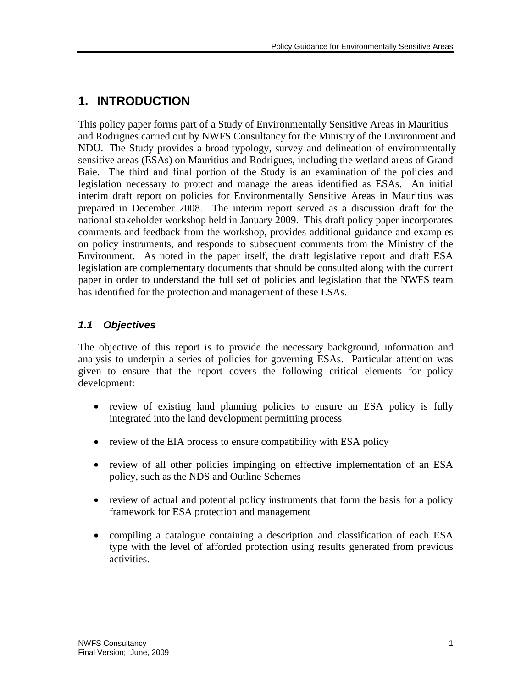## **1. INTRODUCTION**

NDU. The Study provides a broad typology, survey and delineation of environmentally and Rodrigues carried out by NWFS Consultancy for the Ministry of the Environment and This policy paper forms part of a Study of Environmentally Sensitive Areas in Mauritius sensitive areas (ESAs) on Mauritius and Rodrigues, including the wetland areas of Grand Baie. The third and final portion of the Study is an examination of the policies and legislation necessary to protect and manage the areas identified as ESAs. An initial interim draft report on policies for Environmentally Sensitive Areas in Mauritius was prepared in December 2008. The interim report served as a discussion draft for the national stakeholder workshop held in January 2009. This draft policy paper incorporates comments and feedback from the workshop, provides additional guidance and examples on policy instruments, and responds to subsequent comments from the Ministry of the Environment. As noted in the paper itself, the draft legislative report and draft ESA legislation are complementary documents that should be consulted along with the current paper in order to understand the full set of policies and legislation that the NWFS team has identified for the protection and management of these ESAs.

### *1.1 Objectives*

The objective of this report is to provide the necessary background, information and analysis to underpin a series of policies for governing ESAs. Particular attention was given to ensure that the report covers the following critical elements for policy development:

- review of existing land planning policies to ensure an ESA policy is fully integrated into the land development permitting process
- review of the EIA process to ensure compatibility with ESA policy
- review of all other policies impinging on effective implementation of an ESA policy, such as the NDS and Outline Schemes
- review of actual and potential policy instruments that form the basis for a policy framework for ESA protection and management
- compiling a catalogue containing a description and classification of each ESA type with the level of afforded protection using results generated from previous activities.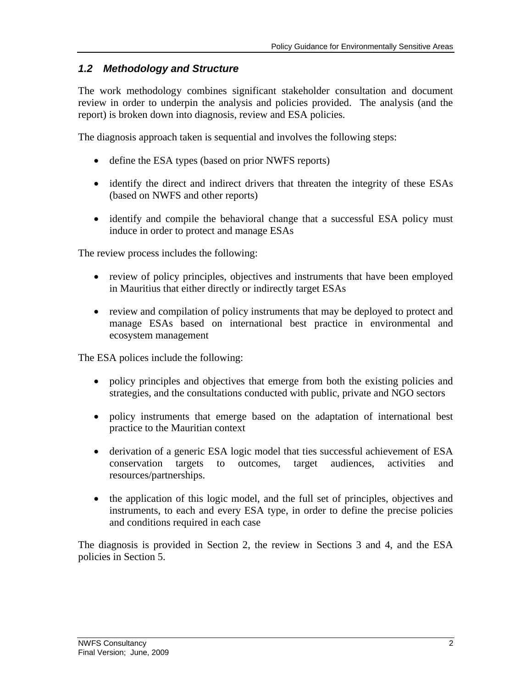### *1.2 Methodology and Structure*

The work methodology combines significant stakeholder consultation and document review in order to underpin the analysis and policies provided. The analysis (and the report) is broken down into diagnosis, review and ESA policies.

The diagnosis approach taken is sequential and involves the following steps:

- define the ESA types (based on prior NWFS reports)
- identify the direct and indirect drivers that threaten the integrity of these ESAs (based on NWFS and other reports)
- identify and compile the behavioral change that a successful ESA policy must induce in order to protect and manage ESAs

The review process includes the following:

- review of policy principles, objectives and instruments that have been employed in Mauritius that either directly or indirectly target ESAs
- review and compilation of policy instruments that may be deployed to protect and manage ESAs based on international best practice in environmental and ecosystem management

The ESA polices include the following:

- policy principles and objectives that emerge from both the existing policies and strategies, and the consultations conducted with public, private and NGO sectors
- policy instruments that emerge based on the adaptation of international best practice to the Mauritian context
- derivation of a generic ESA logic model that ties successful achievement of ESA conservation targets to outcomes, target audiences, activities and resources/partnerships.
- the application of this logic model, and the full set of principles, objectives and instruments, to each and every ESA type, in order to define the precise policies and conditions required in each case

The diagnosis is provided in Section 2, the review in Sections 3 and 4, and the ESA policies in Section 5.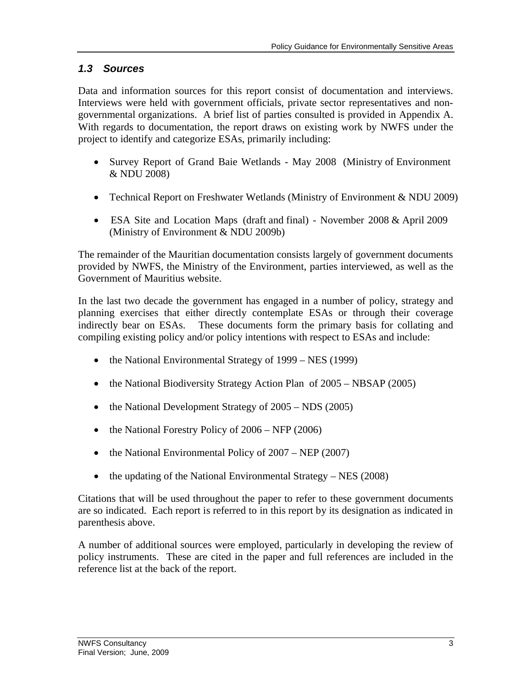### *1.3 Sources*

Data and information sources for this report consist of documentation and interviews. Interviews were held with government officials, private sector representatives and nongovernmental organizations. A brief list of parties consulted is provided in Appendix A. With regards to documentation, the report draws on existing work by NWFS under the project to identify and categorize ESAs, primarily including:

- & NDU 2008) • Survey Report of Grand Baie Wetlands - May 2008 (Ministry of Environment
- Technical Report on Freshwater Wetlands (Ministry of Environment & NDU 2009)
- (Ministry of Environment & NDU 2009b) ESA Site and Location Maps (draft and final) - November 2008 & April 2009

The remainder of the Mauritian documentation consists largely of government documents provided by NWFS, the Ministry of the Environment, parties interviewed, as well as the Government of Mauritius website.

In the last two decade the government has engaged in a number of policy, strategy and planning exercises that either directly contemplate ESAs or through their coverage indirectly bear on ESAs. These documents form the primary basis for collating and compiling existing policy and/or policy intentions with respect to ESAs and include:

- the National Environmental Strategy of 1999 NES (1999)
- the National Biodiversity Strategy Action Plan of 2005 NBSAP (2005)
- $\bullet$  the National Development Strategy of 2005 NDS (2005)
- $\bullet$  the National Forestry Policy of 2006 NFP (2006)
- $\bullet$  the National Environmental Policy of 2007 NEP (2007)
- $\bullet$  the updating of the National Environmental Strategy NES (2008)

Citations that will be used throughout the paper to refer to these government documents are so indicated. Each report is referred to in this report by its designation as indicated in parenthesis above.

A number of additional sources were employed, particularly in developing the review of policy instruments. These are cited in the paper and full references are included in the reference list at the back of the report.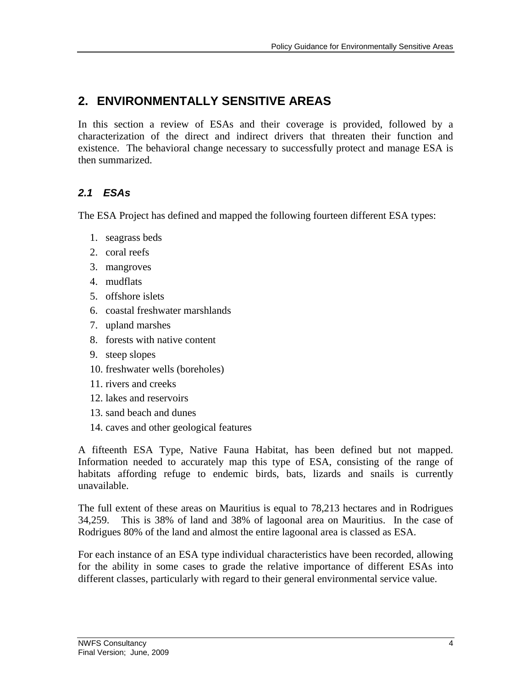## **2. ENVIRONMENTALLY SENSITIVE AREAS**

In this section a review of ESAs and their coverage is provided, followed by a characterization of the direct and indirect drivers that threaten their function and existence. The behavioral change necessary to successfully protect and manage ESA is then summarized.

### *2.1 ESAs*

The ESA Project has defined and mapped the following fourteen different ESA types:

- 1. seagrass beds
- 2. coral reefs
- 3. mangroves
- 4. mudflats
- 5. offshore islets
- 6. coastal freshwater marshlands
- 7. upland marshes
- 8. forests with native content
- 9. steep slopes
- 10. freshwater wells (boreholes)
- 11. rivers and creeks
- 12. lakes and reservoirs
- 13. sand beach and dunes
- 14. caves and other geological features

A fifteenth ESA Type, Native Fauna Habitat, has been defined but not mapped. Information needed to accurately map this type of ESA, consisting of the range of habitats affording refuge to endemic birds, bats, lizards and snails is currently unavailable.

The full extent of these areas on Mauritius is equal to 78,213 hectares and in Rodrigues 34,259. This is 38% of land and 38% of lagoonal area on Mauritius. In the case of Rodrigues 80% of the land and almost the entire lagoonal area is classed as ESA.

For each instance of an ESA type individual characteristics have been recorded, allowing for the ability in some cases to grade the relative importance of different ESAs into different classes, particularly with regard to their general environmental service value.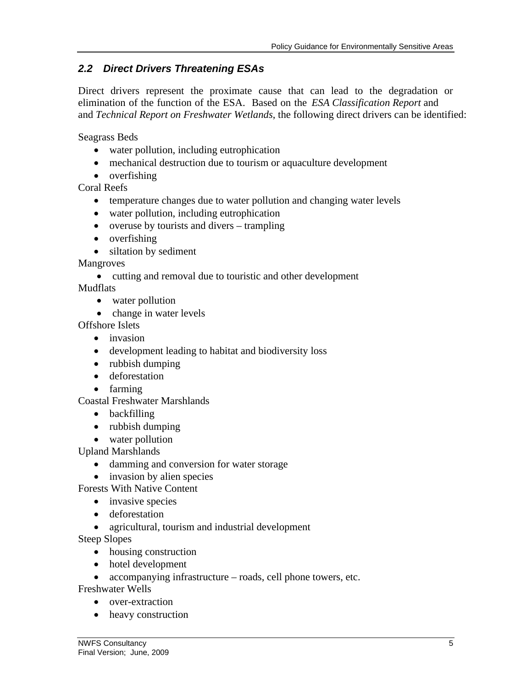### *2.2 Direct Drivers Threatening ESAs*

elimination of the function of the ESA. Based on the *ESA Classification Report* and and *Technical Report on Freshwater Wetlands*, the following direct drivers can be identified: Direct drivers represent the proximate cause that can lead to the degradation or

Seagrass Beds

- water pollution, including eutrophication
- mechanical destruction due to tourism or aquaculture development
- overfishing

Coral Reefs

- temperature changes due to water pollution and changing water levels
- water pollution, including eutrophication
- $\bullet$  overuse by tourists and divers trampling
- overfishing
- siltation by sediment

Mangroves

cutting and removal due to touristic and other development

Mudflats

- water pollution
- change in water levels

Offshore Islets

- invasion
- development leading to habitat and biodiversity loss
- rubbish dumping
- **•** deforestation
- farming

Coastal Freshwater Marshlands

- backfilling
- rubbish dumping
- water pollution

Upland Marshlands

- damming and conversion for water storage
- invasion by alien species

Forests With Native Content

- invasive species
- **•** deforestation
- agricultural, tourism and industrial development

Steep Slopes

- housing construction
- hotel development
- accompanying infrastructure roads, cell phone towers, etc.

Freshwater Wells

- over-extraction
- heavy construction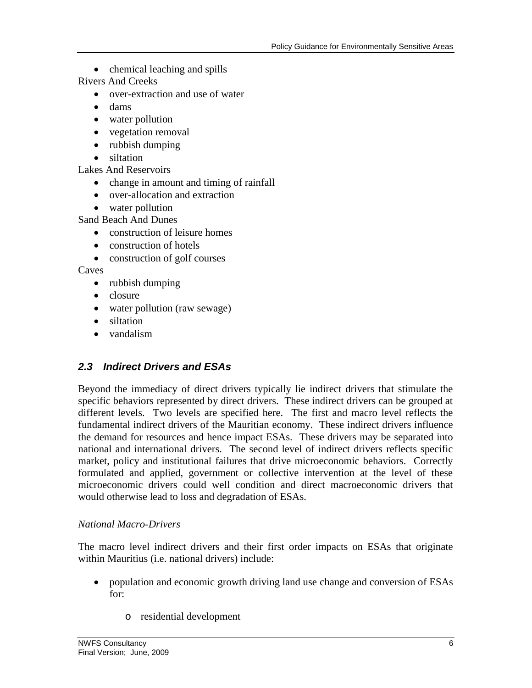• chemical leaching and spills

Rivers And Creeks

- over-extraction and use of water
- dams
- water pollution
- vegetation removal
- rubbish dumping
- siltation

Lakes And Reservoirs

- change in amount and timing of rainfall
- over-allocation and extraction
- water pollution

Sand Beach And Dunes

- construction of leisure homes
- construction of hotels
- construction of golf courses

Caves

- rubbish dumping
- closure
- water pollution (raw sewage)
- siltation
- vandalism

### *2.3 Indirect Drivers and ESAs*

Beyond the immediacy of direct drivers typically lie indirect drivers that stimulate the specific behaviors represented by direct drivers. These indirect drivers can be grouped at different levels. Two levels are specified here. The first and macro level reflects the fundamental indirect drivers of the Mauritian economy. These indirect drivers influence the demand for resources and hence impact ESAs. These drivers may be separated into national and international drivers. The second level of indirect drivers reflects specific market, policy and institutional failures that drive microeconomic behaviors. Correctly formulated and applied, government or collective intervention at the level of these microeconomic drivers could well condition and direct macroeconomic drivers that would otherwise lead to loss and degradation of ESAs.

#### *National Macro-Drivers*

The macro level indirect drivers and their first order impacts on ESAs that originate within Mauritius (i.e. national drivers) include:

- population and economic growth driving land use change and conversion of ESAs for:
	- o residential development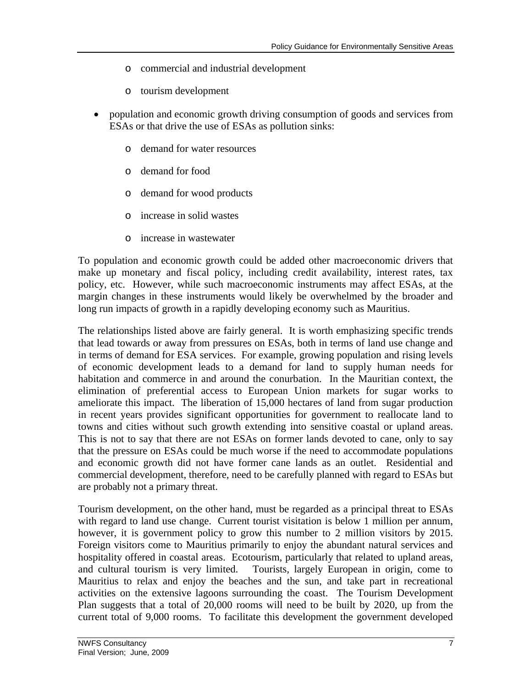- o commercial and industrial development
- o tourism development
- population and economic growth driving consumption of goods and services from ESAs or that drive the use of ESAs as pollution sinks:
	- o demand for water resources
	- o demand for food
	- o demand for wood products
	- o increase in solid wastes
	- o increase in wastewater

To population and economic growth could be added other macroeconomic drivers that make up monetary and fiscal policy, including credit availability, interest rates, tax policy, etc. However, while such macroeconomic instruments may affect ESAs, at the margin changes in these instruments would likely be overwhelmed by the broader and long run impacts of growth in a rapidly developing economy such as Mauritius.

The relationships listed above are fairly general. It is worth emphasizing specific trends that lead towards or away from pressures on ESAs, both in terms of land use change and in terms of demand for ESA services. For example, growing population and rising levels of economic development leads to a demand for land to supply human needs for habitation and commerce in and around the conurbation. In the Mauritian context, the elimination of preferential access to European Union markets for sugar works to ameliorate this impact. The liberation of 15,000 hectares of land from sugar production in recent years provides significant opportunities for government to reallocate land to towns and cities without such growth extending into sensitive coastal or upland areas. This is not to say that there are not ESAs on former lands devoted to cane, only to say that the pressure on ESAs could be much worse if the need to accommodate populations and economic growth did not have former cane lands as an outlet. Residential and commercial development, therefore, need to be carefully planned with regard to ESAs but are probably not a primary threat.

Tourism development, on the other hand, must be regarded as a principal threat to ESAs with regard to land use change. Current tourist visitation is below 1 million per annum, however, it is government policy to grow this number to 2 million visitors by 2015. Foreign visitors come to Mauritius primarily to enjoy the abundant natural services and hospitality offered in coastal areas. Ecotourism, particularly that related to upland areas, and cultural tourism is very limited. Tourists, largely European in origin, come to Mauritius to relax and enjoy the beaches and the sun, and take part in recreational activities on the extensive lagoons surrounding the coast. The Tourism Development Plan suggests that a total of 20,000 rooms will need to be built by 2020, up from the current total of 9,000 rooms. To facilitate this development the government developed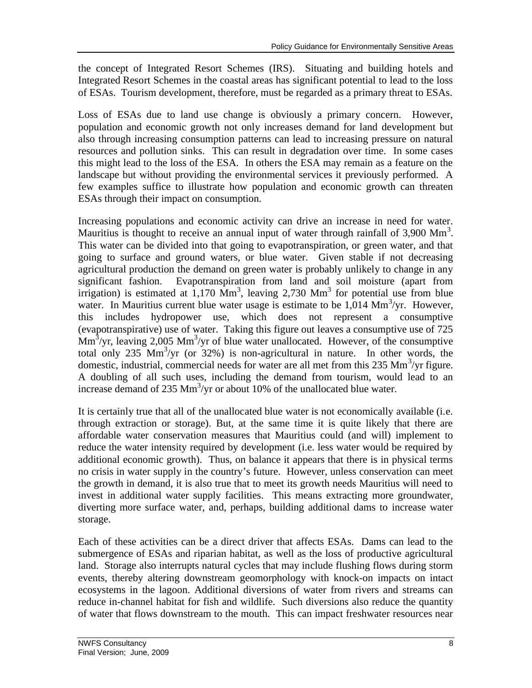the concept of Integrated Resort Schemes (IRS). Situating and building hotels and Integrated Resort Schemes in the coastal areas has significant potential to lead to the loss of ESAs. Tourism development, therefore, must be regarded as a primary threat to ESAs.

Loss of ESAs due to land use change is obviously a primary concern. However, population and economic growth not only increases demand for land development but also through increasing consumption patterns can lead to increasing pressure on natural resources and pollution sinks. This can result in degradation over time. In some cases this might lead to the loss of the ESA. In others the ESA may remain as a feature on the landscape but without providing the environmental services it previously performed. A few examples suffice to illustrate how population and economic growth can threaten ESAs through their impact on consumption.

Increasing populations and economic activity can drive an increase in need for water. Mauritius is thought to receive an annual input of water through rainfall of  $3,900 \text{ Mm}^3$ . This water can be divided into that going to evapotranspiration, or green water, and that going to surface and ground waters, or blue water. Given stable if not decreasing agricultural production the demand on green water is probably unlikely to change in any significant fashion. Evapotranspiration from land and soil moisture (apart from irrigation) is estimated at  $1,170 \text{ Mm}^3$ , leaving 2,730 Mm<sup>3</sup> for potential use from blue water. In Mauritius current blue water usage is estimate to be  $1,014$  Mm<sup>3</sup>/yr. However, this includes hydropower use, which does not represent a consumptive (evapotranspirative) use of water. Taking this figure out leaves a consumptive use of 725  $\text{Mm}^3/\text{yr}$ , leaving 2,005 Mm<sup>3</sup>/yr of blue water unallocated. However, of the consumptive total only 235  $\text{Mm}^3/\text{yr}$  (or 32%) is non-agricultural in nature. In other words, the domestic, industrial, commercial needs for water are all met from this 235 Mm<sup>3</sup>/yr figure. A doubling of all such uses, including the demand from tourism, would lead to an increase demand of 235  $\text{Mm}^3/\text{yr}$  or about 10% of the unallocated blue water.

It is certainly true that all of the unallocated blue water is not economically available (i.e. through extraction or storage). But, at the same time it is quite likely that there are affordable water conservation measures that Mauritius could (and will) implement to reduce the water intensity required by development (i.e. less water would be required by additional economic growth). Thus, on balance it appears that there is in physical terms no crisis in water supply in the country's future. However, unless conservation can meet the growth in demand, it is also true that to meet its growth needs Mauritius will need to invest in additional water supply facilities. This means extracting more groundwater, diverting more surface water, and, perhaps, building additional dams to increase water storage.

Each of these activities can be a direct driver that affects ESAs. Dams can lead to the submergence of ESAs and riparian habitat, as well as the loss of productive agricultural land. Storage also interrupts natural cycles that may include flushing flows during storm events, thereby altering downstream geomorphology with knock-on impacts on intact ecosystems in the lagoon. Additional diversions of water from rivers and streams can reduce in-channel habitat for fish and wildlife. Such diversions also reduce the quantity of water that flows downstream to the mouth. This can impact freshwater resources near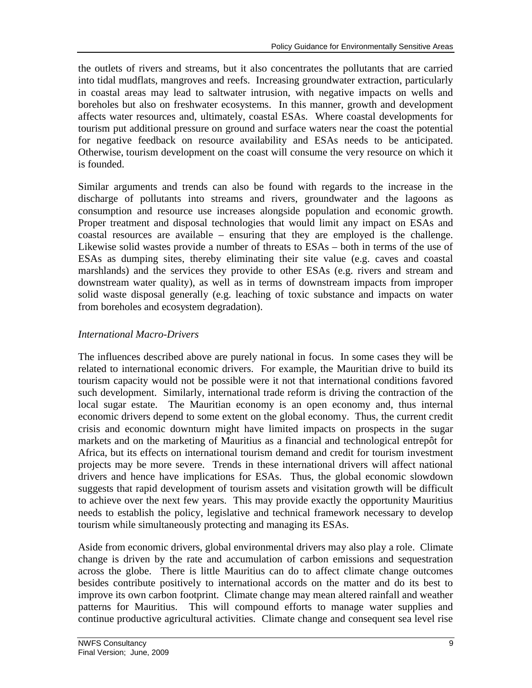the outlets of rivers and streams, but it also concentrates the pollutants that are carried into tidal mudflats, mangroves and reefs. Increasing groundwater extraction, particularly in coastal areas may lead to saltwater intrusion, with negative impacts on wells and boreholes but also on freshwater ecosystems. In this manner, growth and development affects water resources and, ultimately, coastal ESAs. Where coastal developments for tourism put additional pressure on ground and surface waters near the coast the potential for negative feedback on resource availability and ESAs needs to be anticipated. Otherwise, tourism development on the coast will consume the very resource on which it is founded.

Similar arguments and trends can also be found with regards to the increase in the discharge of pollutants into streams and rivers, groundwater and the lagoons as consumption and resource use increases alongside population and economic growth. Proper treatment and disposal technologies that would limit any impact on ESAs and coastal resources are available – ensuring that they are employed is the challenge. Likewise solid wastes provide a number of threats to ESAs – both in terms of the use of ESAs as dumping sites, thereby eliminating their site value (e.g. caves and coastal marshlands) and the services they provide to other ESAs (e.g. rivers and stream and downstream water quality), as well as in terms of downstream impacts from improper solid waste disposal generally (e.g. leaching of toxic substance and impacts on water from boreholes and ecosystem degradation).

#### *International Macro-Drivers*

The influences described above are purely national in focus. In some cases they will be related to international economic drivers. For example, the Mauritian drive to build its tourism capacity would not be possible were it not that international conditions favored such development. Similarly, international trade reform is driving the contraction of the local sugar estate. The Mauritian economy is an open economy and, thus internal economic drivers depend to some extent on the global economy. Thus, the current credit crisis and economic downturn might have limited impacts on prospects in the sugar markets and on the marketing of Mauritius as a financial and technological entrepôt for Africa, but its effects on international tourism demand and credit for tourism investment projects may be more severe. Trends in these international drivers will affect national drivers and hence have implications for ESAs. Thus, the global economic slowdown suggests that rapid development of tourism assets and visitation growth will be difficult to achieve over the next few years. This may provide exactly the opportunity Mauritius needs to establish the policy, legislative and technical framework necessary to develop tourism while simultaneously protecting and managing its ESAs.

Aside from economic drivers, global environmental drivers may also play a role. Climate change is driven by the rate and accumulation of carbon emissions and sequestration across the globe. There is little Mauritius can do to affect climate change outcomes besides contribute positively to international accords on the matter and do its best to improve its own carbon footprint. Climate change may mean altered rainfall and weather patterns for Mauritius. This will compound efforts to manage water supplies and continue productive agricultural activities. Climate change and consequent sea level rise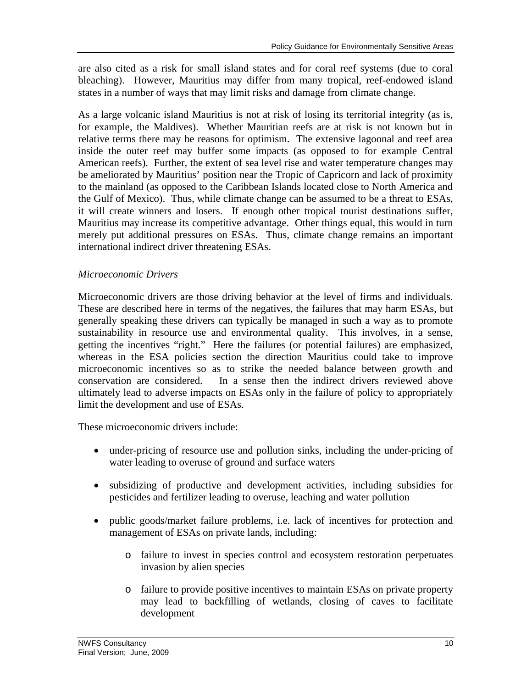are also cited as a risk for small island states and for coral reef systems (due to coral bleaching). However, Mauritius may differ from many tropical, reef-endowed island states in a number of ways that may limit risks and damage from climate change.

As a large volcanic island Mauritius is not at risk of losing its territorial integrity (as is, for example, the Maldives). Whether Mauritian reefs are at risk is not known but in relative terms there may be reasons for optimism. The extensive lagoonal and reef area inside the outer reef may buffer some impacts (as opposed to for example Central American reefs). Further, the extent of sea level rise and water temperature changes may be ameliorated by Mauritius' position near the Tropic of Capricorn and lack of proximity to the mainland (as opposed to the Caribbean Islands located close to North America and the Gulf of Mexico). Thus, while climate change can be assumed to be a threat to ESAs, it will create winners and losers. If enough other tropical tourist destinations suffer, Mauritius may increase its competitive advantage. Other things equal, this would in turn merely put additional pressures on ESAs. Thus, climate change remains an important international indirect driver threatening ESAs.

#### *Microeconomic Drivers*

Microeconomic drivers are those driving behavior at the level of firms and individuals. These are described here in terms of the negatives, the failures that may harm ESAs, but generally speaking these drivers can typically be managed in such a way as to promote sustainability in resource use and environmental quality. This involves, in a sense, getting the incentives "right." Here the failures (or potential failures) are emphasized, whereas in the ESA policies section the direction Mauritius could take to improve microeconomic incentives so as to strike the needed balance between growth and conservation are considered. In a sense then the indirect drivers reviewed above ultimately lead to adverse impacts on ESAs only in the failure of policy to appropriately limit the development and use of ESAs.

These microeconomic drivers include:

- under-pricing of resource use and pollution sinks, including the under-pricing of water leading to overuse of ground and surface waters
- subsidizing of productive and development activities, including subsidies for pesticides and fertilizer leading to overuse, leaching and water pollution
- public goods/market failure problems, i.e. lack of incentives for protection and management of ESAs on private lands, including:
	- o failure to invest in species control and ecosystem restoration perpetuates invasion by alien species
	- o failure to provide positive incentives to maintain ESAs on private property may lead to backfilling of wetlands, closing of caves to facilitate development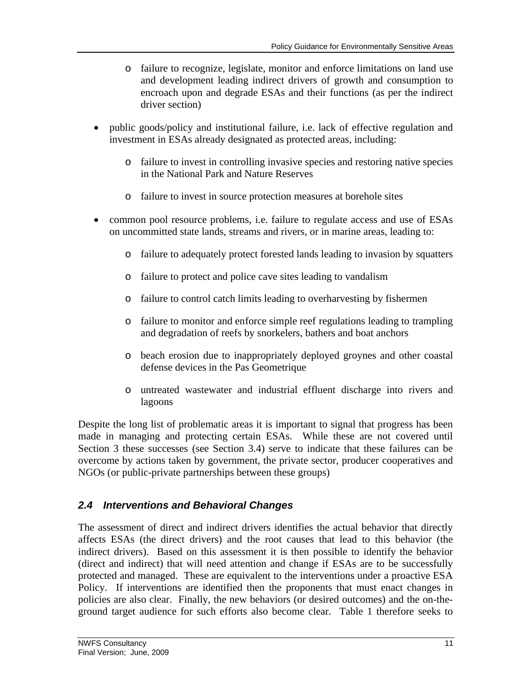- o failure to recognize, legislate, monitor and enforce limitations on land use and development leading indirect drivers of growth and consumption to encroach upon and degrade ESAs and their functions (as per the indirect driver section)
- public goods/policy and institutional failure, i.e. lack of effective regulation and investment in ESAs already designated as protected areas, including:
	- o failure to invest in controlling invasive species and restoring native species in the National Park and Nature Reserves
	- o failure to invest in source protection measures at borehole sites
- common pool resource problems, i.e. failure to regulate access and use of ESAs on uncommitted state lands, streams and rivers, or in marine areas, leading to:
	- o failure to adequately protect forested lands leading to invasion by squatters
	- o failure to protect and police cave sites leading to vandalism
	- o failure to control catch limits leading to overharvesting by fishermen
	- o failure to monitor and enforce simple reef regulations leading to trampling and degradation of reefs by snorkelers, bathers and boat anchors
	- o beach erosion due to inappropriately deployed groynes and other coastal defense devices in the Pas Geometrique
	- o untreated wastewater and industrial effluent discharge into rivers and lagoons

Despite the long list of problematic areas it is important to signal that progress has been made in managing and protecting certain ESAs. While these are not covered until Section 3 these successes (see Section 3.4) serve to indicate that these failures can be overcome by actions taken by government, the private sector, producer cooperatives and NGOs (or public-private partnerships between these groups)

### *2.4 Interventions and Behavioral Changes*

The assessment of direct and indirect drivers identifies the actual behavior that directly affects ESAs (the direct drivers) and the root causes that lead to this behavior (the indirect drivers). Based on this assessment it is then possible to identify the behavior (direct and indirect) that will need attention and change if ESAs are to be successfully protected and managed. These are equivalent to the interventions under a proactive ESA Policy. If interventions are identified then the proponents that must enact changes in policies are also clear. Finally, the new behaviors (or desired outcomes) and the on-theground target audience for such efforts also become clear. Table 1 therefore seeks to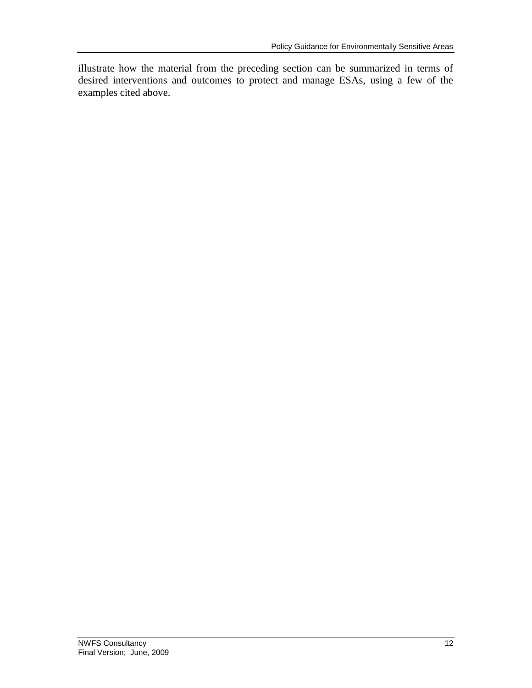illustrate how the material from the preceding section can be summarized in terms of desired interventions and outcomes to protect and manage ESAs, using a few of the examples cited above.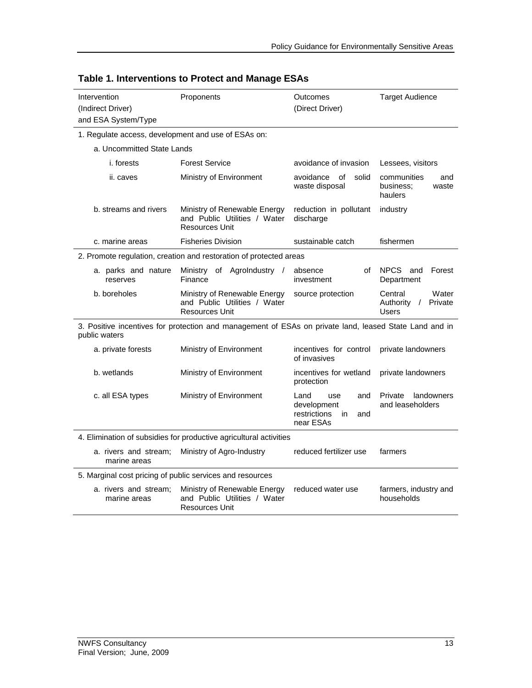| Intervention<br>(Indirect Driver)<br>and ESA System/Type           | Proponents                                                                                             | Outcomes<br>(Direct Driver)                | <b>Target Audience</b>                              |  |  |  |  |
|--------------------------------------------------------------------|--------------------------------------------------------------------------------------------------------|--------------------------------------------|-----------------------------------------------------|--|--|--|--|
| 1. Regulate access, development and use of ESAs on:                |                                                                                                        |                                            |                                                     |  |  |  |  |
| a. Uncommitted State Lands                                         |                                                                                                        |                                            |                                                     |  |  |  |  |
| <i>i.</i> forests                                                  | <b>Forest Service</b>                                                                                  | avoidance of invasion                      | Lessees, visitors                                   |  |  |  |  |
| ii. caves                                                          | Ministry of Environment                                                                                | solid<br>avoidance<br>of<br>waste disposal | communities<br>and<br>business:<br>waste<br>haulers |  |  |  |  |
| b. streams and rivers                                              | Ministry of Renewable Energy<br>and Public Utilities / Water<br><b>Resources Unit</b>                  | reduction in pollutant<br>discharge        | industry                                            |  |  |  |  |
| c. marine areas                                                    | <b>Fisheries Division</b>                                                                              | sustainable catch                          | fishermen                                           |  |  |  |  |
|                                                                    | 2. Promote regulation, creation and restoration of protected areas                                     |                                            |                                                     |  |  |  |  |
| a. parks and nature<br>reserves                                    | Ministry of AgroIndustry /<br>Finance                                                                  | absence<br>of<br>investment                | NPCS<br>Forest<br>and<br>Department                 |  |  |  |  |
| b. boreholes                                                       | Ministry of Renewable Energy<br>and Public Utilities / Water<br><b>Resources Unit</b>                  | source protection                          | Water<br>Central<br>Authority /<br>Private<br>Users |  |  |  |  |
| public waters                                                      | 3. Positive incentives for protection and management of ESAs on private land, leased State Land and in |                                            |                                                     |  |  |  |  |
| a. private forests                                                 | Ministry of Environment                                                                                | incentives for control<br>of invasives     | private landowners                                  |  |  |  |  |
| b. wetlands                                                        | Ministry of Environment                                                                                | incentives for wetland<br>protection       | private landowners                                  |  |  |  |  |
| c. all ESA types                                                   | Ministry of Environment<br>Land<br>and<br>use<br>development<br>restrictions<br>in<br>and<br>near ESAs |                                            | landowners<br>Private<br>and leaseholders           |  |  |  |  |
| 4. Elimination of subsidies for productive agricultural activities |                                                                                                        |                                            |                                                     |  |  |  |  |
| a. rivers and stream;<br>marine areas                              | Ministry of Agro-Industry                                                                              | reduced fertilizer use                     | farmers                                             |  |  |  |  |
|                                                                    | 5. Marginal cost pricing of public services and resources                                              |                                            |                                                     |  |  |  |  |
| a. rivers and stream;<br>marine areas                              | Ministry of Renewable Energy<br>and Public Utilities / Water<br><b>Resources Unit</b>                  | reduced water use                          | farmers, industry and<br>households                 |  |  |  |  |

### **Table 1. Interventions to Protect and Manage ESAs**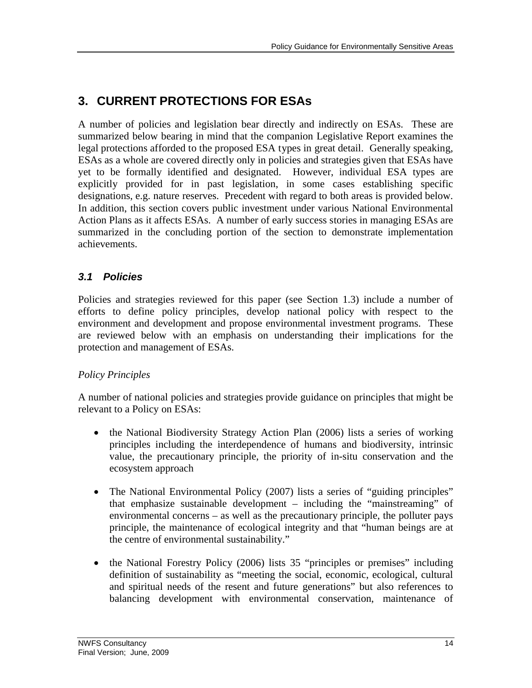## **3. CURRENT PROTECTIONS FOR ESAs**

A number of policies and legislation bear directly and indirectly on ESAs. These are summarized below bearing in mind that the companion Legislative Report examines the legal protections afforded to the proposed ESA types in great detail. Generally speaking, ESAs as a whole are covered directly only in policies and strategies given that ESAs have yet to be formally identified and designated. However, individual ESA types are explicitly provided for in past legislation, in some cases establishing specific designations, e.g. nature reserves. Precedent with regard to both areas is provided below. In addition, this section covers public investment under various National Environmental Action Plans as it affects ESAs. A number of early success stories in managing ESAs are summarized in the concluding portion of the section to demonstrate implementation achievements.

### *3.1 Policies*

Policies and strategies reviewed for this paper (see Section 1.3) include a number of efforts to define policy principles, develop national policy with respect to the environment and development and propose environmental investment programs. These are reviewed below with an emphasis on understanding their implications for the protection and management of ESAs.

### *Policy Principles*

A number of national policies and strategies provide guidance on principles that might be relevant to a Policy on ESAs:

- the National Biodiversity Strategy Action Plan (2006) lists a series of working principles including the interdependence of humans and biodiversity, intrinsic value, the precautionary principle, the priority of in-situ conservation and the ecosystem approach
- The National Environmental Policy (2007) lists a series of "guiding principles" that emphasize sustainable development – including the "mainstreaming" of environmental concerns – as well as the precautionary principle, the polluter pays principle, the maintenance of ecological integrity and that "human beings are at the centre of environmental sustainability."
- the National Forestry Policy (2006) lists 35 "principles or premises" including definition of sustainability as "meeting the social, economic, ecological, cultural and spiritual needs of the resent and future generations" but also references to balancing development with environmental conservation, maintenance of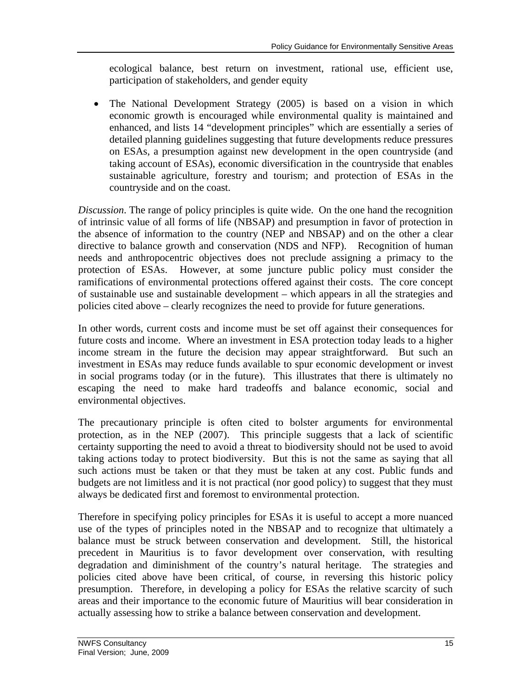ecological balance, best return on investment, rational use, efficient use, participation of stakeholders, and gender equity

 The National Development Strategy (2005) is based on a vision in which economic growth is encouraged while environmental quality is maintained and enhanced, and lists 14 "development principles" which are essentially a series of detailed planning guidelines suggesting that future developments reduce pressures on ESAs, a presumption against new development in the open countryside (and taking account of ESAs), economic diversification in the countryside that enables sustainable agriculture, forestry and tourism; and protection of ESAs in the countryside and on the coast.

*Discussion*. The range of policy principles is quite wide. On the one hand the recognition of intrinsic value of all forms of life (NBSAP) and presumption in favor of protection in the absence of information to the country (NEP and NBSAP) and on the other a clear directive to balance growth and conservation (NDS and NFP). Recognition of human needs and anthropocentric objectives does not preclude assigning a primacy to the protection of ESAs. However, at some juncture public policy must consider the ramifications of environmental protections offered against their costs. The core concept of sustainable use and sustainable development – which appears in all the strategies and policies cited above – clearly recognizes the need to provide for future generations.

In other words, current costs and income must be set off against their consequences for future costs and income. Where an investment in ESA protection today leads to a higher income stream in the future the decision may appear straightforward. But such an investment in ESAs may reduce funds available to spur economic development or invest in social programs today (or in the future). This illustrates that there is ultimately no escaping the need to make hard tradeoffs and balance economic, social and environmental objectives.

The precautionary principle is often cited to bolster arguments for environmental protection, as in the NEP (2007). This principle suggests that a lack of scientific certainty supporting the need to avoid a threat to biodiversity should not be used to avoid taking actions today to protect biodiversity. But this is not the same as saying that all such actions must be taken or that they must be taken at any cost. Public funds and budgets are not limitless and it is not practical (nor good policy) to suggest that they must always be dedicated first and foremost to environmental protection.

Therefore in specifying policy principles for ESAs it is useful to accept a more nuanced use of the types of principles noted in the NBSAP and to recognize that ultimately a balance must be struck between conservation and development. Still, the historical precedent in Mauritius is to favor development over conservation, with resulting degradation and diminishment of the country's natural heritage. The strategies and policies cited above have been critical, of course, in reversing this historic policy presumption. Therefore, in developing a policy for ESAs the relative scarcity of such areas and their importance to the economic future of Mauritius will bear consideration in actually assessing how to strike a balance between conservation and development.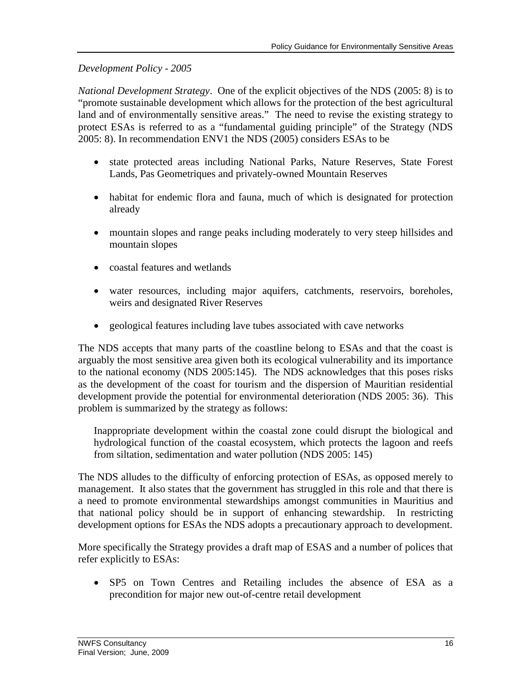#### *Development Policy - 2005*

*National Development Strategy*. One of the explicit objectives of the NDS (2005: 8) is to "promote sustainable development which allows for the protection of the best agricultural land and of environmentally sensitive areas." The need to revise the existing strategy to protect ESAs is referred to as a "fundamental guiding principle" of the Strategy (NDS 2005: 8). In recommendation ENV1 the NDS (2005) considers ESAs to be

- state protected areas including National Parks, Nature Reserves, State Forest Lands, Pas Geometriques and privately-owned Mountain Reserves
- habitat for endemic flora and fauna, much of which is designated for protection already
- mountain slopes and range peaks including moderately to very steep hillsides and mountain slopes
- coastal features and wetlands
- water resources, including major aquifers, catchments, reservoirs, boreholes, weirs and designated River Reserves
- geological features including lave tubes associated with cave networks

The NDS accepts that many parts of the coastline belong to ESAs and that the coast is arguably the most sensitive area given both its ecological vulnerability and its importance to the national economy (NDS 2005:145). The NDS acknowledges that this poses risks as the development of the coast for tourism and the dispersion of Mauritian residential development provide the potential for environmental deterioration (NDS 2005: 36). This problem is summarized by the strategy as follows:

Inappropriate development within the coastal zone could disrupt the biological and hydrological function of the coastal ecosystem, which protects the lagoon and reefs from siltation, sedimentation and water pollution (NDS 2005: 145)

The NDS alludes to the difficulty of enforcing protection of ESAs, as opposed merely to management. It also states that the government has struggled in this role and that there is a need to promote environmental stewardships amongst communities in Mauritius and that national policy should be in support of enhancing stewardship. In restricting development options for ESAs the NDS adopts a precautionary approach to development.

More specifically the Strategy provides a draft map of ESAS and a number of polices that refer explicitly to ESAs:

 SP5 on Town Centres and Retailing includes the absence of ESA as a precondition for major new out-of-centre retail development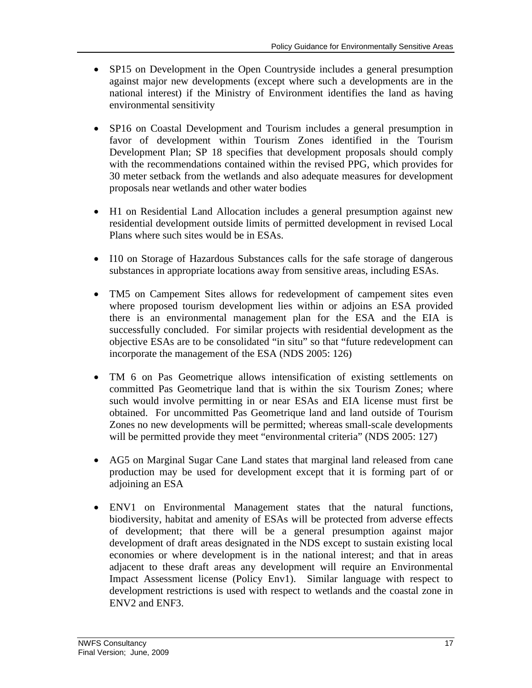- SP15 on Development in the Open Countryside includes a general presumption against major new developments (except where such a developments are in the national interest) if the Ministry of Environment identifies the land as having environmental sensitivity
- SP16 on Coastal Development and Tourism includes a general presumption in favor of development within Tourism Zones identified in the Tourism Development Plan; SP 18 specifies that development proposals should comply with the recommendations contained within the revised PPG, which provides for 30 meter setback from the wetlands and also adequate measures for development proposals near wetlands and other water bodies
- H1 on Residential Land Allocation includes a general presumption against new residential development outside limits of permitted development in revised Local Plans where such sites would be in ESAs.
- I10 on Storage of Hazardous Substances calls for the safe storage of dangerous substances in appropriate locations away from sensitive areas, including ESAs.
- TM5 on Campement Sites allows for redevelopment of campement sites even where proposed tourism development lies within or adjoins an ESA provided there is an environmental management plan for the ESA and the EIA is successfully concluded. For similar projects with residential development as the objective ESAs are to be consolidated "in situ" so that "future redevelopment can incorporate the management of the ESA (NDS 2005: 126)
- TM 6 on Pas Geometrique allows intensification of existing settlements on committed Pas Geometrique land that is within the six Tourism Zones; where such would involve permitting in or near ESAs and EIA license must first be obtained. For uncommitted Pas Geometrique land and land outside of Tourism Zones no new developments will be permitted; whereas small-scale developments will be permitted provide they meet "environmental criteria" (NDS 2005: 127)
- AG5 on Marginal Sugar Cane Land states that marginal land released from cane production may be used for development except that it is forming part of or adjoining an ESA
- ENV1 on Environmental Management states that the natural functions, biodiversity, habitat and amenity of ESAs will be protected from adverse effects of development; that there will be a general presumption against major development of draft areas designated in the NDS except to sustain existing local economies or where development is in the national interest; and that in areas adjacent to these draft areas any development will require an Environmental Impact Assessment license (Policy Env1). Similar language with respect to development restrictions is used with respect to wetlands and the coastal zone in ENV2 and ENF3.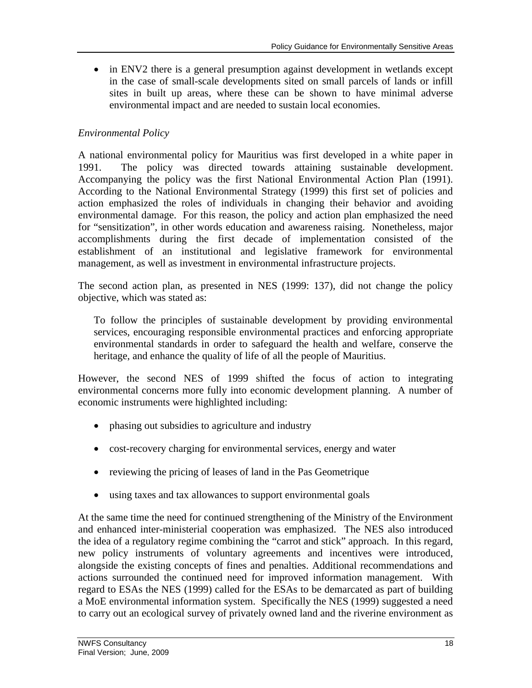• in ENV2 there is a general presumption against development in wetlands except in the case of small-scale developments sited on small parcels of lands or infill sites in built up areas, where these can be shown to have minimal adverse environmental impact and are needed to sustain local economies.

#### *Environmental Policy*

A national environmental policy for Mauritius was first developed in a white paper in 1991. The policy was directed towards attaining sustainable development. Accompanying the policy was the first National Environmental Action Plan (1991). According to the National Environmental Strategy (1999) this first set of policies and action emphasized the roles of individuals in changing their behavior and avoiding environmental damage. For this reason, the policy and action plan emphasized the need for "sensitization", in other words education and awareness raising. Nonetheless, major accomplishments during the first decade of implementation consisted of the establishment of an institutional and legislative framework for environmental management, as well as investment in environmental infrastructure projects.

The second action plan, as presented in NES (1999: 137), did not change the policy objective, which was stated as:

To follow the principles of sustainable development by providing environmental services, encouraging responsible environmental practices and enforcing appropriate environmental standards in order to safeguard the health and welfare, conserve the heritage, and enhance the quality of life of all the people of Mauritius.

However, the second NES of 1999 shifted the focus of action to integrating environmental concerns more fully into economic development planning. A number of economic instruments were highlighted including:

- phasing out subsidies to agriculture and industry
- cost-recovery charging for environmental services, energy and water
- reviewing the pricing of leases of land in the Pas Geometrique
- using taxes and tax allowances to support environmental goals

At the same time the need for continued strengthening of the Ministry of the Environment and enhanced inter-ministerial cooperation was emphasized. The NES also introduced the idea of a regulatory regime combining the "carrot and stick" approach. In this regard, new policy instruments of voluntary agreements and incentives were introduced, alongside the existing concepts of fines and penalties. Additional recommendations and actions surrounded the continued need for improved information management. With regard to ESAs the NES (1999) called for the ESAs to be demarcated as part of building a MoE environmental information system. Specifically the NES (1999) suggested a need to carry out an ecological survey of privately owned land and the riverine environment as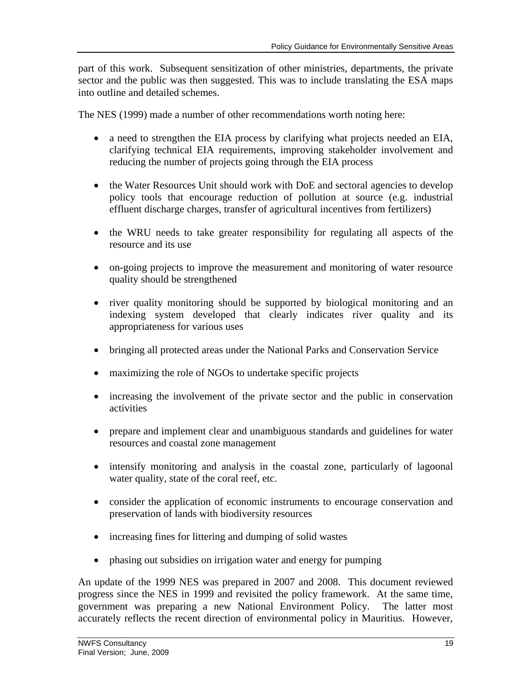part of this work. Subsequent sensitization of other ministries, departments, the private sector and the public was then suggested. This was to include translating the ESA maps into outline and detailed schemes.

The NES (1999) made a number of other recommendations worth noting here:

- a need to strengthen the EIA process by clarifying what projects needed an EIA, clarifying technical EIA requirements, improving stakeholder involvement and reducing the number of projects going through the EIA process
- the Water Resources Unit should work with DoE and sectoral agencies to develop policy tools that encourage reduction of pollution at source (e.g. industrial effluent discharge charges, transfer of agricultural incentives from fertilizers)
- the WRU needs to take greater responsibility for regulating all aspects of the resource and its use
- on-going projects to improve the measurement and monitoring of water resource quality should be strengthened
- river quality monitoring should be supported by biological monitoring and an indexing system developed that clearly indicates river quality and its appropriateness for various uses
- bringing all protected areas under the National Parks and Conservation Service
- maximizing the role of NGOs to undertake specific projects
- increasing the involvement of the private sector and the public in conservation activities
- prepare and implement clear and unambiguous standards and guidelines for water resources and coastal zone management
- intensify monitoring and analysis in the coastal zone, particularly of lagoonal water quality, state of the coral reef, etc.
- consider the application of economic instruments to encourage conservation and preservation of lands with biodiversity resources
- increasing fines for littering and dumping of solid wastes
- phasing out subsidies on irrigation water and energy for pumping

An update of the 1999 NES was prepared in 2007 and 2008. This document reviewed progress since the NES in 1999 and revisited the policy framework. At the same time, government was preparing a new National Environment Policy. The latter most accurately reflects the recent direction of environmental policy in Mauritius. However,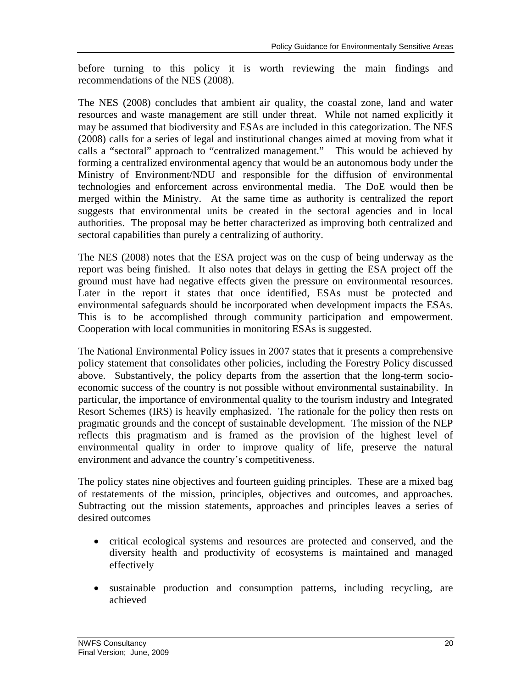before turning to this policy it is worth reviewing the main findings and recommendations of the NES (2008).

The NES (2008) concludes that ambient air quality, the coastal zone, land and water resources and waste management are still under threat. While not named explicitly it may be assumed that biodiversity and ESAs are included in this categorization. The NES (2008) calls for a series of legal and institutional changes aimed at moving from what it calls a "sectoral" approach to "centralized management." This would be achieved by forming a centralized environmental agency that would be an autonomous body under the Ministry of Environment/NDU and responsible for the diffusion of environmental technologies and enforcement across environmental media. The DoE would then be merged within the Ministry. At the same time as authority is centralized the report suggests that environmental units be created in the sectoral agencies and in local authorities. The proposal may be better characterized as improving both centralized and sectoral capabilities than purely a centralizing of authority.

The NES (2008) notes that the ESA project was on the cusp of being underway as the report was being finished. It also notes that delays in getting the ESA project off the ground must have had negative effects given the pressure on environmental resources. Later in the report it states that once identified, ESAs must be protected and environmental safeguards should be incorporated when development impacts the ESAs. This is to be accomplished through community participation and empowerment. Cooperation with local communities in monitoring ESAs is suggested.

The National Environmental Policy issues in 2007 states that it presents a comprehensive policy statement that consolidates other policies, including the Forestry Policy discussed above. Substantively, the policy departs from the assertion that the long-term socioeconomic success of the country is not possible without environmental sustainability. In particular, the importance of environmental quality to the tourism industry and Integrated Resort Schemes (IRS) is heavily emphasized. The rationale for the policy then rests on pragmatic grounds and the concept of sustainable development. The mission of the NEP reflects this pragmatism and is framed as the provision of the highest level of environmental quality in order to improve quality of life, preserve the natural environment and advance the country's competitiveness.

The policy states nine objectives and fourteen guiding principles. These are a mixed bag of restatements of the mission, principles, objectives and outcomes, and approaches. Subtracting out the mission statements, approaches and principles leaves a series of desired outcomes

- critical ecological systems and resources are protected and conserved, and the diversity health and productivity of ecosystems is maintained and managed effectively
- sustainable production and consumption patterns, including recycling, are achieved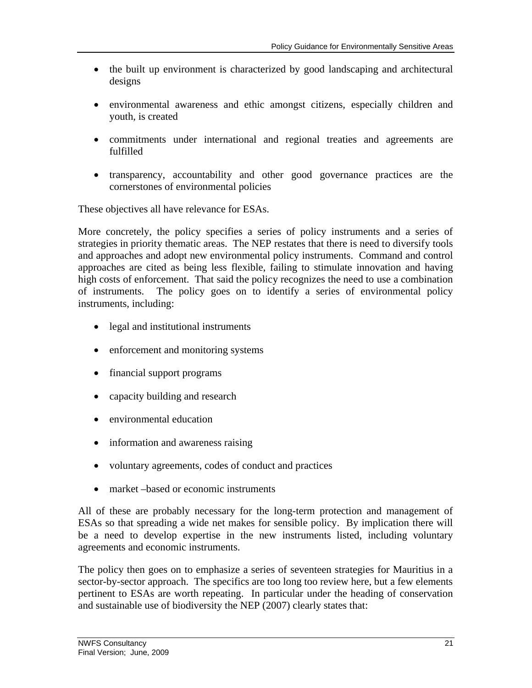- the built up environment is characterized by good landscaping and architectural designs
- environmental awareness and ethic amongst citizens, especially children and youth, is created
- commitments under international and regional treaties and agreements are fulfilled
- transparency, accountability and other good governance practices are the cornerstones of environmental policies

These objectives all have relevance for ESAs.

More concretely, the policy specifies a series of policy instruments and a series of strategies in priority thematic areas. The NEP restates that there is need to diversify tools and approaches and adopt new environmental policy instruments. Command and control approaches are cited as being less flexible, failing to stimulate innovation and having high costs of enforcement. That said the policy recognizes the need to use a combination of instruments. The policy goes on to identify a series of environmental policy instruments, including:

- legal and institutional instruments
- enforcement and monitoring systems
- financial support programs
- capacity building and research
- environmental education
- information and awareness raising
- voluntary agreements, codes of conduct and practices
- market –based or economic instruments

All of these are probably necessary for the long-term protection and management of ESAs so that spreading a wide net makes for sensible policy. By implication there will be a need to develop expertise in the new instruments listed, including voluntary agreements and economic instruments.

The policy then goes on to emphasize a series of seventeen strategies for Mauritius in a sector-by-sector approach. The specifics are too long too review here, but a few elements pertinent to ESAs are worth repeating. In particular under the heading of conservation and sustainable use of biodiversity the NEP (2007) clearly states that: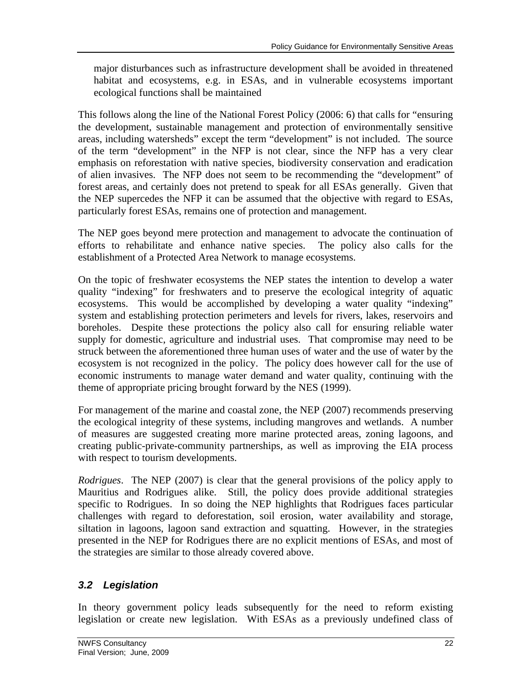major disturbances such as infrastructure development shall be avoided in threatened habitat and ecosystems, e.g. in ESAs, and in vulnerable ecosystems important ecological functions shall be maintained

This follows along the line of the National Forest Policy (2006: 6) that calls for "ensuring the development, sustainable management and protection of environmentally sensitive areas, including watersheds" except the term "development" is not included. The source of the term "development" in the NFP is not clear, since the NFP has a very clear emphasis on reforestation with native species, biodiversity conservation and eradication of alien invasives. The NFP does not seem to be recommending the "development" of forest areas, and certainly does not pretend to speak for all ESAs generally. Given that the NEP supercedes the NFP it can be assumed that the objective with regard to ESAs, particularly forest ESAs, remains one of protection and management.

The NEP goes beyond mere protection and management to advocate the continuation of efforts to rehabilitate and enhance native species. The policy also calls for the establishment of a Protected Area Network to manage ecosystems.

On the topic of freshwater ecosystems the NEP states the intention to develop a water quality "indexing" for freshwaters and to preserve the ecological integrity of aquatic ecosystems. This would be accomplished by developing a water quality "indexing" system and establishing protection perimeters and levels for rivers, lakes, reservoirs and boreholes. Despite these protections the policy also call for ensuring reliable water supply for domestic, agriculture and industrial uses. That compromise may need to be struck between the aforementioned three human uses of water and the use of water by the ecosystem is not recognized in the policy. The policy does however call for the use of economic instruments to manage water demand and water quality, continuing with the theme of appropriate pricing brought forward by the NES (1999).

For management of the marine and coastal zone, the NEP (2007) recommends preserving the ecological integrity of these systems, including mangroves and wetlands. A number of measures are suggested creating more marine protected areas, zoning lagoons, and creating public-private-community partnerships, as well as improving the EIA process with respect to tourism developments.

*Rodrigues*. The NEP (2007) is clear that the general provisions of the policy apply to Mauritius and Rodrigues alike. Still, the policy does provide additional strategies specific to Rodrigues. In so doing the NEP highlights that Rodrigues faces particular challenges with regard to deforestation, soil erosion, water availability and storage, siltation in lagoons, lagoon sand extraction and squatting. However, in the strategies presented in the NEP for Rodrigues there are no explicit mentions of ESAs, and most of the strategies are similar to those already covered above.

### *3.2 Legislation*

In theory government policy leads subsequently for the need to reform existing legislation or create new legislation. With ESAs as a previously undefined class of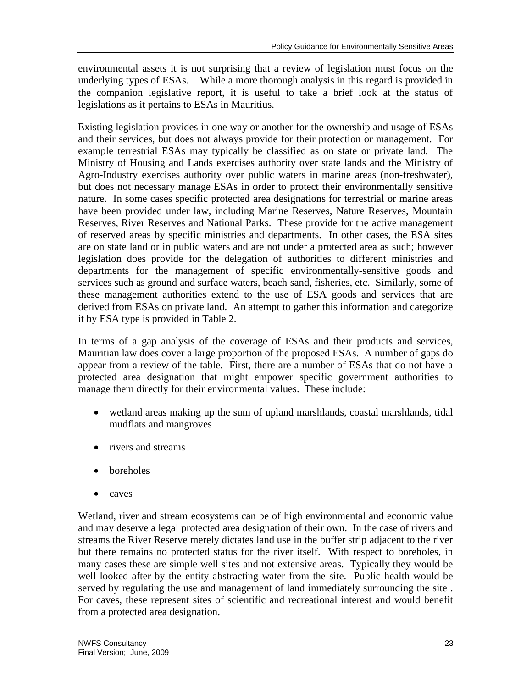environmental assets it is not surprising that a review of legislation must focus on the underlying types of ESAs. While a more thorough analysis in this regard is provided in the companion legislative report, it is useful to take a brief look at the status of legislations as it pertains to ESAs in Mauritius.

Existing legislation provides in one way or another for the ownership and usage of ESAs and their services, but does not always provide for their protection or management. For example terrestrial ESAs may typically be classified as on state or private land. The Ministry of Housing and Lands exercises authority over state lands and the Ministry of Agro-Industry exercises authority over public waters in marine areas (non-freshwater), but does not necessary manage ESAs in order to protect their environmentally sensitive nature. In some cases specific protected area designations for terrestrial or marine areas have been provided under law, including Marine Reserves, Nature Reserves, Mountain Reserves, River Reserves and National Parks. These provide for the active management of reserved areas by specific ministries and departments. In other cases, the ESA sites are on state land or in public waters and are not under a protected area as such; however legislation does provide for the delegation of authorities to different ministries and departments for the management of specific environmentally-sensitive goods and services such as ground and surface waters, beach sand, fisheries, etc. Similarly, some of these management authorities extend to the use of ESA goods and services that are derived from ESAs on private land. An attempt to gather this information and categorize it by ESA type is provided in Table 2.

In terms of a gap analysis of the coverage of ESAs and their products and services, Mauritian law does cover a large proportion of the proposed ESAs. A number of gaps do appear from a review of the table. First, there are a number of ESAs that do not have a protected area designation that might empower specific government authorities to manage them directly for their environmental values. These include:

- wetland areas making up the sum of upland marshlands, coastal marshlands, tidal mudflats and mangroves
- rivers and streams
- boreholes
- caves

Wetland, river and stream ecosystems can be of high environmental and economic value and may deserve a legal protected area designation of their own. In the case of rivers and streams the River Reserve merely dictates land use in the buffer strip adjacent to the river but there remains no protected status for the river itself. With respect to boreholes, in many cases these are simple well sites and not extensive areas. Typically they would be well looked after by the entity abstracting water from the site. Public health would be served by regulating the use and management of land immediately surrounding the site . For caves, these represent sites of scientific and recreational interest and would benefit from a protected area designation.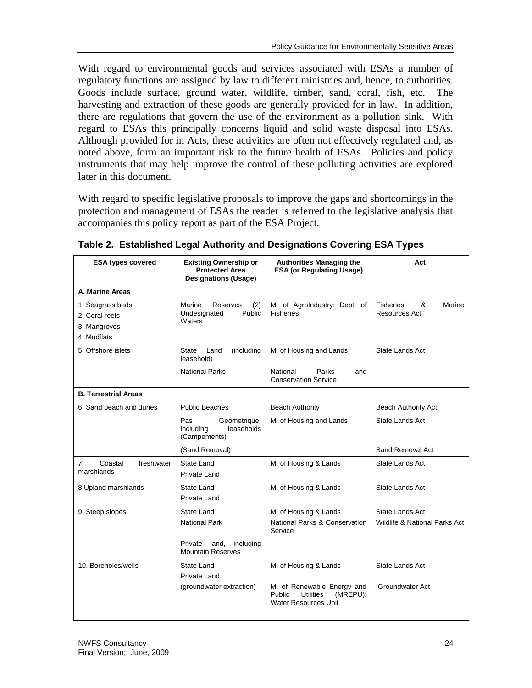With regard to environmental goods and services associated with ESAs a number of regulatory functions are assigned by law to different ministries and, hence, to authorities. Goods include surface, ground water, wildlife, timber, sand, coral, fish, etc. The harvesting and extraction of these goods are generally provided for in law. In addition, there are regulations that govern the use of the environment as a pollution sink. With regard to ESAs this principally concerns liquid and solid waste disposal into ESAs. Although provided for in Acts, these activities are often not effectively regulated and, as noted above, form an important risk to the future health of ESAs. Policies and policy instruments that may help improve the control of these polluting activities are explored later in this document.

With regard to specific legislative proposals to improve the gaps and shortcomings in the protection and management of ESAs the reader is referred to the legislative analysis that accompanies this policy report as part of the ESA Project.

| <b>ESA types covered</b>                                          | <b>Existing Ownership or</b><br><b>Protected Area</b><br><b>Designations (Usage)</b> | <b>Authorities Managing the</b><br><b>ESA (or Regulating Usage)</b>                          | Act                                              |
|-------------------------------------------------------------------|--------------------------------------------------------------------------------------|----------------------------------------------------------------------------------------------|--------------------------------------------------|
| A. Marine Areas                                                   |                                                                                      |                                                                                              |                                                  |
| 1. Seagrass beds<br>2. Coral reefs<br>3. Mangroves<br>4. Mudflats | Marine<br>Reserves<br>(2)<br>Undesignated<br>Public<br>Waters                        | M. of AgroIndustry: Dept. of<br><b>Fisheries</b>                                             | <b>Fisheries</b><br>&<br>Marine<br>Resources Act |
| 5. Offshore islets                                                | Land<br>State<br>(including<br>leasehold)                                            | M. of Housing and Lands                                                                      | State Lands Act                                  |
|                                                                   | <b>National Parks</b>                                                                | National<br>Parks<br>and<br><b>Conservation Service</b>                                      |                                                  |
| <b>B. Terrestrial Areas</b>                                       |                                                                                      |                                                                                              |                                                  |
| 6. Sand beach and dunes                                           | <b>Public Beaches</b>                                                                | <b>Beach Authority</b>                                                                       | <b>Beach Authority Act</b>                       |
|                                                                   | Pas<br>Geometrique,<br>including<br>leaseholds<br>(Campements)                       | M. of Housing and Lands                                                                      | <b>State Lands Act</b>                           |
|                                                                   | (Sand Removal)                                                                       |                                                                                              | Sand Removal Act                                 |
| 7.<br>Coastal<br>freshwater<br>marshlands                         | State Land<br><b>Private Land</b>                                                    | M. of Housing & Lands                                                                        | State Lands Act                                  |
| 8. Upland marshlands                                              | State Land<br><b>Private Land</b>                                                    | M. of Housing & Lands                                                                        | <b>State Lands Act</b>                           |
| 9, Steep slopes                                                   | State Land<br><b>National Park</b><br>Private<br>land,<br>including                  | M. of Housing & Lands<br>National Parks & Conservation<br>Service                            | State Lands Act<br>Wildlife & National Parks Act |
|                                                                   | <b>Mountain Reserves</b>                                                             |                                                                                              |                                                  |
| 10. Boreholes/wells                                               | State Land                                                                           | M. of Housing & Lands                                                                        | State Lands Act                                  |
|                                                                   | Private Land<br>(groundwater extraction)                                             | M. of Renewable Energy and<br>Utilities<br>Public<br>(MREPU):<br><b>Water Resources Unit</b> | Groundwater Act                                  |

**Table 2. Established Legal Authority and Designations Covering ESA Types**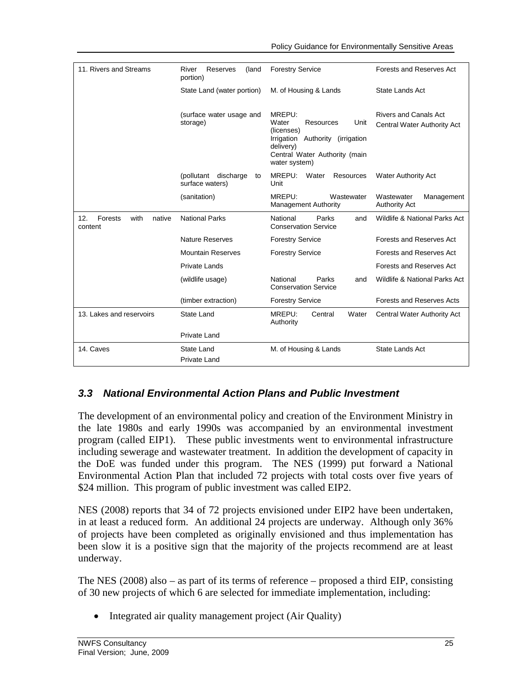| 11. Rivers and Streams                      | River<br>Reserves<br>(land<br>portion)           | <b>Forestry Service</b>                                                                                                                                  | Forests and Reserves Act                                    |  |
|---------------------------------------------|--------------------------------------------------|----------------------------------------------------------------------------------------------------------------------------------------------------------|-------------------------------------------------------------|--|
|                                             | State Land (water portion)                       | M. of Housing & Lands                                                                                                                                    | State Lands Act                                             |  |
|                                             | (surface water usage and<br>storage)             | MREPU:<br>Water<br>Resources<br>Unit<br>(licenses)<br>Irrigation<br>Authority (irrigation<br>delivery)<br>Central Water Authority (main<br>water system) | <b>Rivers and Canals Act</b><br>Central Water Authority Act |  |
|                                             | (pollutant<br>discharge<br>to<br>surface waters) | MREPU:<br>Water<br>Resources<br>Unit                                                                                                                     | <b>Water Authority Act</b>                                  |  |
|                                             | (sanitation)                                     | MREPU:<br>Wastewater<br><b>Management Authority</b>                                                                                                      | Wastewater<br>Management<br><b>Authority Act</b>            |  |
| 12.<br>Forests<br>with<br>native<br>content | <b>National Parks</b>                            | National<br>Parks<br>and<br><b>Conservation Service</b>                                                                                                  | Wildlife & National Parks Act                               |  |
|                                             | <b>Nature Reserves</b>                           | <b>Forestry Service</b>                                                                                                                                  | Forests and Reserves Act                                    |  |
|                                             | <b>Mountain Reserves</b>                         | <b>Forestry Service</b>                                                                                                                                  | Forests and Reserves Act                                    |  |
|                                             | <b>Private Lands</b>                             |                                                                                                                                                          | Forests and Reserves Act                                    |  |
|                                             | (wildlife usage)                                 | National<br>Parks<br>and<br><b>Conservation Service</b>                                                                                                  | Wildlife & National Parks Act                               |  |
|                                             | (timber extraction)                              | <b>Forestry Service</b>                                                                                                                                  | <b>Forests and Reserves Acts</b>                            |  |
| 13. Lakes and reservoirs                    | <b>State Land</b>                                | MREPU:<br>Central<br>Water<br>Authority                                                                                                                  | Central Water Authority Act                                 |  |
|                                             | Private Land                                     |                                                                                                                                                          |                                                             |  |
| 14. Caves                                   | State Land<br>Private Land                       | M. of Housing & Lands                                                                                                                                    | State Lands Act                                             |  |

### *3.3 National Environmental Action Plans and Public Investment*

The development of an environmental policy and creation of the Environment Ministry in the late 1980s and early 1990s was accompanied by an environmental investment program (called EIP1). These public investments went to environmental infrastructure including sewerage and wastewater treatment. In addition the development of capacity in the DoE was funded under this program. The NES (1999) put forward a National Environmental Action Plan that included 72 projects with total costs over five years of \$24 million. This program of public investment was called EIP2.

NES (2008) reports that 34 of 72 projects envisioned under EIP2 have been undertaken, in at least a reduced form. An additional 24 projects are underway. Although only 36% of projects have been completed as originally envisioned and thus implementation has been slow it is a positive sign that the majority of the projects recommend are at least underway.

The NES (2008) also – as part of its terms of reference – proposed a third EIP, consisting of 30 new projects of which 6 are selected for immediate implementation, including:

• Integrated air quality management project (Air Quality)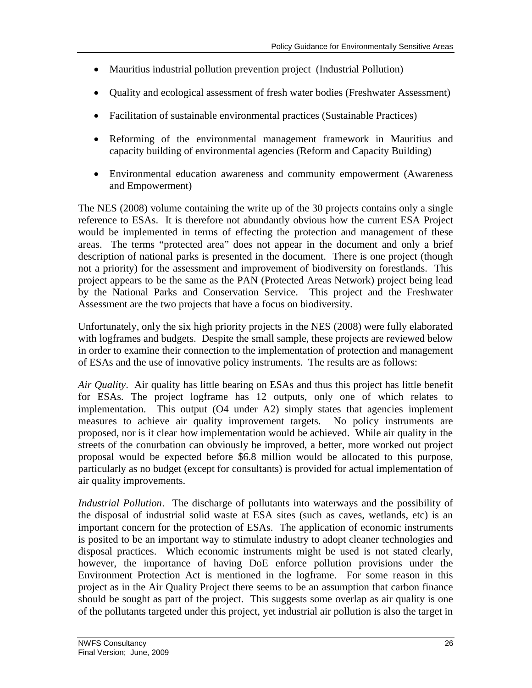- Mauritius industrial pollution prevention project (Industrial Pollution)
- Quality and ecological assessment of fresh water bodies (Freshwater Assessment)
- Facilitation of sustainable environmental practices (Sustainable Practices)
- Reforming of the environmental management framework in Mauritius and capacity building of environmental agencies (Reform and Capacity Building)
- Environmental education awareness and community empowerment (Awareness and Empowerment)

The NES (2008) volume containing the write up of the 30 projects contains only a single reference to ESAs. It is therefore not abundantly obvious how the current ESA Project would be implemented in terms of effecting the protection and management of these areas. The terms "protected area" does not appear in the document and only a brief description of national parks is presented in the document. There is one project (though not a priority) for the assessment and improvement of biodiversity on forestlands. This project appears to be the same as the PAN (Protected Areas Network) project being lead by the National Parks and Conservation Service. This project and the Freshwater Assessment are the two projects that have a focus on biodiversity.

Unfortunately, only the six high priority projects in the NES (2008) were fully elaborated with logframes and budgets. Despite the small sample, these projects are reviewed below in order to examine their connection to the implementation of protection and management of ESAs and the use of innovative policy instruments. The results are as follows:

*Air Quality*. Air quality has little bearing on ESAs and thus this project has little benefit for ESAs. The project logframe has 12 outputs, only one of which relates to implementation. This output (O4 under A2) simply states that agencies implement measures to achieve air quality improvement targets. No policy instruments are proposed, nor is it clear how implementation would be achieved. While air quality in the streets of the conurbation can obviously be improved, a better, more worked out project proposal would be expected before \$6.8 million would be allocated to this purpose, particularly as no budget (except for consultants) is provided for actual implementation of air quality improvements.

*Industrial Pollution*. The discharge of pollutants into waterways and the possibility of the disposal of industrial solid waste at ESA sites (such as caves, wetlands, etc) is an important concern for the protection of ESAs. The application of economic instruments is posited to be an important way to stimulate industry to adopt cleaner technologies and disposal practices. Which economic instruments might be used is not stated clearly, however, the importance of having DoE enforce pollution provisions under the Environment Protection Act is mentioned in the logframe. For some reason in this project as in the Air Quality Project there seems to be an assumption that carbon finance should be sought as part of the project. This suggests some overlap as air quality is one of the pollutants targeted under this project, yet industrial air pollution is also the target in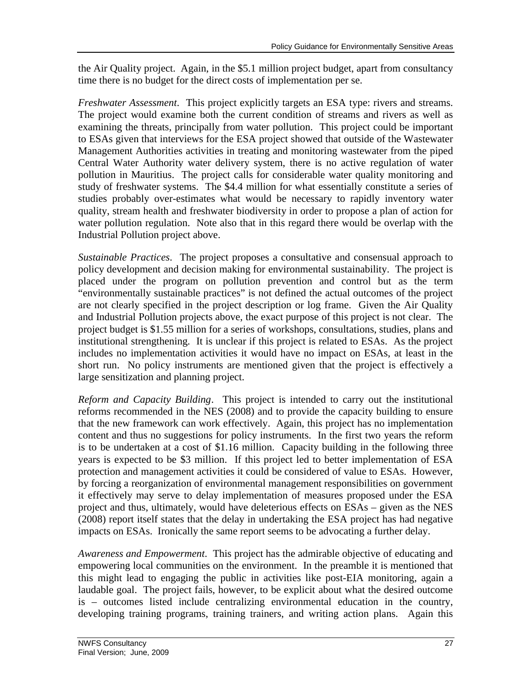the Air Quality project. Again, in the \$5.1 million project budget, apart from consultancy time there is no budget for the direct costs of implementation per se.

*Freshwater Assessment*. This project explicitly targets an ESA type: rivers and streams. The project would examine both the current condition of streams and rivers as well as examining the threats, principally from water pollution. This project could be important to ESAs given that interviews for the ESA project showed that outside of the Wastewater Management Authorities activities in treating and monitoring wastewater from the piped Central Water Authority water delivery system, there is no active regulation of water pollution in Mauritius. The project calls for considerable water quality monitoring and study of freshwater systems. The \$4.4 million for what essentially constitute a series of studies probably over-estimates what would be necessary to rapidly inventory water quality, stream health and freshwater biodiversity in order to propose a plan of action for water pollution regulation. Note also that in this regard there would be overlap with the Industrial Pollution project above.

*Sustainable Practices*. The project proposes a consultative and consensual approach to policy development and decision making for environmental sustainability. The project is placed under the program on pollution prevention and control but as the term "environmentally sustainable practices" is not defined the actual outcomes of the project are not clearly specified in the project description or log frame. Given the Air Quality and Industrial Pollution projects above, the exact purpose of this project is not clear. The project budget is \$1.55 million for a series of workshops, consultations, studies, plans and institutional strengthening. It is unclear if this project is related to ESAs. As the project includes no implementation activities it would have no impact on ESAs, at least in the short run. No policy instruments are mentioned given that the project is effectively a large sensitization and planning project.

*Reform and Capacity Building*. This project is intended to carry out the institutional reforms recommended in the NES (2008) and to provide the capacity building to ensure that the new framework can work effectively. Again, this project has no implementation content and thus no suggestions for policy instruments. In the first two years the reform is to be undertaken at a cost of \$1.16 million. Capacity building in the following three years is expected to be \$3 million. If this project led to better implementation of ESA protection and management activities it could be considered of value to ESAs. However, by forcing a reorganization of environmental management responsibilities on government it effectively may serve to delay implementation of measures proposed under the ESA project and thus, ultimately, would have deleterious effects on ESAs – given as the NES (2008) report itself states that the delay in undertaking the ESA project has had negative impacts on ESAs. Ironically the same report seems to be advocating a further delay.

*Awareness and Empowerment*. This project has the admirable objective of educating and empowering local communities on the environment. In the preamble it is mentioned that this might lead to engaging the public in activities like post-EIA monitoring, again a laudable goal. The project fails, however, to be explicit about what the desired outcome is – outcomes listed include centralizing environmental education in the country, developing training programs, training trainers, and writing action plans. Again this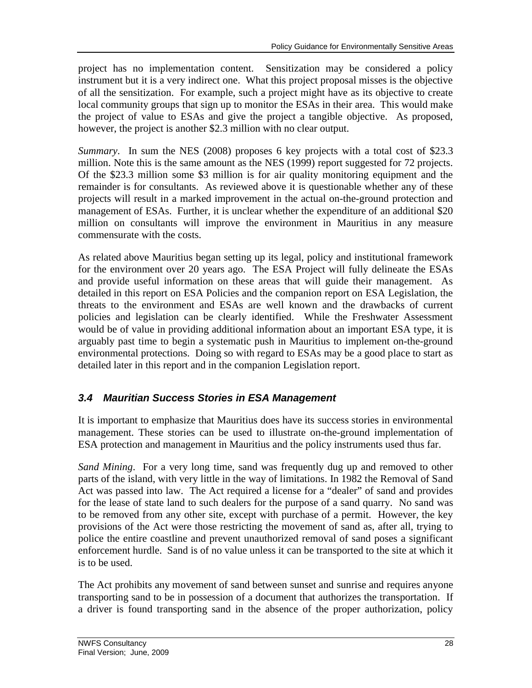project has no implementation content. Sensitization may be considered a policy instrument but it is a very indirect one. What this project proposal misses is the objective of all the sensitization. For example, such a project might have as its objective to create local community groups that sign up to monitor the ESAs in their area. This would make the project of value to ESAs and give the project a tangible objective. As proposed, however, the project is another \$2.3 million with no clear output.

*Summary*. In sum the NES (2008) proposes 6 key projects with a total cost of \$23.3 million. Note this is the same amount as the NES (1999) report suggested for 72 projects. Of the \$23.3 million some \$3 million is for air quality monitoring equipment and the remainder is for consultants. As reviewed above it is questionable whether any of these projects will result in a marked improvement in the actual on-the-ground protection and management of ESAs. Further, it is unclear whether the expenditure of an additional \$20 million on consultants will improve the environment in Mauritius in any measure commensurate with the costs.

As related above Mauritius began setting up its legal, policy and institutional framework for the environment over 20 years ago. The ESA Project will fully delineate the ESAs and provide useful information on these areas that will guide their management. As detailed in this report on ESA Policies and the companion report on ESA Legislation, the threats to the environment and ESAs are well known and the drawbacks of current policies and legislation can be clearly identified. While the Freshwater Assessment would be of value in providing additional information about an important ESA type, it is arguably past time to begin a systematic push in Mauritius to implement on-the-ground environmental protections. Doing so with regard to ESAs may be a good place to start as detailed later in this report and in the companion Legislation report.

# *3.4 Mauritian Success Stories in ESA Management*

It is important to emphasize that Mauritius does have its success stories in environmental management. These stories can be used to illustrate on-the-ground implementation of ESA protection and management in Mauritius and the policy instruments used thus far.

*Sand Mining*. For a very long time, sand was frequently dug up and removed to other parts of the island, with very little in the way of limitations. In 1982 the Removal of Sand Act was passed into law. The Act required a license for a "dealer" of sand and provides for the lease of state land to such dealers for the purpose of a sand quarry. No sand was to be removed from any other site, except with purchase of a permit. However, the key provisions of the Act were those restricting the movement of sand as, after all, trying to police the entire coastline and prevent unauthorized removal of sand poses a significant enforcement hurdle. Sand is of no value unless it can be transported to the site at which it is to be used.

The Act prohibits any movement of sand between sunset and sunrise and requires anyone transporting sand to be in possession of a document that authorizes the transportation. If a driver is found transporting sand in the absence of the proper authorization, policy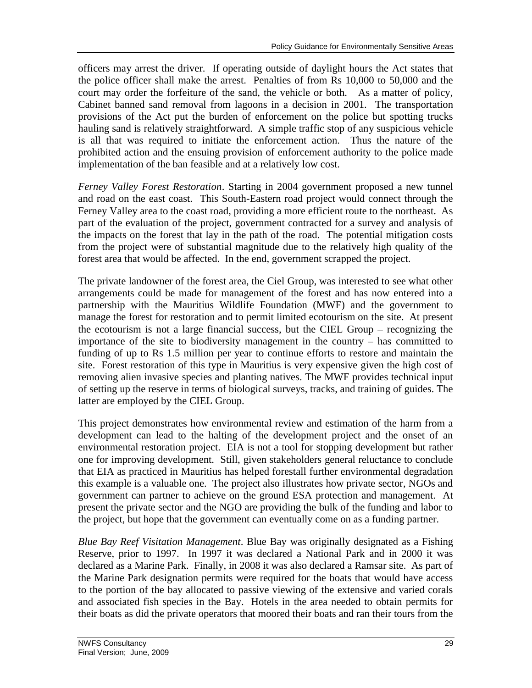officers may arrest the driver. If operating outside of daylight hours the Act states that the police officer shall make the arrest. Penalties of from Rs 10,000 to 50,000 and the court may order the forfeiture of the sand, the vehicle or both. As a matter of policy, Cabinet banned sand removal from lagoons in a decision in 2001. The transportation provisions of the Act put the burden of enforcement on the police but spotting trucks hauling sand is relatively straightforward. A simple traffic stop of any suspicious vehicle is all that was required to initiate the enforcement action. Thus the nature of the prohibited action and the ensuing provision of enforcement authority to the police made implementation of the ban feasible and at a relatively low cost.

*Ferney Valley Forest Restoration*. Starting in 2004 government proposed a new tunnel and road on the east coast. This South-Eastern road project would connect through the Ferney Valley area to the coast road, providing a more efficient route to the northeast. As part of the evaluation of the project, government contracted for a survey and analysis of the impacts on the forest that lay in the path of the road. The potential mitigation costs from the project were of substantial magnitude due to the relatively high quality of the forest area that would be affected. In the end, government scrapped the project.

The private landowner of the forest area, the Ciel Group, was interested to see what other arrangements could be made for management of the forest and has now entered into a partnership with the Mauritius Wildlife Foundation (MWF) and the government to manage the forest for restoration and to permit limited ecotourism on the site. At present the ecotourism is not a large financial success, but the CIEL Group – recognizing the importance of the site to biodiversity management in the country – has committed to funding of up to Rs 1.5 million per year to continue efforts to restore and maintain the site. Forest restoration of this type in Mauritius is very expensive given the high cost of removing alien invasive species and planting natives. The MWF provides technical input of setting up the reserve in terms of biological surveys, tracks, and training of guides. The latter are employed by the CIEL Group.

This project demonstrates how environmental review and estimation of the harm from a development can lead to the halting of the development project and the onset of an environmental restoration project. EIA is not a tool for stopping development but rather one for improving development. Still, given stakeholders general reluctance to conclude that EIA as practiced in Mauritius has helped forestall further environmental degradation this example is a valuable one. The project also illustrates how private sector, NGOs and government can partner to achieve on the ground ESA protection and management. At present the private sector and the NGO are providing the bulk of the funding and labor to the project, but hope that the government can eventually come on as a funding partner.

*Blue Bay Reef Visitation Management*. Blue Bay was originally designated as a Fishing Reserve, prior to 1997. In 1997 it was declared a National Park and in 2000 it was declared as a Marine Park. Finally, in 2008 it was also declared a Ramsar site. As part of the Marine Park designation permits were required for the boats that would have access to the portion of the bay allocated to passive viewing of the extensive and varied corals and associated fish species in the Bay. Hotels in the area needed to obtain permits for their boats as did the private operators that moored their boats and ran their tours from the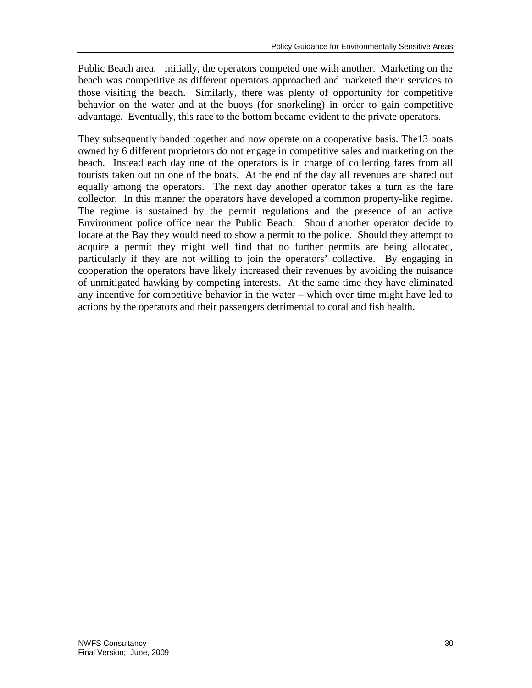Public Beach area. Initially, the operators competed one with another. Marketing on the beach was competitive as different operators approached and marketed their services to those visiting the beach. Similarly, there was plenty of opportunity for competitive behavior on the water and at the buoys (for snorkeling) in order to gain competitive advantage. Eventually, this race to the bottom became evident to the private operators.

They subsequently banded together and now operate on a cooperative basis. The13 boats owned by 6 different proprietors do not engage in competitive sales and marketing on the beach. Instead each day one of the operators is in charge of collecting fares from all tourists taken out on one of the boats. At the end of the day all revenues are shared out equally among the operators. The next day another operator takes a turn as the fare collector. In this manner the operators have developed a common property-like regime. The regime is sustained by the permit regulations and the presence of an active Environment police office near the Public Beach. Should another operator decide to locate at the Bay they would need to show a permit to the police. Should they attempt to acquire a permit they might well find that no further permits are being allocated, particularly if they are not willing to join the operators' collective. By engaging in cooperation the operators have likely increased their revenues by avoiding the nuisance of unmitigated hawking by competing interests. At the same time they have eliminated any incentive for competitive behavior in the water – which over time might have led to actions by the operators and their passengers detrimental to coral and fish health.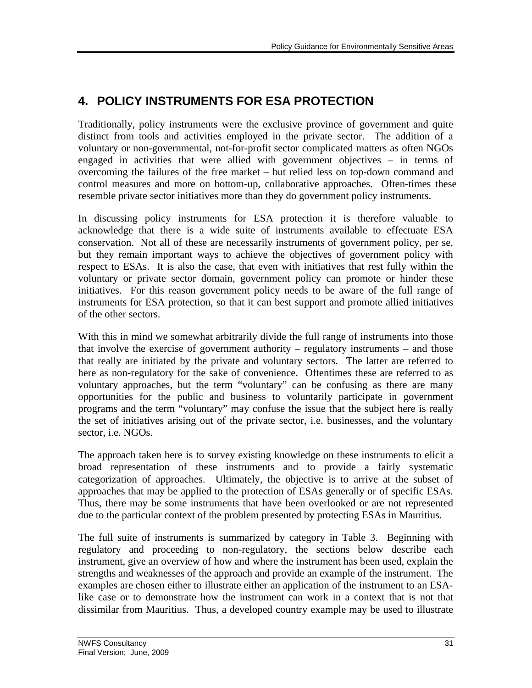# **4. POLICY INSTRUMENTS FOR ESA PROTECTION**

control measures and more on bottom-up, collaborative approaches. Often-times these Traditionally, policy instruments were the exclusive province of government and quite distinct from tools and activities employed in the private sector. The addition of a voluntary or non-governmental, not-for-profit sector complicated matters as often NGOs engaged in activities that were allied with government objectives – in terms of overcoming the failures of the free market – but relied less on top-down command and resemble private sector initiatives more than they do government policy instruments.

In discussing policy instruments for ESA protection it is therefore valuable to acknowledge that there is a wide suite of instruments available to effectuate ESA conservation. Not all of these are necessarily instruments of government policy, per se, but they remain important ways to achieve the objectives of government policy with respect to ESAs. It is also the case, that even with initiatives that rest fully within the voluntary or private sector domain, government policy can promote or hinder these initiatives. For this reason government policy needs to be aware of the full range of instruments for ESA protection, so that it can best support and promote allied initiatives of the other sectors.

With this in mind we somewhat arbitrarily divide the full range of instruments into those that involve the exercise of government authority – regulatory instruments – and those that really are initiated by the private and voluntary sectors. The latter are referred to here as non-regulatory for the sake of convenience. Oftentimes these are referred to as voluntary approaches, but the term "voluntary" can be confusing as there are many opportunities for the public and business to voluntarily participate in government programs and the term "voluntary" may confuse the issue that the subject here is really the set of initiatives arising out of the private sector, i.e. businesses, and the voluntary sector, i.e. NGOs.

The approach taken here is to survey existing knowledge on these instruments to elicit a broad representation of these instruments and to provide a fairly systematic categorization of approaches. Ultimately, the objective is to arrive at the subset of approaches that may be applied to the protection of ESAs generally or of specific ESAs. Thus, there may be some instruments that have been overlooked or are not represented due to the particular context of the problem presented by protecting ESAs in Mauritius.

The full suite of instruments is summarized by category in Table 3. Beginning with regulatory and proceeding to non-regulatory, the sections below describe each instrument, give an overview of how and where the instrument has been used, explain the strengths and weaknesses of the approach and provide an example of the instrument. The examples are chosen either to illustrate either an application of the instrument to an ESAlike case or to demonstrate how the instrument can work in a context that is not that dissimilar from Mauritius. Thus, a developed country example may be used to illustrate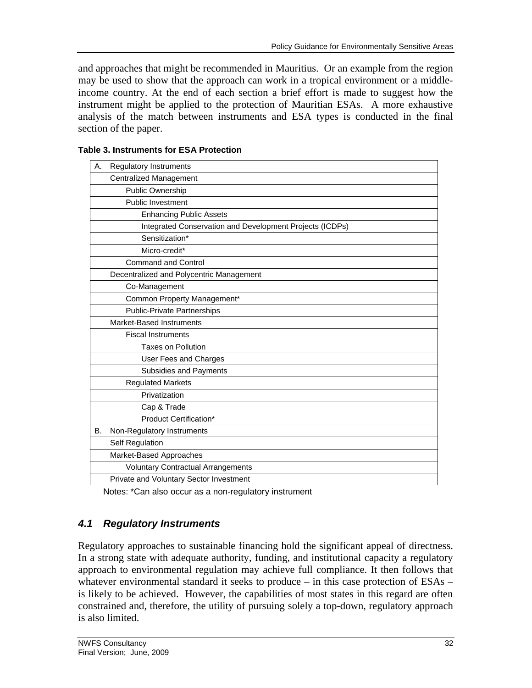and approaches that might be recommended in Mauritius. Or an example from the region may be used to show that the approach can work in a tropical environment or a middleincome country. At the end of each section a brief effort is made to suggest how the instrument might be applied to the protection of Mauritian ESAs. A more exhaustive analysis of the match between instruments and ESA types is conducted in the final section of the paper.

| <b>Regulatory Instruments</b><br>А.                      |  |  |  |
|----------------------------------------------------------|--|--|--|
| <b>Centralized Management</b>                            |  |  |  |
| Public Ownership                                         |  |  |  |
| <b>Public Investment</b>                                 |  |  |  |
| <b>Enhancing Public Assets</b>                           |  |  |  |
| Integrated Conservation and Development Projects (ICDPs) |  |  |  |
| Sensitization*                                           |  |  |  |
| Micro-credit*                                            |  |  |  |
| <b>Command and Control</b>                               |  |  |  |
| Decentralized and Polycentric Management                 |  |  |  |
| Co-Management                                            |  |  |  |
| Common Property Management*                              |  |  |  |
| <b>Public-Private Partnerships</b>                       |  |  |  |
| Market-Based Instruments                                 |  |  |  |
| <b>Fiscal Instruments</b>                                |  |  |  |
| <b>Taxes on Pollution</b>                                |  |  |  |
| User Fees and Charges                                    |  |  |  |
| Subsidies and Payments                                   |  |  |  |
| <b>Regulated Markets</b>                                 |  |  |  |
| Privatization                                            |  |  |  |
| Cap & Trade                                              |  |  |  |
| Product Certification*                                   |  |  |  |
| Non-Regulatory Instruments<br>В.                         |  |  |  |
| Self Regulation                                          |  |  |  |
| Market-Based Approaches                                  |  |  |  |
| <b>Voluntary Contractual Arrangements</b>                |  |  |  |
| Private and Voluntary Sector Investment                  |  |  |  |

### **Table 3. Instruments for ESA Protection**

Notes: \*Can also occur as a non-regulatory instrument

# *4.1 Regulatory Instruments*

Regulatory approaches to sustainable financing hold the significant appeal of directness. In a strong state with adequate authority, funding, and institutional capacity a regulatory approach to environmental regulation may achieve full compliance. It then follows that whatever environmental standard it seeks to produce – in this case protection of ESAs – is likely to be achieved. However, the capabilities of most states in this regard are often constrained and, therefore, the utility of pursuing solely a top-down, regulatory approach is also limited.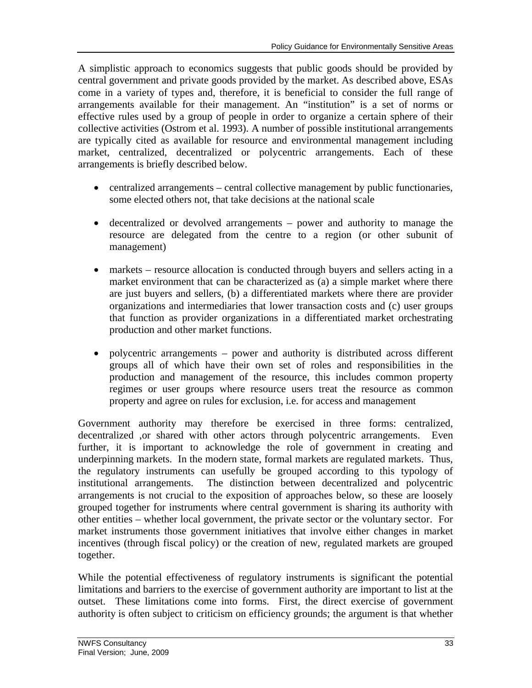A simplistic approach to economics suggests that public goods should be provided by central government and private goods provided by the market. As described above, ESAs come in a variety of types and, therefore, it is beneficial to consider the full range of arrangements available for their management. An "institution" is a set of norms or effective rules used by a group of people in order to organize a certain sphere of their collective activities (Ostrom et al. 1993). A number of possible institutional arrangements are typically cited as available for resource and environmental management including market, centralized, decentralized or polycentric arrangements. Each of these arrangements is briefly described below.

- centralized arrangements central collective management by public functionaries, some elected others not, that take decisions at the national scale
- decentralized or devolved arrangements power and authority to manage the resource are delegated from the centre to a region (or other subunit of management)
- markets resource allocation is conducted through buyers and sellers acting in a market environment that can be characterized as (a) a simple market where there are just buyers and sellers, (b) a differentiated markets where there are provider organizations and intermediaries that lower transaction costs and (c) user groups that function as provider organizations in a differentiated market orchestrating production and other market functions.
- polycentric arrangements power and authority is distributed across different groups all of which have their own set of roles and responsibilities in the production and management of the resource, this includes common property regimes or user groups where resource users treat the resource as common property and agree on rules for exclusion, i.e. for access and management

Government authority may therefore be exercised in three forms: centralized, decentralized ,or shared with other actors through polycentric arrangements. Even further, it is important to acknowledge the role of government in creating and underpinning markets. In the modern state, formal markets are regulated markets. Thus, the regulatory instruments can usefully be grouped according to this typology of institutional arrangements. The distinction between decentralized and polycentric arrangements is not crucial to the exposition of approaches below, so these are loosely grouped together for instruments where central government is sharing its authority with other entities – whether local government, the private sector or the voluntary sector. For market instruments those government initiatives that involve either changes in market incentives (through fiscal policy) or the creation of new, regulated markets are grouped together.

While the potential effectiveness of regulatory instruments is significant the potential limitations and barriers to the exercise of government authority are important to list at the outset. These limitations come into forms. First, the direct exercise of government authority is often subject to criticism on efficiency grounds; the argument is that whether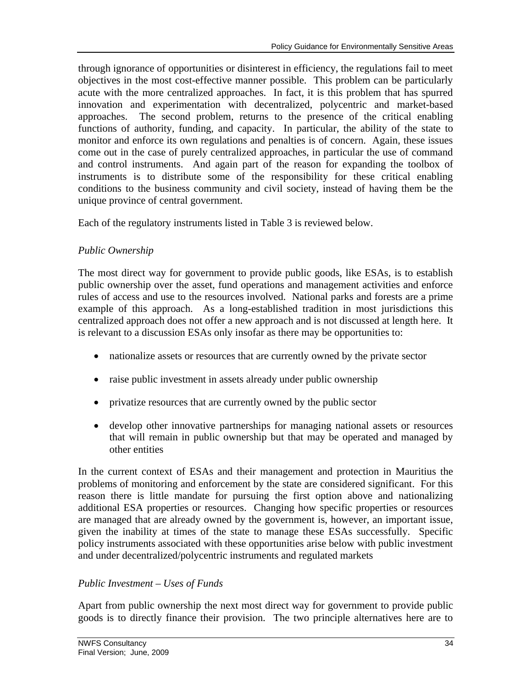through ignorance of opportunities or disinterest in efficiency, the regulations fail to meet objectives in the most cost-effective manner possible. This problem can be particularly acute with the more centralized approaches. In fact, it is this problem that has spurred innovation and experimentation with decentralized, polycentric and market-based approaches. The second problem, returns to the presence of the critical enabling functions of authority, funding, and capacity. In particular, the ability of the state to monitor and enforce its own regulations and penalties is of concern. Again, these issues come out in the case of purely centralized approaches, in particular the use of command and control instruments. And again part of the reason for expanding the toolbox of instruments is to distribute some of the responsibility for these critical enabling conditions to the business community and civil society, instead of having them be the unique province of central government.

Each of the regulatory instruments listed in Table 3 is reviewed below.

# *Public Ownership*

The most direct way for government to provide public goods, like ESAs, is to establish public ownership over the asset, fund operations and management activities and enforce rules of access and use to the resources involved. National parks and forests are a prime example of this approach. As a long-established tradition in most jurisdictions this centralized approach does not offer a new approach and is not discussed at length here. It is relevant to a discussion ESAs only insofar as there may be opportunities to:

- nationalize assets or resources that are currently owned by the private sector
- raise public investment in assets already under public ownership
- privatize resources that are currently owned by the public sector
- develop other innovative partnerships for managing national assets or resources that will remain in public ownership but that may be operated and managed by other entities

In the current context of ESAs and their management and protection in Mauritius the problems of monitoring and enforcement by the state are considered significant. For this reason there is little mandate for pursuing the first option above and nationalizing additional ESA properties or resources. Changing how specific properties or resources are managed that are already owned by the government is, however, an important issue, given the inability at times of the state to manage these ESAs successfully. Specific policy instruments associated with these opportunities arise below with public investment and under decentralized/polycentric instruments and regulated markets

# *Public Investment – Uses of Funds*

Apart from public ownership the next most direct way for government to provide public goods is to directly finance their provision. The two principle alternatives here are to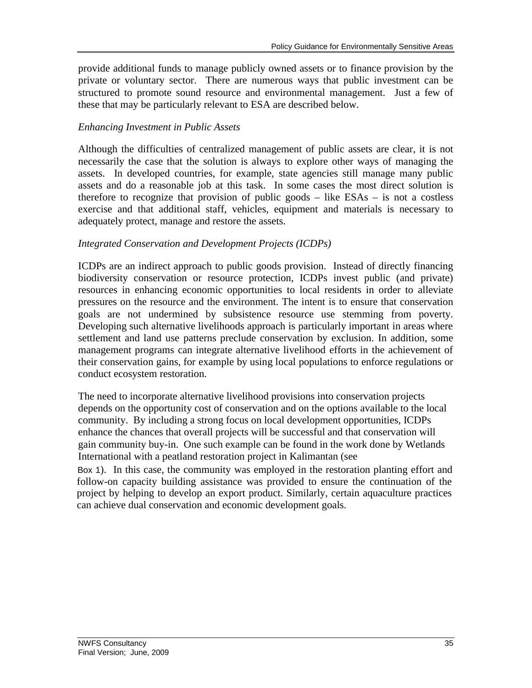provide additional funds to manage publicly owned assets or to finance provision by the private or voluntary sector. There are numerous ways that public investment can be structured to promote sound resource and environmental management. Just a few of these that may be particularly relevant to ESA are described below.

# *Enhancing Investment in Public Assets*

Although the difficulties of centralized management of public assets are clear, it is not necessarily the case that the solution is always to explore other ways of managing the assets. In developed countries, for example, state agencies still manage many public assets and do a reasonable job at this task. In some cases the most direct solution is therefore to recognize that provision of public goods – like ESAs – is not a costless exercise and that additional staff, vehicles, equipment and materials is necessary to adequately protect, manage and restore the assets.

# *Integrated Conservation and Development Projects (ICDPs)*

ICDPs are an indirect approach to public goods provision. Instead of directly financing biodiversity conservation or resource protection, ICDPs invest public (and private) resources in enhancing economic opportunities to local residents in order to alleviate pressures on the resource and the environment. The intent is to ensure that conservation goals are not undermined by subsistence resource use stemming from poverty. Developing such alternative livelihoods approach is particularly important in areas where settlement and land use patterns preclude conservation by exclusion. In addition, some management programs can integrate alternative livelihood efforts in the achievement of their conservation gains, for example by using local populations to enforce regulations or conduct ecosystem restoration.

The need to incorporate alternative livelihood provisions into conservation projects depends on the opportunity cost of conservation and on the options available to the local community. By including a strong focus on local development opportunities, ICDPs enhance the chances that overall projects will be successful and that conservation will gain community buy-in. One such example can be found in the work done by Wetlands International with a peatland restoration project in Kalimantan (see

Box 1). In this case, the community was employed in the restoration planting effort and follow-on capacity building assistance was provided to ensure the continuation of the project by helping to develop an export product. Similarly, certain aquaculture practices can achieve dual conservation and economic development goals.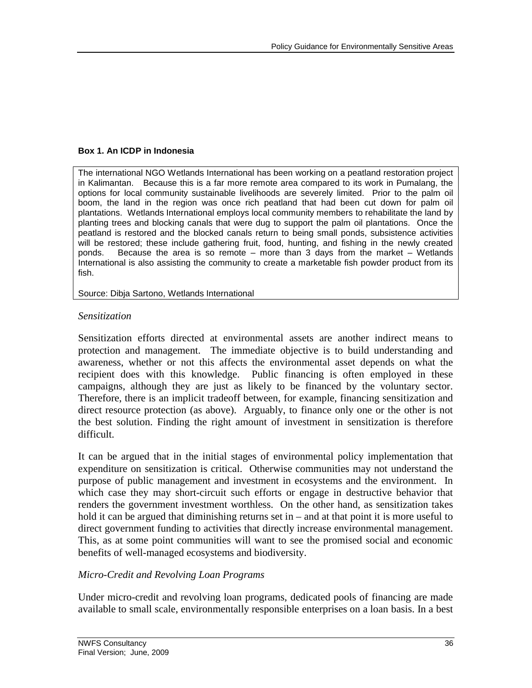### **Box 1. An ICDP in Indonesia**

The international NGO Wetlands International has been working on a peatland restoration project in Kalimantan. Because this is a far more remote area compared to its work in Pumalang, the options for local community sustainable livelihoods are severely limited. Prior to the palm oil boom, the land in the region was once rich peatland that had been cut down for palm oil plantations. Wetlands International employs local community members to rehabilitate the land by planting trees and blocking canals that were dug to support the palm oil plantations. Once the peatland is restored and the blocked canals return to being small ponds, subsistence activities will be restored; these include gathering fruit, food, hunting, and fishing in the newly created ponds. Because the area is so remote – more than 3 days from the market – Wetlands International is also assisting the community to create a marketable fish powder product from its fish.

Source: Dibja Sartono, Wetlands International

### *Sensitization*

Sensitization efforts directed at environmental assets are another indirect means to protection and management. The immediate objective is to build understanding and awareness, whether or not this affects the environmental asset depends on what the recipient does with this knowledge. Public financing is often employed in these campaigns, although they are just as likely to be financed by the voluntary sector. Therefore, there is an implicit tradeoff between, for example, financing sensitization and direct resource protection (as above). Arguably, to finance only one or the other is not the best solution. Finding the right amount of investment in sensitization is therefore difficult.

It can be argued that in the initial stages of environmental policy implementation that expenditure on sensitization is critical. Otherwise communities may not understand the purpose of public management and investment in ecosystems and the environment. In which case they may short-circuit such efforts or engage in destructive behavior that renders the government investment worthless. On the other hand, as sensitization takes hold it can be argued that diminishing returns set in – and at that point it is more useful to direct government funding to activities that directly increase environmental management. This, as at some point communities will want to see the promised social and economic benefits of well-managed ecosystems and biodiversity.

### *Micro-Credit and Revolving Loan Programs*

Under micro-credit and revolving loan programs, dedicated pools of financing are made available to small scale, environmentally responsible enterprises on a loan basis. In a best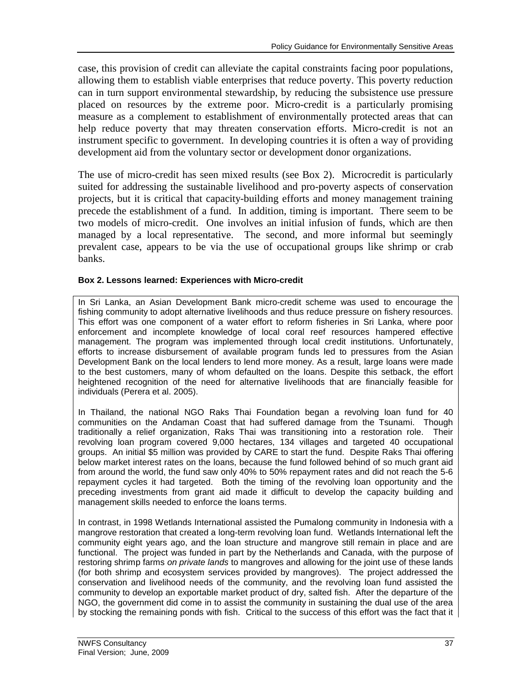case, this provision of credit can alleviate the capital constraints facing poor populations, allowing them to establish viable enterprises that reduce poverty. This poverty reduction can in turn support environmental stewardship, by reducing the subsistence use pressure placed on resources by the extreme poor. Micro-credit is a particularly promising measure as a complement to establishment of environmentally protected areas that can help reduce poverty that may threaten conservation efforts. Micro-credit is not an instrument specific to government. In developing countries it is often a way of providing development aid from the voluntary sector or development donor organizations.

The use of micro-credit has seen mixed results (see Box 2). Microcredit is particularly suited for addressing the sustainable livelihood and pro-poverty aspects of conservation projects, but it is critical that capacity-building efforts and money management training precede the establishment of a fund. In addition, timing is important. There seem to be two models of micro-credit. One involves an initial infusion of funds, which are then managed by a local representative. The second, and more informal but seemingly prevalent case, appears to be via the use of occupational groups like shrimp or crab banks.

### **Box 2. Lessons learned: Experiences with Micro-credit**

In Sri Lanka, an Asian Development Bank micro-credit scheme was used to encourage the fishing community to adopt alternative livelihoods and thus reduce pressure on fishery resources. This effort was one component of a water effort to reform fisheries in Sri Lanka, where poor enforcement and incomplete knowledge of local coral reef resources hampered effective management. The program was implemented through local credit institutions. Unfortunately, efforts to increase disbursement of available program funds led to pressures from the Asian Development Bank on the local lenders to lend more money. As a result, large loans were made to the best customers, many of whom defaulted on the loans. Despite this setback, the effort heightened recognition of the need for alternative livelihoods that are financially feasible for individuals (Perera et al. 2005).

In Thailand, the national NGO Raks Thai Foundation began a revolving loan fund for 40 communities on the Andaman Coast that had suffered damage from the Tsunami. Though traditionally a relief organization, Raks Thai was transitioning into a restoration role. Their revolving loan program covered 9,000 hectares, 134 villages and targeted 40 occupational groups. An initial \$5 million was provided by CARE to start the fund. Despite Raks Thai offering below market interest rates on the loans, because the fund followed behind of so much grant aid from around the world, the fund saw only 40% to 50% repayment rates and did not reach the 5-6 repayment cycles it had targeted. Both the timing of the revolving loan opportunity and the preceding investments from grant aid made it difficult to develop the capacity building and management skills needed to enforce the loans terms.

In contrast, in 1998 Wetlands International assisted the Pumalong community in Indonesia with a mangrove restoration that created a long-term revolving loan fund. Wetlands International left the community eight years ago, and the loan structure and mangrove still remain in place and are functional. The project was funded in part by the Netherlands and Canada, with the purpose of restoring shrimp farms *on private lands* to mangroves and allowing for the joint use of these lands (for both shrimp and ecosystem services provided by mangroves). The project addressed the conservation and livelihood needs of the community, and the revolving loan fund assisted the community to develop an exportable market product of dry, salted fish. After the departure of the NGO, the government did come in to assist the community in sustaining the dual use of the area by stocking the remaining ponds with fish. Critical to the success of this effort was the fact that it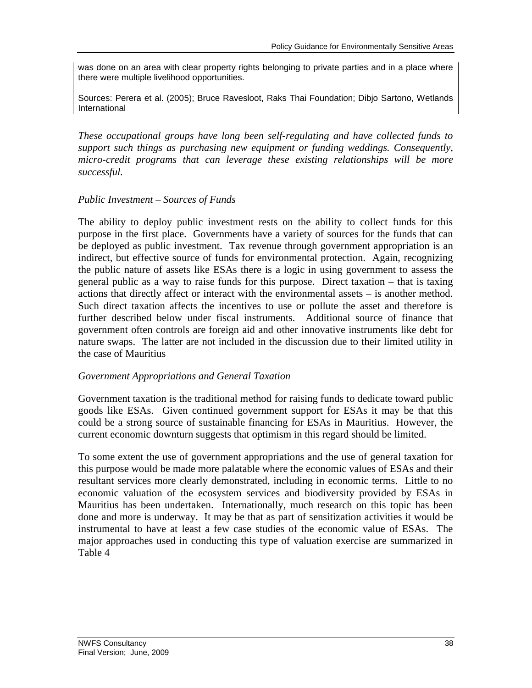was done on an area with clear property rights belonging to private parties and in a place where there were multiple livelihood opportunities.

Sources: Perera et al. (2005); Bruce Ravesloot, Raks Thai Foundation; Dibjo Sartono, Wetlands International

*These occupational groups have long been self-regulating and have collected funds to support such things as purchasing new equipment or funding weddings. Consequently, micro-credit programs that can leverage these existing relationships will be more successful.*

# *Public Investment – Sources of Funds*

The ability to deploy public investment rests on the ability to collect funds for this purpose in the first place. Governments have a variety of sources for the funds that can be deployed as public investment. Tax revenue through government appropriation is an indirect, but effective source of funds for environmental protection. Again, recognizing the public nature of assets like ESAs there is a logic in using government to assess the general public as a way to raise funds for this purpose. Direct taxation – that is taxing actions that directly affect or interact with the environmental assets – is another method. Such direct taxation affects the incentives to use or pollute the asset and therefore is further described below under fiscal instruments. Additional source of finance that government often controls are foreign aid and other innovative instruments like debt for nature swaps. The latter are not included in the discussion due to their limited utility in the case of Mauritius

# *Government Appropriations and General Taxation*

Government taxation is the traditional method for raising funds to dedicate toward public goods like ESAs. Given continued government support for ESAs it may be that this could be a strong source of sustainable financing for ESAs in Mauritius. However, the current economic downturn suggests that optimism in this regard should be limited.

To some extent the use of government appropriations and the use of general taxation for this purpose would be made more palatable where the economic values of ESAs and their resultant services more clearly demonstrated, including in economic terms. Little to no economic valuation of the ecosystem services and biodiversity provided by ESAs in Mauritius has been undertaken. Internationally, much research on this topic has been done and more is underway. It may be that as part of sensitization activities it would be instrumental to have at least a few case studies of the economic value of ESAs. The major approaches used in conducting this type of valuation exercise are summarized in Table 4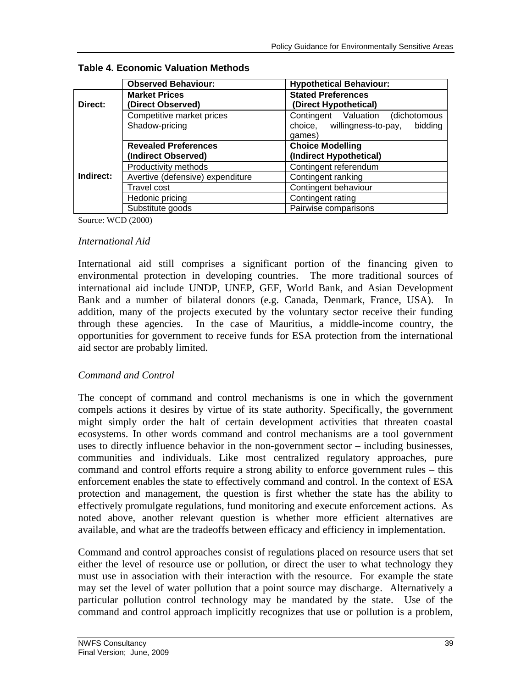|           | <b>Observed Behaviour:</b>       | <b>Hypothetical Behaviour:</b>         |
|-----------|----------------------------------|----------------------------------------|
|           | <b>Market Prices</b>             | <b>Stated Preferences</b>              |
| Direct:   | (Direct Observed)                | (Direct Hypothetical)                  |
|           | Competitive market prices        | Contingent Valuation (dichotomous      |
|           | Shadow-pricing                   | choice, willingness-to-pay,<br>bidding |
|           |                                  | games)                                 |
|           | <b>Revealed Preferences</b>      | <b>Choice Modelling</b>                |
|           | (Indirect Observed)              | (Indirect Hypothetical)                |
|           | Productivity methods             | Contingent referendum                  |
| Indirect: | Avertive (defensive) expenditure | Contingent ranking                     |
|           | <b>Travel cost</b>               | Contingent behaviour                   |
|           | Hedonic pricing                  | Contingent rating                      |
|           | Substitute goods                 | Pairwise comparisons                   |

# **Table 4. Economic Valuation Methods**

Source: WCD (2000)

### *International Aid*

International aid still comprises a significant portion of the financing given to environmental protection in developing countries. The more traditional sources of international aid include UNDP, UNEP, GEF, World Bank, and Asian Development Bank and a number of bilateral donors (e.g. Canada, Denmark, France, USA). In addition, many of the projects executed by the voluntary sector receive their funding through these agencies. In the case of Mauritius, a middle-income country, the opportunities for government to receive funds for ESA protection from the international aid sector are probably limited.

# *Command and Control*

The concept of command and control mechanisms is one in which the government compels actions it desires by virtue of its state authority. Specifically, the government might simply order the halt of certain development activities that threaten coastal ecosystems. In other words command and control mechanisms are a tool government uses to directly influence behavior in the non-government sector – including businesses, communities and individuals. Like most centralized regulatory approaches, pure command and control efforts require a strong ability to enforce government rules – this enforcement enables the state to effectively command and control. In the context of ESA protection and management, the question is first whether the state has the ability to effectively promulgate regulations, fund monitoring and execute enforcement actions. As noted above, another relevant question is whether more efficient alternatives are available, and what are the tradeoffs between efficacy and efficiency in implementation.

Command and control approaches consist of regulations placed on resource users that set either the level of resource use or pollution, or direct the user to what technology they must use in association with their interaction with the resource. For example the state may set the level of water pollution that a point source may discharge. Alternatively a particular pollution control technology may be mandated by the state. Use of the command and control approach implicitly recognizes that use or pollution is a problem,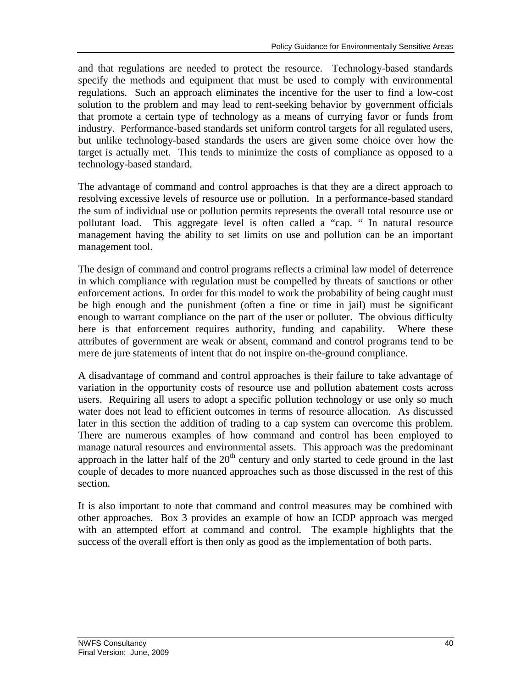and that regulations are needed to protect the resource. Technology-based standards specify the methods and equipment that must be used to comply with environmental regulations. Such an approach eliminates the incentive for the user to find a low-cost solution to the problem and may lead to rent-seeking behavior by government officials that promote a certain type of technology as a means of currying favor or funds from industry. Performance-based standards set uniform control targets for all regulated users, but unlike technology-based standards the users are given some choice over how the target is actually met. This tends to minimize the costs of compliance as opposed to a technology-based standard.

The advantage of command and control approaches is that they are a direct approach to resolving excessive levels of resource use or pollution. In a performance-based standard the sum of individual use or pollution permits represents the overall total resource use or pollutant load. This aggregate level is often called a "cap. " In natural resource management having the ability to set limits on use and pollution can be an important management tool.

The design of command and control programs reflects a criminal law model of deterrence in which compliance with regulation must be compelled by threats of sanctions or other enforcement actions. In order for this model to work the probability of being caught must be high enough and the punishment (often a fine or time in jail) must be significant enough to warrant compliance on the part of the user or polluter. The obvious difficulty here is that enforcement requires authority, funding and capability. Where these attributes of government are weak or absent, command and control programs tend to be mere de jure statements of intent that do not inspire on-the-ground compliance.

A disadvantage of command and control approaches is their failure to take advantage of variation in the opportunity costs of resource use and pollution abatement costs across users. Requiring all users to adopt a specific pollution technology or use only so much water does not lead to efficient outcomes in terms of resource allocation. As discussed later in this section the addition of trading to a cap system can overcome this problem. There are numerous examples of how command and control has been employed to manage natural resources and environmental assets. This approach was the predominant approach in the latter half of the  $20<sup>th</sup>$  century and only started to cede ground in the last couple of decades to more nuanced approaches such as those discussed in the rest of this section.

It is also important to note that command and control measures may be combined with other approaches. Box 3 provides an example of how an ICDP approach was merged with an attempted effort at command and control. The example highlights that the success of the overall effort is then only as good as the implementation of both parts.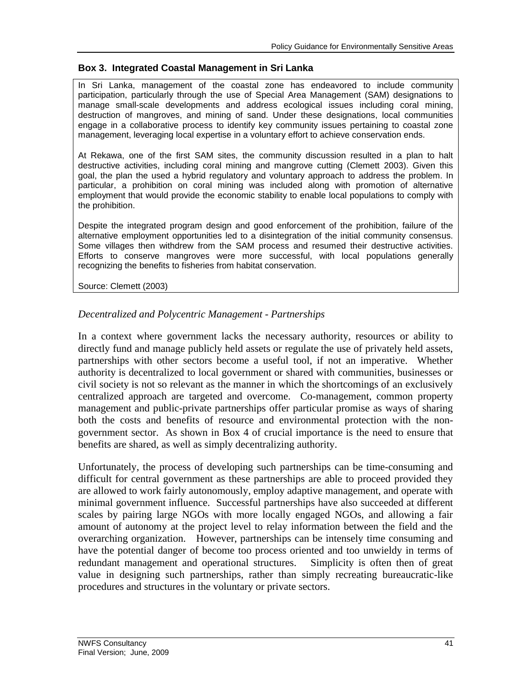### **Box 3. Integrated Coastal Management in Sri Lanka**

In Sri Lanka, management of the coastal zone has endeavored to include community participation, particularly through the use of Special Area Management (SAM) designations to manage small-scale developments and address ecological issues including coral mining, destruction of mangroves, and mining of sand. Under these designations, local communities engage in a collaborative process to identify key community issues pertaining to coastal zone management, leveraging local expertise in a voluntary effort to achieve conservation ends.

At Rekawa, one of the first SAM sites, the community discussion resulted in a plan to halt destructive activities, including coral mining and mangrove cutting (Clemett 2003). Given this goal, the plan the used a hybrid regulatory and voluntary approach to address the problem. In particular, a prohibition on coral mining was included along with promotion of alternative employment that would provide the economic stability to enable local populations to comply with the prohibition.

Despite the integrated program design and good enforcement of the prohibition, failure of the alternative employment opportunities led to a disintegration of the initial community consensus. Some villages then withdrew from the SAM process and resumed their destructive activities. Efforts to conserve mangroves were more successful, with local populations generally recognizing the benefits to fisheries from habitat conservation.

Source: Clemett (2003)

### *Decentralized and Polycentric Management - Partnerships*

In a context where government lacks the necessary authority, resources or ability to directly fund and manage publicly held assets or regulate the use of privately held assets, partnerships with other sectors become a useful tool, if not an imperative. Whether authority is decentralized to local government or shared with communities, businesses or civil society is not so relevant as the manner in which the shortcomings of an exclusively centralized approach are targeted and overcome. Co-management, common property management and public-private partnerships offer particular promise as ways of sharing both the costs and benefits of resource and environmental protection with the nongovernment sector. As shown in Box 4 of crucial importance is the need to ensure that benefits are shared, as well as simply decentralizing authority.

Unfortunately, the process of developing such partnerships can be time-consuming and difficult for central government as these partnerships are able to proceed provided they are allowed to work fairly autonomously, employ adaptive management, and operate with minimal government influence. Successful partnerships have also succeeded at different scales by pairing large NGOs with more locally engaged NGOs, and allowing a fair amount of autonomy at the project level to relay information between the field and the overarching organization. However, partnerships can be intensely time consuming and have the potential danger of become too process oriented and too unwieldy in terms of redundant management and operational structures. Simplicity is often then of great value in designing such partnerships, rather than simply recreating bureaucratic-like procedures and structures in the voluntary or private sectors.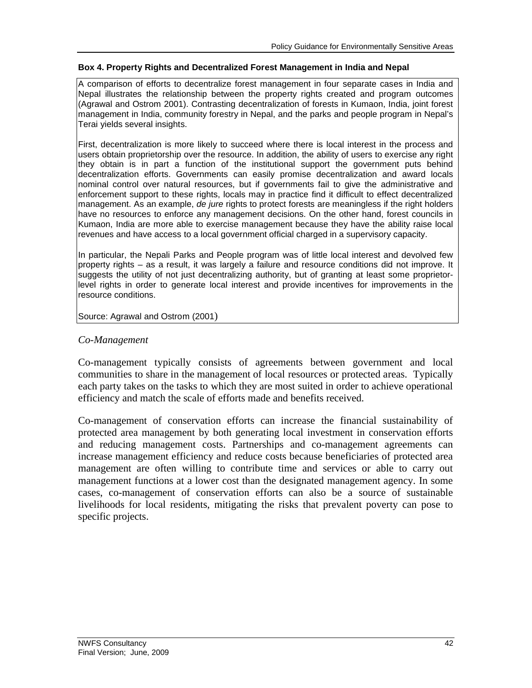#### **Box 4. Property Rights and Decentralized Forest Management in India and Nepal**

A comparison of efforts to decentralize forest management in four separate cases in India and Nepal illustrates the relationship between the property rights created and program outcomes (Agrawal and Ostrom 2001). Contrasting decentralization of forests in Kumaon, India, joint forest management in India, community forestry in Nepal, and the parks and people program in Nepal's Terai yields several insights.

First, decentralization is more likely to succeed where there is local interest in the process and users obtain proprietorship over the resource. In addition, the ability of users to exercise any right they obtain is in part a function of the institutional support the government puts behind decentralization efforts. Governments can easily promise decentralization and award locals nominal control over natural resources, but if governments fail to give the administrative and enforcement support to these rights, locals may in practice find it difficult to effect decentralized management. As an example, *de jure* rights to protect forests are meaningless if the right holders have no resources to enforce any management decisions. On the other hand, forest councils in Kumaon, India are more able to exercise management because they have the ability raise local revenues and have access to a local government official charged in a supervisory capacity.

In particular, the Nepali Parks and People program was of little local interest and devolved few property rights – as a result, it was largely a failure and resource conditions did not improve. It suggests the utility of not just decentralizing authority, but of granting at least some proprietorlevel rights in order to generate local interest and provide incentives for improvements in the resource conditions.

Source: Agrawal and Ostrom (2001)

### *Co-Management*

Co-management typically consists of agreements between government and local communities to share in the management of local resources or protected areas. Typically each party takes on the tasks to which they are most suited in order to achieve operational efficiency and match the scale of efforts made and benefits received.

Co-management of conservation efforts can increase the financial sustainability of protected area management by both generating local investment in conservation efforts and reducing management costs. Partnerships and co-management agreements can increase management efficiency and reduce costs because beneficiaries of protected area management are often willing to contribute time and services or able to carry out management functions at a lower cost than the designated management agency. In some cases, co-management of conservation efforts can also be a source of sustainable livelihoods for local residents, mitigating the risks that prevalent poverty can pose to specific projects.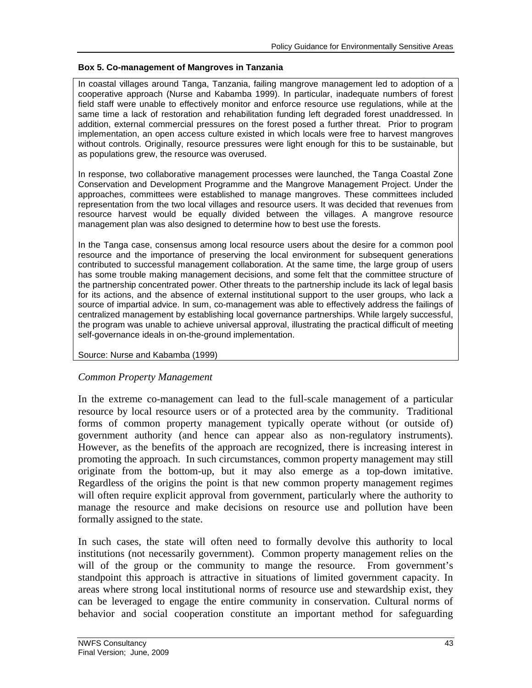### **Box 5. Co-management of Mangroves in Tanzania**

In coastal villages around Tanga, Tanzania, failing mangrove management led to adoption of a cooperative approach (Nurse and Kabamba 1999). In particular, inadequate numbers of forest field staff were unable to effectively monitor and enforce resource use regulations, while at the same time a lack of restoration and rehabilitation funding left degraded forest unaddressed. In addition, external commercial pressures on the forest posed a further threat. Prior to program implementation, an open access culture existed in which locals were free to harvest mangroves without controls. Originally, resource pressures were light enough for this to be sustainable, but as populations grew, the resource was overused.

In response, two collaborative management processes were launched, the Tanga Coastal Zone Conservation and Development Programme and the Mangrove Management Project. Under the approaches, committees were established to manage mangroves. These committees included representation from the two local villages and resource users. It was decided that revenues from resource harvest would be equally divided between the villages. A mangrove resource management plan was also designed to determine how to best use the forests.

In the Tanga case, consensus among local resource users about the desire for a common pool resource and the importance of preserving the local environment for subsequent generations contributed to successful management collaboration. At the same time, the large group of users has some trouble making management decisions, and some felt that the committee structure of the partnership concentrated power. Other threats to the partnership include its lack of legal basis for its actions, and the absence of external institutional support to the user groups, who lack a source of impartial advice. In sum, co-management was able to effectively address the failings of centralized management by establishing local governance partnerships. While largely successful, the program was unable to achieve universal approval, illustrating the practical difficult of meeting self-governance ideals in on-the-ground implementation.

#### Source: Nurse and Kabamba (1999)

### *Common Property Management*

In the extreme co-management can lead to the full-scale management of a particular resource by local resource users or of a protected area by the community. Traditional forms of common property management typically operate without (or outside of) government authority (and hence can appear also as non-regulatory instruments). However, as the benefits of the approach are recognized, there is increasing interest in promoting the approach. In such circumstances, common property management may still originate from the bottom-up, but it may also emerge as a top-down imitative. Regardless of the origins the point is that new common property management regimes will often require explicit approval from government, particularly where the authority to manage the resource and make decisions on resource use and pollution have been formally assigned to the state.

In such cases, the state will often need to formally devolve this authority to local institutions (not necessarily government). Common property management relies on the will of the group or the community to mange the resource. From government's standpoint this approach is attractive in situations of limited government capacity. In areas where strong local institutional norms of resource use and stewardship exist, they can be leveraged to engage the entire community in conservation. Cultural norms of behavior and social cooperation constitute an important method for safeguarding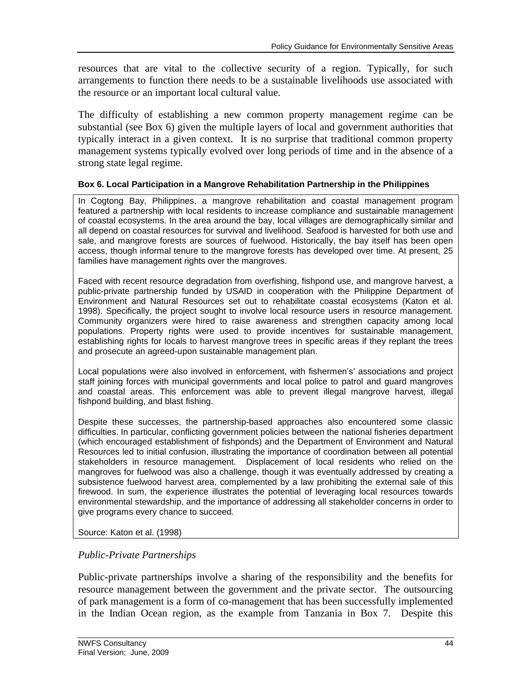resources that are vital to the collective security of a region. Typically, for such arrangements to function there needs to be a sustainable livelihoods use associated with the resource or an important local cultural value.

The difficulty of establishing a new common property management regime can be substantial (see Box 6) given the multiple layers of local and government authorities that typically interact in a given context. It is no surprise that traditional common property management systems typically evolved over long periods of time and in the absence of a strong state legal regime.

### **Box 6. Local Participation in a Mangrove Rehabilitation Partnership in the Philippines**

In Cogtong Bay, Philippines, a mangrove rehabilitation and coastal management program featured a partnership with local residents to increase compliance and sustainable management of coastal ecosystems. In the area around the bay, local villages are demographically similar and all depend on coastal resources for survival and livelihood. Seafood is harvested for both use and sale, and mangrove forests are sources of fuelwood. Historically, the bay itself has been open access, though informal tenure to the mangrove forests has developed over time. At present, 25 families have management rights over the mangroves.

Faced with recent resource degradation from overfishing, fishpond use, and mangrove harvest, a public-private partnership funded by USAID in cooperation with the Philippine Department of Environment and Natural Resources set out to rehabilitate coastal ecosystems (Katon et al. 1998). Specifically, the project sought to involve local resource users in resource management. Community organizers were hired to raise awareness and strengthen capacity among local populations. Property rights were used to provide incentives for sustainable management, establishing rights for locals to harvest mangrove trees in specific areas if they replant the trees and prosecute an agreed-upon sustainable management plan.

Local populations were also involved in enforcement, with fishermen's' associations and project staff joining forces with municipal governments and local police to patrol and guard mangroves and coastal areas. This enforcement was able to prevent illegal mangrove harvest, illegal fishpond building, and blast fishing.

Despite these successes, the partnership-based approaches also encountered some classic difficulties. In particular, conflicting government policies between the national fisheries department (which encouraged establishment of fishponds) and the Department of Environment and Natural Resources led to initial confusion, illustrating the importance of coordination between all potential stakeholders in resource management. Displacement of local residents who relied on the mangroves for fuelwood was also a challenge, though it was eventually addressed by creating a subsistence fuelwood harvest area, complemented by a law prohibiting the external sale of this firewood. In sum, the experience illustrates the potential of leveraging local resources towards environmental stewardship, and the importance of addressing all stakeholder concerns in order to give programs every chance to succeed.

Source: Katon et al. (1998)

# *Public-Private Partnerships*

Public-private partnerships involve a sharing of the responsibility and the benefits for resource management between the government and the private sector. The outsourcing of park management is a form of co-management that has been successfully implemented in the Indian Ocean region, as the example from Tanzania in Box 7. Despite this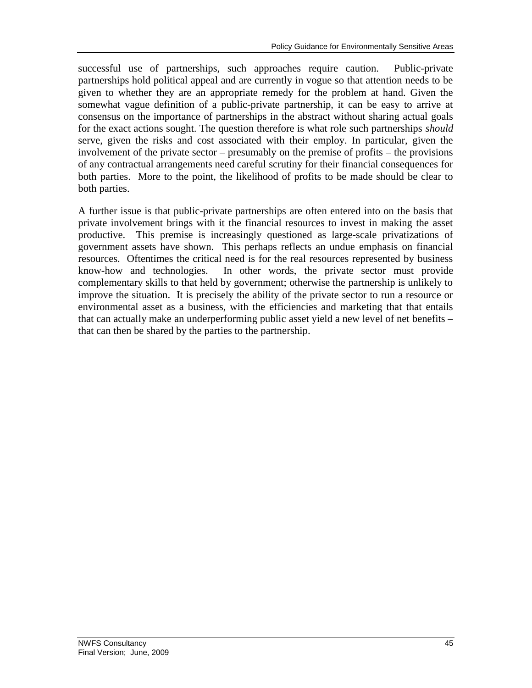successful use of partnerships, such approaches require caution. Public-private partnerships hold political appeal and are currently in vogue so that attention needs to be given to whether they are an appropriate remedy for the problem at hand. Given the somewhat vague definition of a public-private partnership, it can be easy to arrive at consensus on the importance of partnerships in the abstract without sharing actual goals for the exact actions sought. The question therefore is what role such partnerships *should* serve, given the risks and cost associated with their employ. In particular, given the involvement of the private sector – presumably on the premise of profits – the provisions of any contractual arrangements need careful scrutiny for their financial consequences for both parties. More to the point, the likelihood of profits to be made should be clear to both parties.

A further issue is that public-private partnerships are often entered into on the basis that private involvement brings with it the financial resources to invest in making the asset productive. This premise is increasingly questioned as large-scale privatizations of government assets have shown. This perhaps reflects an undue emphasis on financial resources. Oftentimes the critical need is for the real resources represented by business know-how and technologies. In other words, the private sector must provide complementary skills to that held by government; otherwise the partnership is unlikely to improve the situation. It is precisely the ability of the private sector to run a resource or environmental asset as a business, with the efficiencies and marketing that that entails that can actually make an underperforming public asset yield a new level of net benefits – that can then be shared by the parties to the partnership.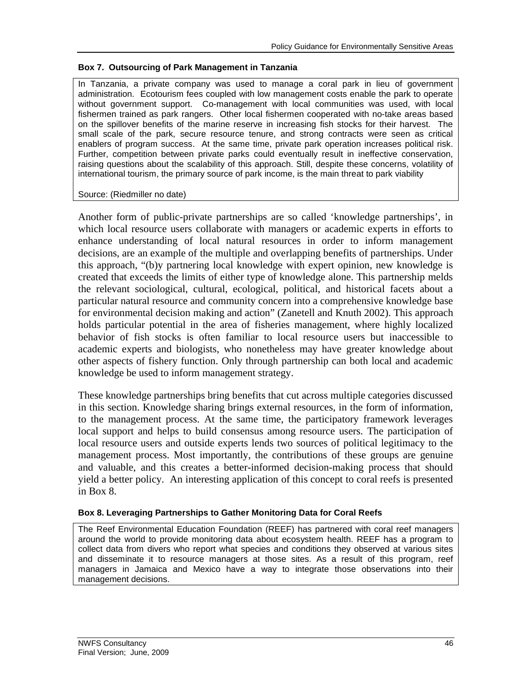#### **Box 7. Outsourcing of Park Management in Tanzania**

In Tanzania, a private company was used to manage a coral park in lieu of government administration. Ecotourism fees coupled with low management costs enable the park to operate without government support. Co-management with local communities was used, with local fishermen trained as park rangers. Other local fishermen cooperated with no-take areas based on the spillover benefits of the marine reserve in increasing fish stocks for their harvest. The small scale of the park, secure resource tenure, and strong contracts were seen as critical enablers of program success. At the same time, private park operation increases political risk. Further, competition between private parks could eventually result in ineffective conservation, raising questions about the scalability of this approach. Still, despite these concerns, volatility of international tourism, the primary source of park income, is the main threat to park viability

#### Source: (Riedmiller no date)

Another form of public-private partnerships are so called 'knowledge partnerships', in which local resource users collaborate with managers or academic experts in efforts to enhance understanding of local natural resources in order to inform management decisions, are an example of the multiple and overlapping benefits of partnerships. Under this approach, "(b)y partnering local knowledge with expert opinion, new knowledge is created that exceeds the limits of either type of knowledge alone. This partnership melds the relevant sociological, cultural, ecological, political, and historical facets about a particular natural resource and community concern into a comprehensive knowledge base for environmental decision making and action" (Zanetell and Knuth 2002). This approach holds particular potential in the area of fisheries management, where highly localized behavior of fish stocks is often familiar to local resource users but inaccessible to academic experts and biologists, who nonetheless may have greater knowledge about other aspects of fishery function. Only through partnership can both local and academic knowledge be used to inform management strategy.

These knowledge partnerships bring benefits that cut across multiple categories discussed in this section. Knowledge sharing brings external resources, in the form of information, to the management process. At the same time, the participatory framework leverages local support and helps to build consensus among resource users. The participation of local resource users and outside experts lends two sources of political legitimacy to the management process. Most importantly, the contributions of these groups are genuine and valuable, and this creates a better-informed decision-making process that should yield a better policy. An interesting application of this concept to coral reefs is presented in Box 8.

#### **Box 8. Leveraging Partnerships to Gather Monitoring Data for Coral Reefs**

The Reef Environmental Education Foundation (REEF) has partnered with coral reef managers around the world to provide monitoring data about ecosystem health. REEF has a program to collect data from divers who report what species and conditions they observed at various sites and disseminate it to resource managers at those sites. As a result of this program, reef managers in Jamaica and Mexico have a way to integrate those observations into their management decisions.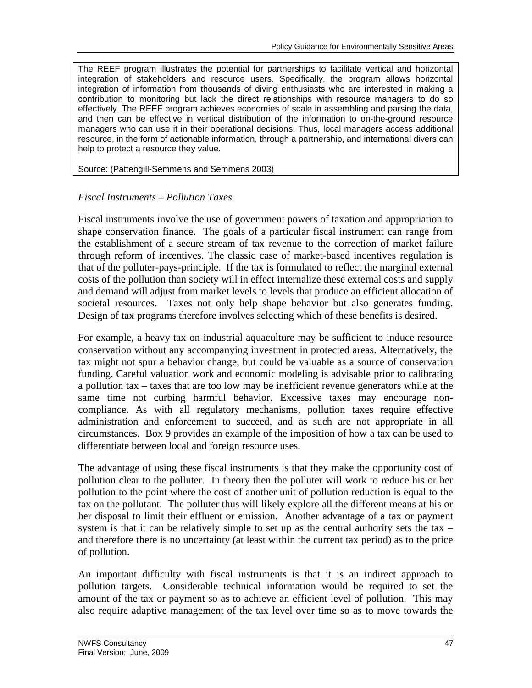The REEF program illustrates the potential for partnerships to facilitate vertical and horizontal integration of stakeholders and resource users. Specifically, the program allows horizontal integration of information from thousands of diving enthusiasts who are interested in making a contribution to monitoring but lack the direct relationships with resource managers to do so effectively. The REEF program achieves economies of scale in assembling and parsing the data, and then can be effective in vertical distribution of the information to on-the-ground resource managers who can use it in their operational decisions. Thus, local managers access additional resource, in the form of actionable information, through a partnership, and international divers can help to protect a resource they value.

Source: (Pattengill-Semmens and Semmens 2003)

# *Fiscal Instruments – Pollution Taxes*

Fiscal instruments involve the use of government powers of taxation and appropriation to shape conservation finance. The goals of a particular fiscal instrument can range from the establishment of a secure stream of tax revenue to the correction of market failure through reform of incentives. The classic case of market-based incentives regulation is that of the polluter-pays-principle. If the tax is formulated to reflect the marginal external costs of the pollution than society will in effect internalize these external costs and supply and demand will adjust from market levels to levels that produce an efficient allocation of societal resources. Taxes not only help shape behavior but also generates funding. Design of tax programs therefore involves selecting which of these benefits is desired.

For example, a heavy tax on industrial aquaculture may be sufficient to induce resource conservation without any accompanying investment in protected areas. Alternatively, the tax might not spur a behavior change, but could be valuable as a source of conservation funding. Careful valuation work and economic modeling is advisable prior to calibrating a pollution tax – taxes that are too low may be inefficient revenue generators while at the same time not curbing harmful behavior. Excessive taxes may encourage noncompliance. As with all regulatory mechanisms, pollution taxes require effective administration and enforcement to succeed, and as such are not appropriate in all circumstances. Box 9 provides an example of the imposition of how a tax can be used to differentiate between local and foreign resource uses.

The advantage of using these fiscal instruments is that they make the opportunity cost of pollution clear to the polluter. In theory then the polluter will work to reduce his or her pollution to the point where the cost of another unit of pollution reduction is equal to the tax on the pollutant. The polluter thus will likely explore all the different means at his or her disposal to limit their effluent or emission. Another advantage of a tax or payment system is that it can be relatively simple to set up as the central authority sets the tax  $$ and therefore there is no uncertainty (at least within the current tax period) as to the price of pollution.

An important difficulty with fiscal instruments is that it is an indirect approach to pollution targets. Considerable technical information would be required to set the amount of the tax or payment so as to achieve an efficient level of pollution. This may also require adaptive management of the tax level over time so as to move towards the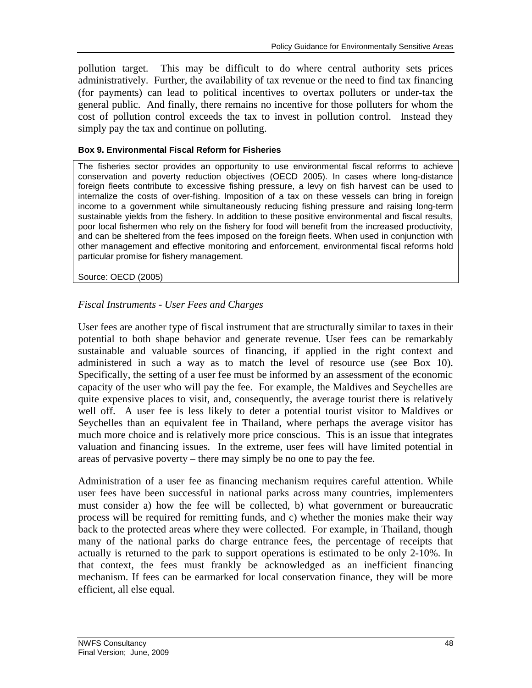pollution target. This may be difficult to do where central authority sets prices administratively. Further, the availability of tax revenue or the need to find tax financing (for payments) can lead to political incentives to overtax polluters or under-tax the general public. And finally, there remains no incentive for those polluters for whom the cost of pollution control exceeds the tax to invest in pollution control. Instead they simply pay the tax and continue on polluting.

### **Box 9. Environmental Fiscal Reform for Fisheries**

The fisheries sector provides an opportunity to use environmental fiscal reforms to achieve conservation and poverty reduction objectives (OECD 2005). In cases where long-distance foreign fleets contribute to excessive fishing pressure, a levy on fish harvest can be used to internalize the costs of over-fishing. Imposition of a tax on these vessels can bring in foreign income to a government while simultaneously reducing fishing pressure and raising long-term sustainable yields from the fishery. In addition to these positive environmental and fiscal results, poor local fishermen who rely on the fishery for food will benefit from the increased productivity, and can be sheltered from the fees imposed on the foreign fleets. When used in conjunction with other management and effective monitoring and enforcement, environmental fiscal reforms hold particular promise for fishery management.

Source: OECD (2005)

# *Fiscal Instruments - User Fees and Charges*

User fees are another type of fiscal instrument that are structurally similar to taxes in their potential to both shape behavior and generate revenue. User fees can be remarkably sustainable and valuable sources of financing, if applied in the right context and administered in such a way as to match the level of resource use (see Box 10). Specifically, the setting of a user fee must be informed by an assessment of the economic capacity of the user who will pay the fee. For example, the Maldives and Seychelles are quite expensive places to visit, and, consequently, the average tourist there is relatively well off. A user fee is less likely to deter a potential tourist visitor to Maldives or Seychelles than an equivalent fee in Thailand, where perhaps the average visitor has much more choice and is relatively more price conscious. This is an issue that integrates valuation and financing issues. In the extreme, user fees will have limited potential in areas of pervasive poverty – there may simply be no one to pay the fee.

Administration of a user fee as financing mechanism requires careful attention. While user fees have been successful in national parks across many countries, implementers must consider a) how the fee will be collected, b) what government or bureaucratic process will be required for remitting funds, and c) whether the monies make their way back to the protected areas where they were collected. For example, in Thailand, though many of the national parks do charge entrance fees, the percentage of receipts that actually is returned to the park to support operations is estimated to be only 2-10%. In that context, the fees must frankly be acknowledged as an inefficient financing mechanism. If fees can be earmarked for local conservation finance, they will be more efficient, all else equal.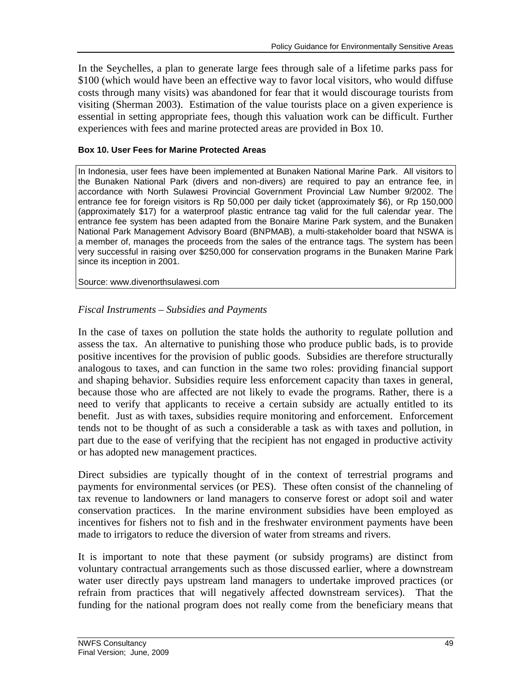In the Seychelles, a plan to generate large fees through sale of a lifetime parks pass for \$100 (which would have been an effective way to favor local visitors, who would diffuse costs through many visits) was abandoned for fear that it would discourage tourists from visiting (Sherman 2003). Estimation of the value tourists place on a given experience is essential in setting appropriate fees, though this valuation work can be difficult. Further experiences with fees and marine protected areas are provided in Box 10.

### **Box 10. User Fees for Marine Protected Areas**

In Indonesia, user fees have been implemented at Bunaken National Marine Park. All visitors to the Bunaken National Park (divers and non-divers) are required to pay an entrance fee, in accordance with North Sulawesi Provincial Government Provincial Law Number 9/2002. The entrance fee for foreign visitors is Rp 50,000 per daily ticket (approximately \$6), or Rp 150,000 (approximately \$17) for a waterproof plastic entrance tag valid for the full calendar year. The entrance fee system has been adapted from the Bonaire Marine Park system, and the Bunaken National Park Management Advisory Board (BNPMAB), a multi-stakeholder board that NSWA is a member of, manages the proceeds from the sales of the entrance tags. The system has been very successful in raising over \$250,000 for conservation programs in the Bunaken Marine Park since its inception in 2001.

Source: www.divenorthsulawesi.com

# *Fiscal Instruments – Subsidies and Payments*

In the case of taxes on pollution the state holds the authority to regulate pollution and assess the tax. An alternative to punishing those who produce public bads, is to provide positive incentives for the provision of public goods. Subsidies are therefore structurally analogous to taxes, and can function in the same two roles: providing financial support and shaping behavior. Subsidies require less enforcement capacity than taxes in general, because those who are affected are not likely to evade the programs. Rather, there is a need to verify that applicants to receive a certain subsidy are actually entitled to its benefit. Just as with taxes, subsidies require monitoring and enforcement. Enforcement tends not to be thought of as such a considerable a task as with taxes and pollution, in part due to the ease of verifying that the recipient has not engaged in productive activity or has adopted new management practices.

Direct subsidies are typically thought of in the context of terrestrial programs and payments for environmental services (or PES). These often consist of the channeling of tax revenue to landowners or land managers to conserve forest or adopt soil and water conservation practices. In the marine environment subsidies have been employed as incentives for fishers not to fish and in the freshwater environment payments have been made to irrigators to reduce the diversion of water from streams and rivers.

It is important to note that these payment (or subsidy programs) are distinct from voluntary contractual arrangements such as those discussed earlier, where a downstream water user directly pays upstream land managers to undertake improved practices (or refrain from practices that will negatively affected downstream services). That the funding for the national program does not really come from the beneficiary means that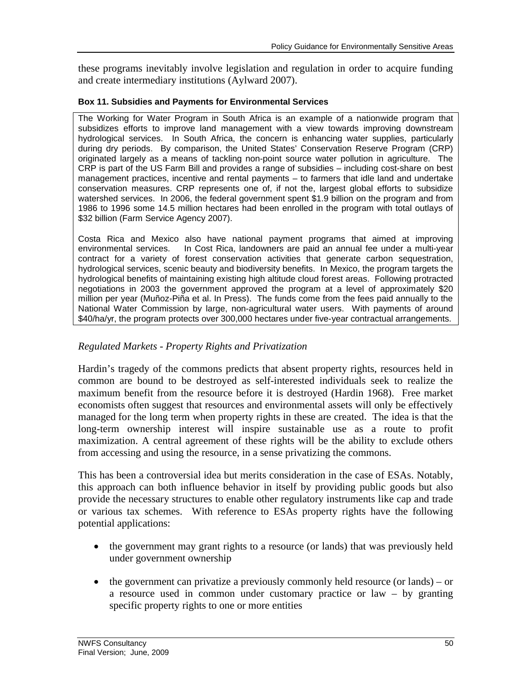these programs inevitably involve legislation and regulation in order to acquire funding and create intermediary institutions (Aylward 2007).

### **Box 11. Subsidies and Payments for Environmental Services**

The Working for Water Program in South Africa is an example of a nationwide program that subsidizes efforts to improve land management with a view towards improving downstream hydrological services. In South Africa, the concern is enhancing water supplies, particularly during dry periods. By comparison, the United States' Conservation Reserve Program (CRP) originated largely as a means of tackling non-point source water pollution in agriculture. The CRP is part of the US Farm Bill and provides a range of subsidies – including cost-share on best management practices, incentive and rental payments – to farmers that idle land and undertake conservation measures. CRP represents one of, if not the, largest global efforts to subsidize watershed services. In 2006, the federal government spent \$1.9 billion on the program and from 1986 to 1996 some 14.5 million hectares had been enrolled in the program with total outlays of \$32 billion (Farm Service Agency 2007).

Costa Rica and Mexico also have national payment programs that aimed at improving environmental services. In Cost Rica, landowners are paid an annual fee under a multi-year contract for a variety of forest conservation activities that generate carbon sequestration, hydrological services, scenic beauty and biodiversity benefits. In Mexico, the program targets the hydrological benefits of maintaining existing high altitude cloud forest areas. Following protracted negotiations in 2003 the government approved the program at a level of approximately \$20 million per year (Muñoz-Piña et al. In Press). The funds come from the fees paid annually to the National Water Commission by large, non-agricultural water users. With payments of around \$40/ha/yr, the program protects over 300,000 hectares under five-year contractual arrangements.

# *Regulated Markets - Property Rights and Privatization*

Hardin's tragedy of the commons predicts that absent property rights, resources held in common are bound to be destroyed as self-interested individuals seek to realize the maximum benefit from the resource before it is destroyed (Hardin 1968). Free market economists often suggest that resources and environmental assets will only be effectively managed for the long term when property rights in these are created. The idea is that the long-term ownership interest will inspire sustainable use as a route to profit maximization. A central agreement of these rights will be the ability to exclude others from accessing and using the resource, in a sense privatizing the commons.

This has been a controversial idea but merits consideration in the case of ESAs. Notably, this approach can both influence behavior in itself by providing public goods but also provide the necessary structures to enable other regulatory instruments like cap and trade or various tax schemes. With reference to ESAs property rights have the following potential applications:

- the government may grant rights to a resource (or lands) that was previously held under government ownership
- $\bullet$  the government can privatize a previously commonly held resource (or lands) or a resource used in common under customary practice or law – by granting specific property rights to one or more entities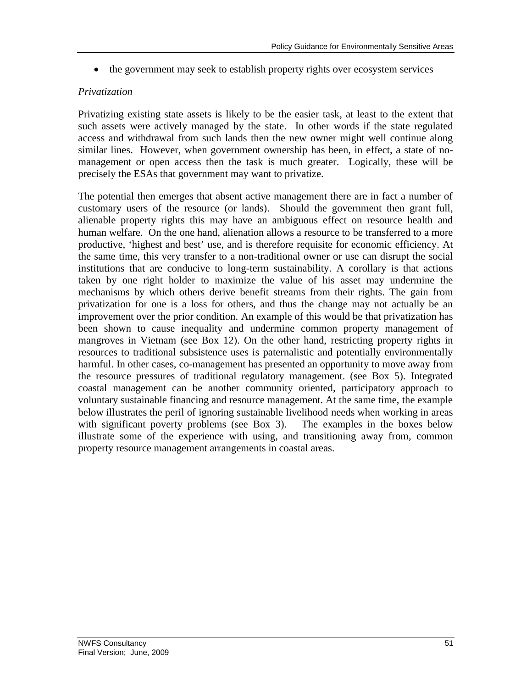• the government may seek to establish property rights over ecosystem services

# *Privatization*

Privatizing existing state assets is likely to be the easier task, at least to the extent that such assets were actively managed by the state. In other words if the state regulated access and withdrawal from such lands then the new owner might well continue along similar lines. However, when government ownership has been, in effect, a state of nomanagement or open access then the task is much greater. Logically, these will be precisely the ESAs that government may want to privatize.

The potential then emerges that absent active management there are in fact a number of customary users of the resource (or lands). Should the government then grant full, alienable property rights this may have an ambiguous effect on resource health and human welfare. On the one hand, alienation allows a resource to be transferred to a more productive, 'highest and best' use, and is therefore requisite for economic efficiency. At the same time, this very transfer to a non-traditional owner or use can disrupt the social institutions that are conducive to long-term sustainability. A corollary is that actions taken by one right holder to maximize the value of his asset may undermine the mechanisms by which others derive benefit streams from their rights. The gain from privatization for one is a loss for others, and thus the change may not actually be an improvement over the prior condition. An example of this would be that privatization has been shown to cause inequality and undermine common property management of mangroves in Vietnam (see Box 12). On the other hand, restricting property rights in resources to traditional subsistence uses is paternalistic and potentially environmentally harmful. In other cases, co-management has presented an opportunity to move away from the resource pressures of traditional regulatory management. (see Box 5). Integrated coastal management can be another community oriented, participatory approach to voluntary sustainable financing and resource management. At the same time, the example below illustrates the peril of ignoring sustainable livelihood needs when working in areas with significant poverty problems (see Box 3). The examples in the boxes below illustrate some of the experience with using, and transitioning away from, common property resource management arrangements in coastal areas.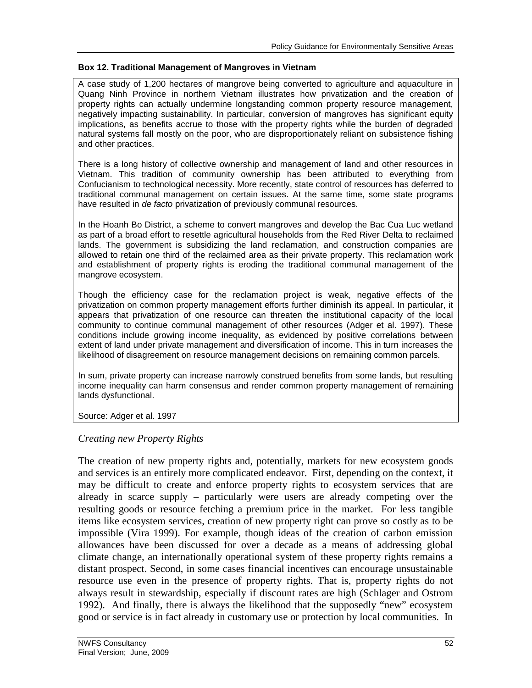### **Box 12. Traditional Management of Mangroves in Vietnam**

A case study of 1,200 hectares of mangrove being converted to agriculture and aquaculture in Quang Ninh Province in northern Vietnam illustrates how privatization and the creation of property rights can actually undermine longstanding common property resource management, negatively impacting sustainability. In particular, conversion of mangroves has significant equity implications, as benefits accrue to those with the property rights while the burden of degraded natural systems fall mostly on the poor, who are disproportionately reliant on subsistence fishing and other practices.

There is a long history of collective ownership and management of land and other resources in Vietnam. This tradition of community ownership has been attributed to everything from Confucianism to technological necessity. More recently, state control of resources has deferred to traditional communal management on certain issues. At the same time, some state programs have resulted in *de facto* privatization of previously communal resources.

In the Hoanh Bo District, a scheme to convert mangroves and develop the Bac Cua Luc wetland as part of a broad effort to resettle agricultural households from the Red River Delta to reclaimed lands. The government is subsidizing the land reclamation, and construction companies are allowed to retain one third of the reclaimed area as their private property. This reclamation work and establishment of property rights is eroding the traditional communal management of the mangrove ecosystem.

Though the efficiency case for the reclamation project is weak, negative effects of the privatization on common property management efforts further diminish its appeal. In particular, it appears that privatization of one resource can threaten the institutional capacity of the local community to continue communal management of other resources (Adger et al. 1997). These conditions include growing income inequality, as evidenced by positive correlations between extent of land under private management and diversification of income. This in turn increases the likelihood of disagreement on resource management decisions on remaining common parcels.

In sum, private property can increase narrowly construed benefits from some lands, but resulting income inequality can harm consensus and render common property management of remaining lands dysfunctional.

Source: Adger et al. 1997

# *Creating new Property Rights*

The creation of new property rights and, potentially, markets for new ecosystem goods and services is an entirely more complicated endeavor. First, depending on the context, it may be difficult to create and enforce property rights to ecosystem services that are already in scarce supply – particularly were users are already competing over the resulting goods or resource fetching a premium price in the market. For less tangible items like ecosystem services, creation of new property right can prove so costly as to be impossible (Vira 1999). For example, though ideas of the creation of carbon emission allowances have been discussed for over a decade as a means of addressing global climate change, an internationally operational system of these property rights remains a distant prospect. Second, in some cases financial incentives can encourage unsustainable resource use even in the presence of property rights. That is, property rights do not always result in stewardship, especially if discount rates are high (Schlager and Ostrom 1992). And finally, there is always the likelihood that the supposedly "new" ecosystem good or service is in fact already in customary use or protection by local communities. In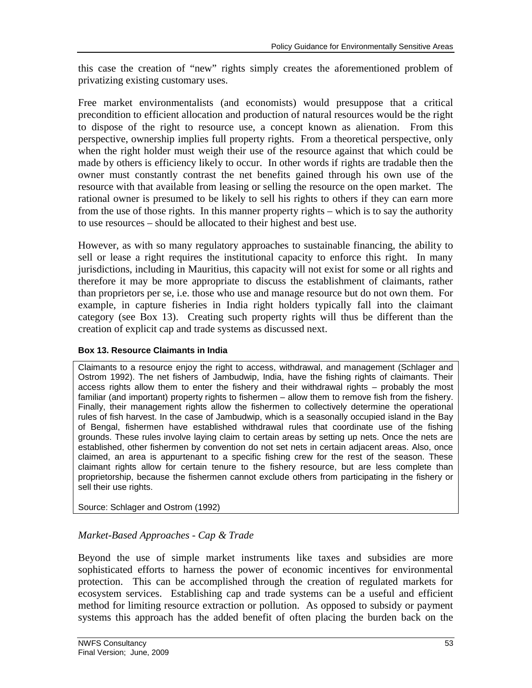this case the creation of "new" rights simply creates the aforementioned problem of privatizing existing customary uses.

Free market environmentalists (and economists) would presuppose that a critical precondition to efficient allocation and production of natural resources would be the right to dispose of the right to resource use, a concept known as alienation. From this perspective, ownership implies full property rights. From a theoretical perspective, only when the right holder must weigh their use of the resource against that which could be made by others is efficiency likely to occur. In other words if rights are tradable then the owner must constantly contrast the net benefits gained through his own use of the resource with that available from leasing or selling the resource on the open market. The rational owner is presumed to be likely to sell his rights to others if they can earn more from the use of those rights. In this manner property rights – which is to say the authority to use resources – should be allocated to their highest and best use.

However, as with so many regulatory approaches to sustainable financing, the ability to sell or lease a right requires the institutional capacity to enforce this right. In many jurisdictions, including in Mauritius, this capacity will not exist for some or all rights and therefore it may be more appropriate to discuss the establishment of claimants, rather than proprietors per se, i.e. those who use and manage resource but do not own them. For example, in capture fisheries in India right holders typically fall into the claimant category (see Box 13). Creating such property rights will thus be different than the creation of explicit cap and trade systems as discussed next.

# **Box 13. Resource Claimants in India**

Claimants to a resource enjoy the right to access, withdrawal, and management (Schlager and Ostrom 1992). The net fishers of Jambudwip, India, have the fishing rights of claimants. Their access rights allow them to enter the fishery and their withdrawal rights – probably the most familiar (and important) property rights to fishermen – allow them to remove fish from the fishery. Finally, their management rights allow the fishermen to collectively determine the operational rules of fish harvest. In the case of Jambudwip, which is a seasonally occupied island in the Bay of Bengal, fishermen have established withdrawal rules that coordinate use of the fishing grounds. These rules involve laying claim to certain areas by setting up nets. Once the nets are established, other fishermen by convention do not set nets in certain adjacent areas. Also, once claimed, an area is appurtenant to a specific fishing crew for the rest of the season. These claimant rights allow for certain tenure to the fishery resource, but are less complete than proprietorship, because the fishermen cannot exclude others from participating in the fishery or sell their use rights.

Source: Schlager and Ostrom (1992)

# *Market-Based Approaches - Cap & Trade*

Beyond the use of simple market instruments like taxes and subsidies are more sophisticated efforts to harness the power of economic incentives for environmental protection. This can be accomplished through the creation of regulated markets for ecosystem services. Establishing cap and trade systems can be a useful and efficient method for limiting resource extraction or pollution. As opposed to subsidy or payment systems this approach has the added benefit of often placing the burden back on the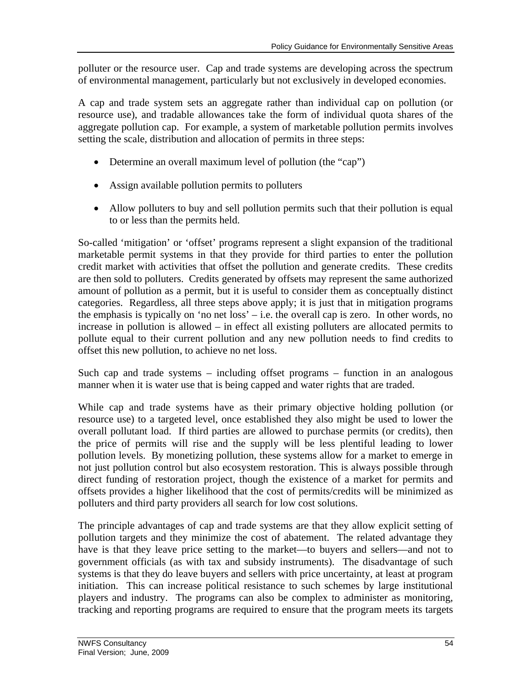polluter or the resource user. Cap and trade systems are developing across the spectrum of environmental management, particularly but not exclusively in developed economies.

A cap and trade system sets an aggregate rather than individual cap on pollution (or resource use), and tradable allowances take the form of individual quota shares of the aggregate pollution cap. For example, a system of marketable pollution permits involves setting the scale, distribution and allocation of permits in three steps:

- Determine an overall maximum level of pollution (the "cap")
- Assign available pollution permits to polluters
- Allow polluters to buy and sell pollution permits such that their pollution is equal to or less than the permits held.

So-called 'mitigation' or 'offset' programs represent a slight expansion of the traditional marketable permit systems in that they provide for third parties to enter the pollution credit market with activities that offset the pollution and generate credits. These credits are then sold to polluters. Credits generated by offsets may represent the same authorized amount of pollution as a permit, but it is useful to consider them as conceptually distinct categories. Regardless, all three steps above apply; it is just that in mitigation programs the emphasis is typically on 'no net loss' – i.e. the overall cap is zero. In other words, no increase in pollution is allowed – in effect all existing polluters are allocated permits to pollute equal to their current pollution and any new pollution needs to find credits to offset this new pollution, to achieve no net loss.

Such cap and trade systems – including offset programs – function in an analogous manner when it is water use that is being capped and water rights that are traded.

While cap and trade systems have as their primary objective holding pollution (or resource use) to a targeted level, once established they also might be used to lower the overall pollutant load. If third parties are allowed to purchase permits (or credits), then the price of permits will rise and the supply will be less plentiful leading to lower pollution levels. By monetizing pollution, these systems allow for a market to emerge in not just pollution control but also ecosystem restoration. This is always possible through direct funding of restoration project, though the existence of a market for permits and offsets provides a higher likelihood that the cost of permits/credits will be minimized as polluters and third party providers all search for low cost solutions.

The principle advantages of cap and trade systems are that they allow explicit setting of pollution targets and they minimize the cost of abatement. The related advantage they have is that they leave price setting to the market—to buyers and sellers—and not to government officials (as with tax and subsidy instruments). The disadvantage of such systems is that they do leave buyers and sellers with price uncertainty, at least at program initiation. This can increase political resistance to such schemes by large institutional players and industry. The programs can also be complex to administer as monitoring, tracking and reporting programs are required to ensure that the program meets its targets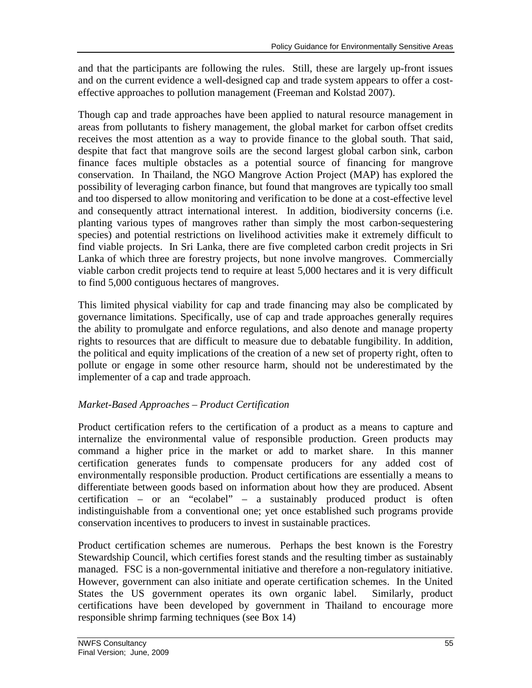and that the participants are following the rules. Still, these are largely up-front issues and on the current evidence a well-designed cap and trade system appears to offer a costeffective approaches to pollution management (Freeman and Kolstad 2007).

Though cap and trade approaches have been applied to natural resource management in areas from pollutants to fishery management, the global market for carbon offset credits receives the most attention as a way to provide finance to the global south. That said, despite that fact that mangrove soils are the second largest global carbon sink, carbon finance faces multiple obstacles as a potential source of financing for mangrove conservation. In Thailand, the NGO Mangrove Action Project (MAP) has explored the possibility of leveraging carbon finance, but found that mangroves are typically too small and too dispersed to allow monitoring and verification to be done at a cost-effective level and consequently attract international interest. In addition, biodiversity concerns (i.e. planting various types of mangroves rather than simply the most carbon-sequestering species) and potential restrictions on livelihood activities make it extremely difficult to find viable projects. In Sri Lanka, there are five completed carbon credit projects in Sri Lanka of which three are forestry projects, but none involve mangroves. Commercially viable carbon credit projects tend to require at least 5,000 hectares and it is very difficult to find 5,000 contiguous hectares of mangroves.

This limited physical viability for cap and trade financing may also be complicated by governance limitations. Specifically, use of cap and trade approaches generally requires the ability to promulgate and enforce regulations, and also denote and manage property rights to resources that are difficult to measure due to debatable fungibility. In addition, the political and equity implications of the creation of a new set of property right, often to pollute or engage in some other resource harm, should not be underestimated by the implementer of a cap and trade approach.

# *Market-Based Approaches – Product Certification*

Product certification refers to the certification of a product as a means to capture and internalize the environmental value of responsible production. Green products may command a higher price in the market or add to market share. In this manner certification generates funds to compensate producers for any added cost of environmentally responsible production. Product certifications are essentially a means to differentiate between goods based on information about how they are produced. Absent certification – or an "ecolabel" – a sustainably produced product is often indistinguishable from a conventional one; yet once established such programs provide conservation incentives to producers to invest in sustainable practices.

Product certification schemes are numerous. Perhaps the best known is the Forestry Stewardship Council, which certifies forest stands and the resulting timber as sustainably managed. FSC is a non-governmental initiative and therefore a non-regulatory initiative. However, government can also initiate and operate certification schemes. In the United States the US government operates its own organic label. Similarly, product certifications have been developed by government in Thailand to encourage more responsible shrimp farming techniques (see Box 14)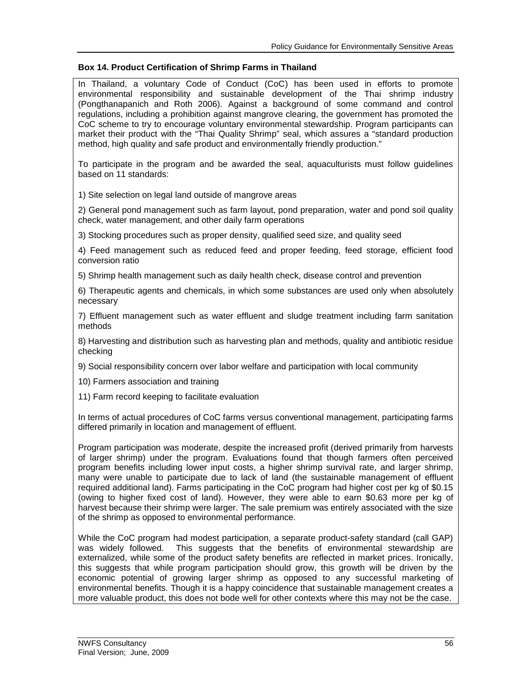#### **Box 14. Product Certification of Shrimp Farms in Thailand**

In Thailand, a voluntary Code of Conduct (CoC) has been used in efforts to promote environmental responsibility and sustainable development of the Thai shrimp industry (Pongthanapanich and Roth 2006). Against a background of some command and control regulations, including a prohibition against mangrove clearing, the government has promoted the CoC scheme to try to encourage voluntary environmental stewardship. Program participants can market their product with the "Thai Quality Shrimp" seal, which assures a "standard production method, high quality and safe product and environmentally friendly production."

To participate in the program and be awarded the seal, aquaculturists must follow guidelines based on 11 standards:

1) Site selection on legal land outside of mangrove areas

2) General pond management such as farm layout, pond preparation, water and pond soil quality check, water management, and other daily farm operations

3) Stocking procedures such as proper density, qualified seed size, and quality seed

4) Feed management such as reduced feed and proper feeding, feed storage, efficient food conversion ratio

5) Shrimp health management such as daily health check, disease control and prevention

6) Therapeutic agents and chemicals, in which some substances are used only when absolutely necessary

7) Effluent management such as water effluent and sludge treatment including farm sanitation methods

8) Harvesting and distribution such as harvesting plan and methods, quality and antibiotic residue checking

9) Social responsibility concern over labor welfare and participation with local community

10) Farmers association and training

11) Farm record keeping to facilitate evaluation

In terms of actual procedures of CoC farms versus conventional management, participating farms differed primarily in location and management of effluent.

Program participation was moderate, despite the increased profit (derived primarily from harvests of larger shrimp) under the program. Evaluations found that though farmers often perceived program benefits including lower input costs, a higher shrimp survival rate, and larger shrimp, many were unable to participate due to lack of land (the sustainable management of effluent required additional land). Farms participating in the CoC program had higher cost per kg of \$0.15 (owing to higher fixed cost of land). However, they were able to earn \$0.63 more per kg of harvest because their shrimp were larger. The sale premium was entirely associated with the size of the shrimp as opposed to environmental performance.

While the CoC program had modest participation, a separate product-safety standard (call GAP) was widely followed. This suggests that the benefits of environmental stewardship are externalized, while some of the product safety benefits are reflected in market prices. Ironically, this suggests that while program participation should grow, this growth will be driven by the economic potential of growing larger shrimp as opposed to any successful marketing of environmental benefits. Though it is a happy coincidence that sustainable management creates a more valuable product, this does not bode well for other contexts where this may not be the case.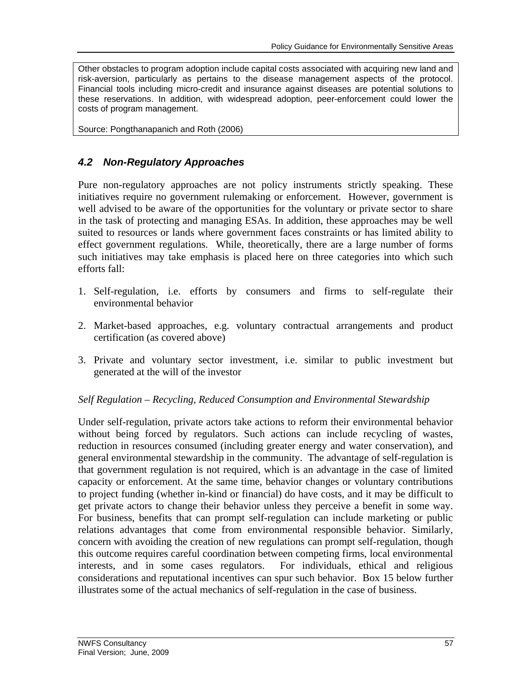Other obstacles to program adoption include capital costs associated with acquiring new land and risk-aversion, particularly as pertains to the disease management aspects of the protocol. Financial tools including micro-credit and insurance against diseases are potential solutions to these reservations. In addition, with widespread adoption, peer-enforcement could lower the costs of program management.

Source: Pongthanapanich and Roth (2006)

# *4.2 Non-Regulatory Approaches*

Pure non-regulatory approaches are not policy instruments strictly speaking. These initiatives require no government rulemaking or enforcement. However, government is well advised to be aware of the opportunities for the voluntary or private sector to share in the task of protecting and managing ESAs. In addition, these approaches may be well suited to resources or lands where government faces constraints or has limited ability to effect government regulations. While, theoretically, there are a large number of forms such initiatives may take emphasis is placed here on three categories into which such efforts fall:

- 1. Self-regulation, i.e. efforts by consumers and firms to self-regulate their environmental behavior
- 2. Market-based approaches, e.g. voluntary contractual arrangements and product certification (as covered above)
- 3. Private and voluntary sector investment, i.e. similar to public investment but generated at the will of the investor

# *Self Regulation – Recycling, Reduced Consumption and Environmental Stewardship*

Under self-regulation, private actors take actions to reform their environmental behavior without being forced by regulators. Such actions can include recycling of wastes, reduction in resources consumed (including greater energy and water conservation), and general environmental stewardship in the community. The advantage of self-regulation is that government regulation is not required, which is an advantage in the case of limited capacity or enforcement. At the same time, behavior changes or voluntary contributions to project funding (whether in-kind or financial) do have costs, and it may be difficult to get private actors to change their behavior unless they perceive a benefit in some way. For business, benefits that can prompt self-regulation can include marketing or public relations advantages that come from environmental responsible behavior. Similarly, concern with avoiding the creation of new regulations can prompt self-regulation, though this outcome requires careful coordination between competing firms, local environmental interests, and in some cases regulators. For individuals, ethical and religious considerations and reputational incentives can spur such behavior. Box 15 below further illustrates some of the actual mechanics of self-regulation in the case of business.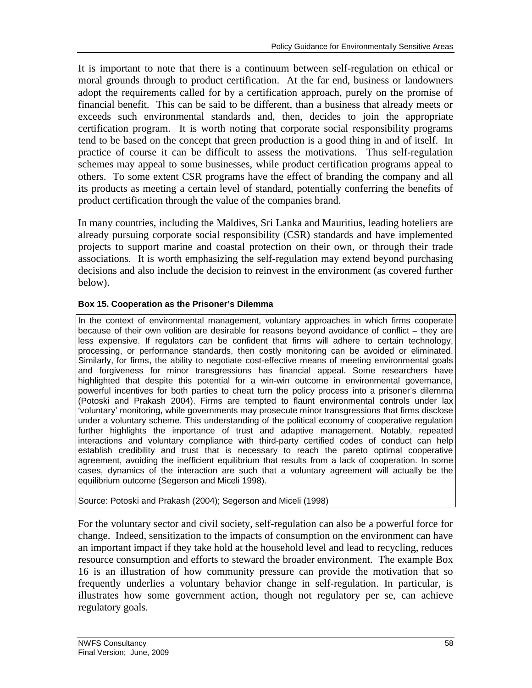It is important to note that there is a continuum between self-regulation on ethical or moral grounds through to product certification. At the far end, business or landowners adopt the requirements called for by a certification approach, purely on the promise of financial benefit. This can be said to be different, than a business that already meets or exceeds such environmental standards and, then, decides to join the appropriate certification program. It is worth noting that corporate social responsibility programs tend to be based on the concept that green production is a good thing in and of itself. In practice of course it can be difficult to assess the motivations. Thus self-regulation schemes may appeal to some businesses, while product certification programs appeal to others. To some extent CSR programs have the effect of branding the company and all its products as meeting a certain level of standard, potentially conferring the benefits of product certification through the value of the companies brand.

In many countries, including the Maldives, Sri Lanka and Mauritius, leading hoteliers are already pursuing corporate social responsibility (CSR) standards and have implemented projects to support marine and coastal protection on their own, or through their trade associations. It is worth emphasizing the self-regulation may extend beyond purchasing decisions and also include the decision to reinvest in the environment (as covered further below).

# **Box 15. Cooperation as the Prisoner's Dilemma**

In the context of environmental management, voluntary approaches in which firms cooperate because of their own volition are desirable for reasons beyond avoidance of conflict – they are less expensive. If regulators can be confident that firms will adhere to certain technology, processing, or performance standards, then costly monitoring can be avoided or eliminated. Similarly, for firms, the ability to negotiate cost-effective means of meeting environmental goals and forgiveness for minor transgressions has financial appeal. Some researchers have highlighted that despite this potential for a win-win outcome in environmental governance, powerful incentives for both parties to cheat turn the policy process into a prisoner's dilemma (Potoski and Prakash 2004). Firms are tempted to flaunt environmental controls under lax 'voluntary' monitoring, while governments may prosecute minor transgressions that firms disclose under a voluntary scheme. This understanding of the political economy of cooperative regulation further highlights the importance of trust and adaptive management. Notably, repeated interactions and voluntary compliance with third-party certified codes of conduct can help establish credibility and trust that is necessary to reach the pareto optimal cooperative agreement, avoiding the inefficient equilibrium that results from a lack of cooperation. In some cases, dynamics of the interaction are such that a voluntary agreement will actually be the equilibrium outcome (Segerson and Miceli 1998).

# Source: Potoski and Prakash (2004); Segerson and Miceli (1998)

For the voluntary sector and civil society, self-regulation can also be a powerful force for change. Indeed, sensitization to the impacts of consumption on the environment can have an important impact if they take hold at the household level and lead to recycling, reduces resource consumption and efforts to steward the broader environment. The example Box 16 is an illustration of how community pressure can provide the motivation that so frequently underlies a voluntary behavior change in self-regulation. In particular, is illustrates how some government action, though not regulatory per se, can achieve regulatory goals.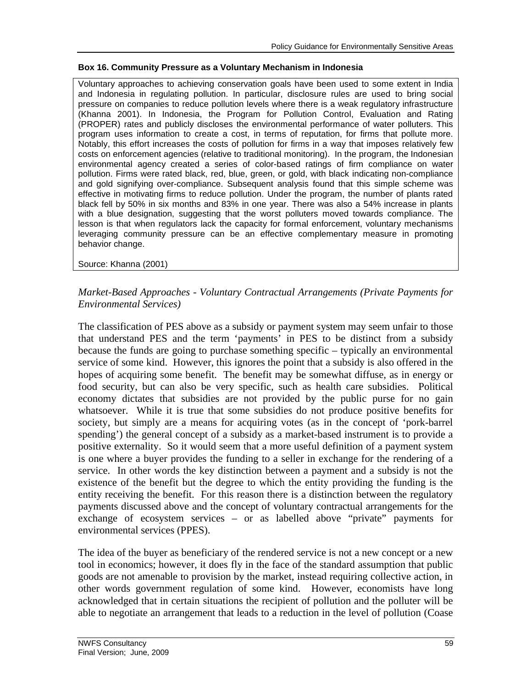### **Box 16. Community Pressure as a Voluntary Mechanism in Indonesia**

Voluntary approaches to achieving conservation goals have been used to some extent in India and Indonesia in regulating pollution. In particular, disclosure rules are used to bring social pressure on companies to reduce pollution levels where there is a weak regulatory infrastructure (Khanna 2001). In Indonesia, the Program for Pollution Control, Evaluation and Rating (PROPER) rates and publicly discloses the environmental performance of water polluters. This program uses information to create a cost, in terms of reputation, for firms that pollute more. Notably, this effort increases the costs of pollution for firms in a way that imposes relatively few costs on enforcement agencies (relative to traditional monitoring). In the program, the Indonesian environmental agency created a series of color-based ratings of firm compliance on water pollution. Firms were rated black, red, blue, green, or gold, with black indicating non-compliance and gold signifying over-compliance. Subsequent analysis found that this simple scheme was effective in motivating firms to reduce pollution. Under the program, the number of plants rated black fell by 50% in six months and 83% in one year. There was also a 54% increase in plants with a blue designation, suggesting that the worst polluters moved towards compliance. The lesson is that when regulators lack the capacity for formal enforcement, voluntary mechanisms leveraging community pressure can be an effective complementary measure in promoting behavior change.

Source: Khanna (2001)

# *Market-Based Approaches - Voluntary Contractual Arrangements (Private Payments for Environmental Services)*

The classification of PES above as a subsidy or payment system may seem unfair to those that understand PES and the term 'payments' in PES to be distinct from a subsidy because the funds are going to purchase something specific – typically an environmental service of some kind. However, this ignores the point that a subsidy is also offered in the hopes of acquiring some benefit. The benefit may be somewhat diffuse, as in energy or food security, but can also be very specific, such as health care subsidies. Political economy dictates that subsidies are not provided by the public purse for no gain whatsoever. While it is true that some subsidies do not produce positive benefits for society, but simply are a means for acquiring votes (as in the concept of 'pork-barrel spending') the general concept of a subsidy as a market-based instrument is to provide a positive externality. So it would seem that a more useful definition of a payment system is one where a buyer provides the funding to a seller in exchange for the rendering of a service. In other words the key distinction between a payment and a subsidy is not the existence of the benefit but the degree to which the entity providing the funding is the entity receiving the benefit. For this reason there is a distinction between the regulatory payments discussed above and the concept of voluntary contractual arrangements for the exchange of ecosystem services – or as labelled above "private" payments for environmental services (PPES).

The idea of the buyer as beneficiary of the rendered service is not a new concept or a new tool in economics; however, it does fly in the face of the standard assumption that public goods are not amenable to provision by the market, instead requiring collective action, in other words government regulation of some kind. However, economists have long acknowledged that in certain situations the recipient of pollution and the polluter will be able to negotiate an arrangement that leads to a reduction in the level of pollution (Coase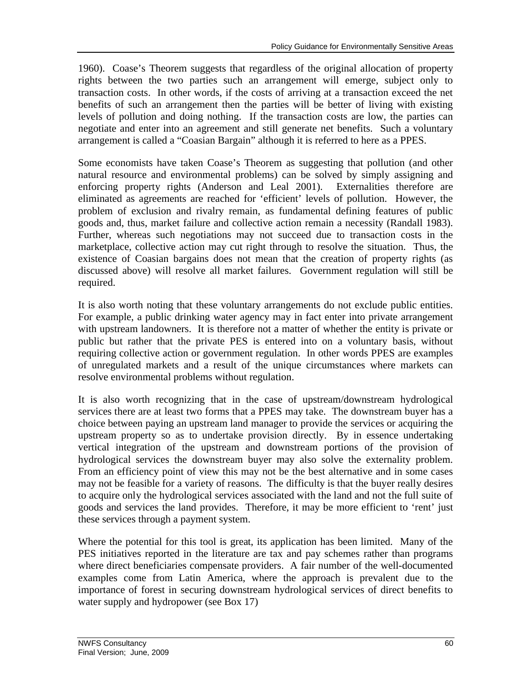1960). Coase's Theorem suggests that regardless of the original allocation of property rights between the two parties such an arrangement will emerge, subject only to transaction costs. In other words, if the costs of arriving at a transaction exceed the net benefits of such an arrangement then the parties will be better of living with existing levels of pollution and doing nothing. If the transaction costs are low, the parties can negotiate and enter into an agreement and still generate net benefits. Such a voluntary arrangement is called a "Coasian Bargain" although it is referred to here as a PPES.

Some economists have taken Coase's Theorem as suggesting that pollution (and other natural resource and environmental problems) can be solved by simply assigning and enforcing property rights (Anderson and Leal 2001). Externalities therefore are eliminated as agreements are reached for 'efficient' levels of pollution. However, the problem of exclusion and rivalry remain, as fundamental defining features of public goods and, thus, market failure and collective action remain a necessity (Randall 1983). Further, whereas such negotiations may not succeed due to transaction costs in the marketplace, collective action may cut right through to resolve the situation. Thus, the existence of Coasian bargains does not mean that the creation of property rights (as discussed above) will resolve all market failures. Government regulation will still be required.

It is also worth noting that these voluntary arrangements do not exclude public entities. For example, a public drinking water agency may in fact enter into private arrangement with upstream landowners. It is therefore not a matter of whether the entity is private or public but rather that the private PES is entered into on a voluntary basis, without requiring collective action or government regulation. In other words PPES are examples of unregulated markets and a result of the unique circumstances where markets can resolve environmental problems without regulation.

It is also worth recognizing that in the case of upstream/downstream hydrological services there are at least two forms that a PPES may take. The downstream buyer has a choice between paying an upstream land manager to provide the services or acquiring the upstream property so as to undertake provision directly. By in essence undertaking vertical integration of the upstream and downstream portions of the provision of hydrological services the downstream buyer may also solve the externality problem. From an efficiency point of view this may not be the best alternative and in some cases may not be feasible for a variety of reasons. The difficulty is that the buyer really desires to acquire only the hydrological services associated with the land and not the full suite of goods and services the land provides. Therefore, it may be more efficient to 'rent' just these services through a payment system.

Where the potential for this tool is great, its application has been limited. Many of the PES initiatives reported in the literature are tax and pay schemes rather than programs where direct beneficiaries compensate providers. A fair number of the well-documented examples come from Latin America, where the approach is prevalent due to the importance of forest in securing downstream hydrological services of direct benefits to water supply and hydropower (see Box 17)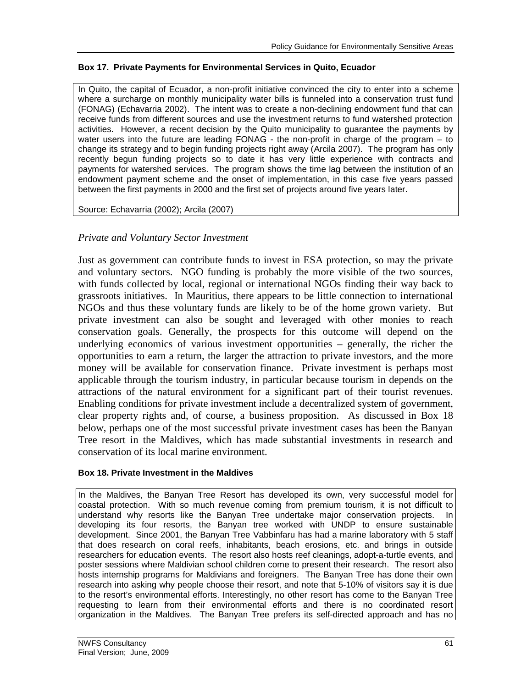### **Box 17. Private Payments for Environmental Services in Quito, Ecuador**

In Quito, the capital of Ecuador, a non-profit initiative convinced the city to enter into a scheme where a surcharge on monthly municipality water bills is funneled into a conservation trust fund (FONAG) (Echavarria 2002). The intent was to create a non-declining endowment fund that can receive funds from different sources and use the investment returns to fund watershed protection activities. However, a recent decision by the Quito municipality to guarantee the payments by water users into the future are leading FONAG - the non-profit in charge of the program – to change its strategy and to begin funding projects right away (Arcila 2007). The program has only recently begun funding projects so to date it has very little experience with contracts and payments for watershed services. The program shows the time lag between the institution of an endowment payment scheme and the onset of implementation, in this case five years passed between the first payments in 2000 and the first set of projects around five years later.

Source: Echavarria (2002); Arcila (2007)

# *Private and Voluntary Sector Investment*

Just as government can contribute funds to invest in ESA protection, so may the private and voluntary sectors. NGO funding is probably the more visible of the two sources, with funds collected by local, regional or international NGOs finding their way back to grassroots initiatives. In Mauritius, there appears to be little connection to international NGOs and thus these voluntary funds are likely to be of the home grown variety. But private investment can also be sought and leveraged with other monies to reach conservation goals. Generally, the prospects for this outcome will depend on the underlying economics of various investment opportunities – generally, the richer the opportunities to earn a return, the larger the attraction to private investors, and the more money will be available for conservation finance. Private investment is perhaps most applicable through the tourism industry, in particular because tourism in depends on the attractions of the natural environment for a significant part of their tourist revenues. Enabling conditions for private investment include a decentralized system of government, clear property rights and, of course, a business proposition. As discussed in Box 18 below, perhaps one of the most successful private investment cases has been the Banyan Tree resort in the Maldives, which has made substantial investments in research and conservation of its local marine environment.

### **Box 18. Private Investment in the Maldives**

In the Maldives, the Banyan Tree Resort has developed its own, very successful model for coastal protection. With so much revenue coming from premium tourism, it is not difficult to understand why resorts like the Banyan Tree undertake major conservation projects. In developing its four resorts, the Banyan tree worked with UNDP to ensure sustainable development. Since 2001, the Banyan Tree Vabbinfaru has had a marine laboratory with 5 staff that does research on coral reefs, inhabitants, beach erosions, etc. and brings in outside researchers for education events. The resort also hosts reef cleanings, adopt-a-turtle events, and poster sessions where Maldivian school children come to present their research. The resort also hosts internship programs for Maldivians and foreigners. The Banyan Tree has done their own research into asking why people choose their resort, and note that 5-10% of visitors say it is due to the resort's environmental efforts. Interestingly, no other resort has come to the Banyan Tree requesting to learn from their environmental efforts and there is no coordinated resort organization in the Maldives. The Banyan Tree prefers its self-directed approach and has no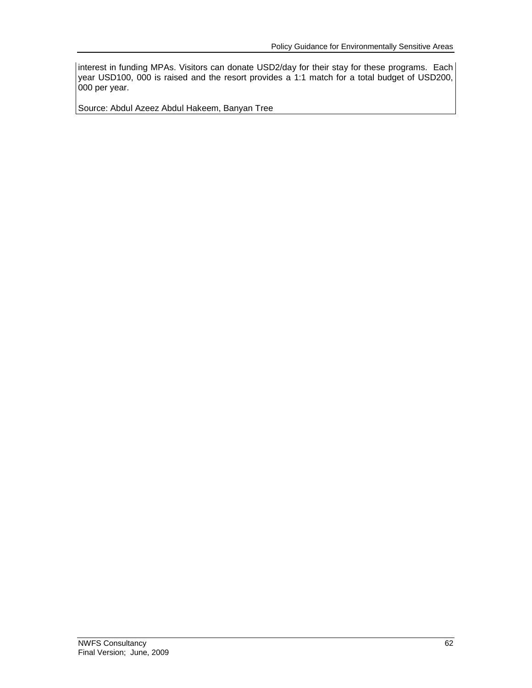interest in funding MPAs. Visitors can donate USD2/day for their stay for these programs. Each year USD100, 000 is raised and the resort provides a 1:1 match for a total budget of USD200, 000 per year.

Source: Abdul Azeez Abdul Hakeem, Banyan Tree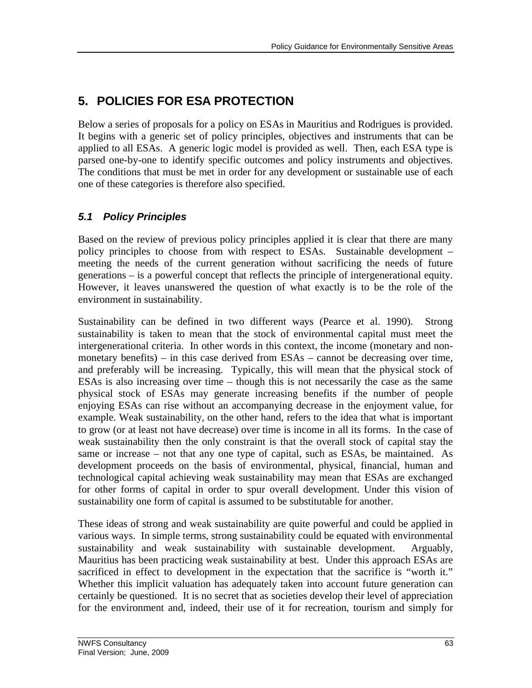# **5. POLICIES FOR ESA PROTECTION**

Below a series of proposals for a policy on ESAs in Mauritius and Rodrigues is provided. It begins with a generic set of policy principles, objectives and instruments that can be applied to all ESAs. A generic logic model is provided as well. Then, each ESA type is parsed one-by-one to identify specific outcomes and policy instruments and objectives. The conditions that must be met in order for any development or sustainable use of each one of these categories is therefore also specified.

## *5.1 Policy Principles*

Based on the review of previous policy principles applied it is clear that there are many policy principles to choose from with respect to ESAs. Sustainable development – meeting the needs of the current generation without sacrificing the needs of future generations – is a powerful concept that reflects the principle of intergenerational equity. However, it leaves unanswered the question of what exactly is to be the role of the environment in sustainability.

Sustainability can be defined in two different ways (Pearce et al. 1990). Strong sustainability is taken to mean that the stock of environmental capital must meet the intergenerational criteria. In other words in this context, the income (monetary and nonmonetary benefits) – in this case derived from ESAs – cannot be decreasing over time, and preferably will be increasing. Typically, this will mean that the physical stock of ESAs is also increasing over time – though this is not necessarily the case as the same physical stock of ESAs may generate increasing benefits if the number of people enjoying ESAs can rise without an accompanying decrease in the enjoyment value, for example. Weak sustainability, on the other hand, refers to the idea that what is important to grow (or at least not have decrease) over time is income in all its forms. In the case of weak sustainability then the only constraint is that the overall stock of capital stay the same or increase – not that any one type of capital, such as ESAs, be maintained. As development proceeds on the basis of environmental, physical, financial, human and technological capital achieving weak sustainability may mean that ESAs are exchanged for other forms of capital in order to spur overall development. Under this vision of sustainability one form of capital is assumed to be substitutable for another.

These ideas of strong and weak sustainability are quite powerful and could be applied in various ways. In simple terms, strong sustainability could be equated with environmental sustainability and weak sustainability with sustainable development. Arguably, Mauritius has been practicing weak sustainability at best. Under this approach ESAs are sacrificed in effect to development in the expectation that the sacrifice is "worth it." Whether this implicit valuation has adequately taken into account future generation can certainly be questioned. It is no secret that as societies develop their level of appreciation for the environment and, indeed, their use of it for recreation, tourism and simply for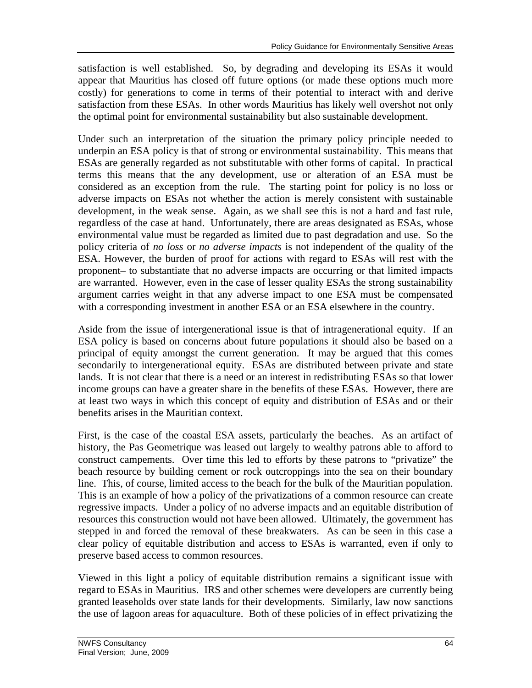satisfaction is well established. So, by degrading and developing its ESAs it would appear that Mauritius has closed off future options (or made these options much more costly) for generations to come in terms of their potential to interact with and derive satisfaction from these ESAs. In other words Mauritius has likely well overshot not only the optimal point for environmental sustainability but also sustainable development.

Under such an interpretation of the situation the primary policy principle needed to underpin an ESA policy is that of strong or environmental sustainability. This means that ESAs are generally regarded as not substitutable with other forms of capital. In practical terms this means that the any development, use or alteration of an ESA must be considered as an exception from the rule. The starting point for policy is no loss or adverse impacts on ESAs not whether the action is merely consistent with sustainable development, in the weak sense. Again, as we shall see this is not a hard and fast rule, regardless of the case at hand. Unfortunately, there are areas designated as ESAs, whose environmental value must be regarded as limited due to past degradation and use. So the policy criteria of *no loss* or *no adverse impacts* is not independent of the quality of the ESA. However, the burden of proof for actions with regard to ESAs will rest with the proponent– to substantiate that no adverse impacts are occurring or that limited impacts are warranted. However, even in the case of lesser quality ESAs the strong sustainability argument carries weight in that any adverse impact to one ESA must be compensated with a corresponding investment in another ESA or an ESA elsewhere in the country.

Aside from the issue of intergenerational issue is that of intragenerational equity. If an ESA policy is based on concerns about future populations it should also be based on a principal of equity amongst the current generation. It may be argued that this comes secondarily to intergenerational equity. ESAs are distributed between private and state lands. It is not clear that there is a need or an interest in redistributing ESAs so that lower income groups can have a greater share in the benefits of these ESAs. However, there are at least two ways in which this concept of equity and distribution of ESAs and or their benefits arises in the Mauritian context.

First, is the case of the coastal ESA assets, particularly the beaches. As an artifact of history, the Pas Geometrique was leased out largely to wealthy patrons able to afford to construct campements. Over time this led to efforts by these patrons to "privatize" the beach resource by building cement or rock outcroppings into the sea on their boundary line. This, of course, limited access to the beach for the bulk of the Mauritian population. This is an example of how a policy of the privatizations of a common resource can create regressive impacts. Under a policy of no adverse impacts and an equitable distribution of resources this construction would not have been allowed. Ultimately, the government has stepped in and forced the removal of these breakwaters. As can be seen in this case a clear policy of equitable distribution and access to ESAs is warranted, even if only to preserve based access to common resources.

Viewed in this light a policy of equitable distribution remains a significant issue with regard to ESAs in Mauritius. IRS and other schemes were developers are currently being granted leaseholds over state lands for their developments. Similarly, law now sanctions the use of lagoon areas for aquaculture. Both of these policies of in effect privatizing the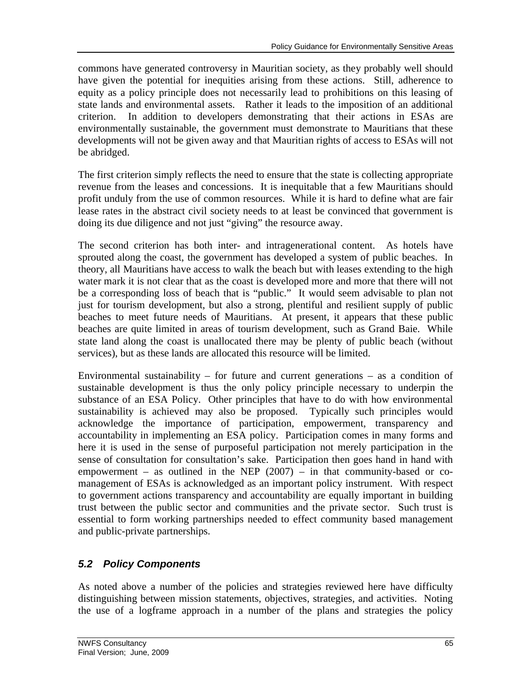commons have generated controversy in Mauritian society, as they probably well should have given the potential for inequities arising from these actions. Still, adherence to equity as a policy principle does not necessarily lead to prohibitions on this leasing of state lands and environmental assets. Rather it leads to the imposition of an additional criterion. In addition to developers demonstrating that their actions in ESAs are environmentally sustainable, the government must demonstrate to Mauritians that these developments will not be given away and that Mauritian rights of access to ESAs will not be abridged.

The first criterion simply reflects the need to ensure that the state is collecting appropriate revenue from the leases and concessions. It is inequitable that a few Mauritians should profit unduly from the use of common resources. While it is hard to define what are fair lease rates in the abstract civil society needs to at least be convinced that government is doing its due diligence and not just "giving" the resource away.

The second criterion has both inter- and intragenerational content. As hotels have sprouted along the coast, the government has developed a system of public beaches. In theory, all Mauritians have access to walk the beach but with leases extending to the high water mark it is not clear that as the coast is developed more and more that there will not be a corresponding loss of beach that is "public." It would seem advisable to plan not just for tourism development, but also a strong, plentiful and resilient supply of public beaches to meet future needs of Mauritians. At present, it appears that these public beaches are quite limited in areas of tourism development, such as Grand Baie. While state land along the coast is unallocated there may be plenty of public beach (without services), but as these lands are allocated this resource will be limited.

Environmental sustainability – for future and current generations – as a condition of sustainable development is thus the only policy principle necessary to underpin the substance of an ESA Policy. Other principles that have to do with how environmental sustainability is achieved may also be proposed. Typically such principles would acknowledge the importance of participation, empowerment, transparency and accountability in implementing an ESA policy. Participation comes in many forms and here it is used in the sense of purposeful participation not merely participation in the sense of consultation for consultation's sake. Participation then goes hand in hand with empowerment – as outlined in the NEP  $(2007)$  – in that community-based or comanagement of ESAs is acknowledged as an important policy instrument. With respect to government actions transparency and accountability are equally important in building trust between the public sector and communities and the private sector. Such trust is essential to form working partnerships needed to effect community based management and public-private partnerships.

## *5.2 Policy Components*

As noted above a number of the policies and strategies reviewed here have difficulty distinguishing between mission statements, objectives, strategies, and activities. Noting the use of a logframe approach in a number of the plans and strategies the policy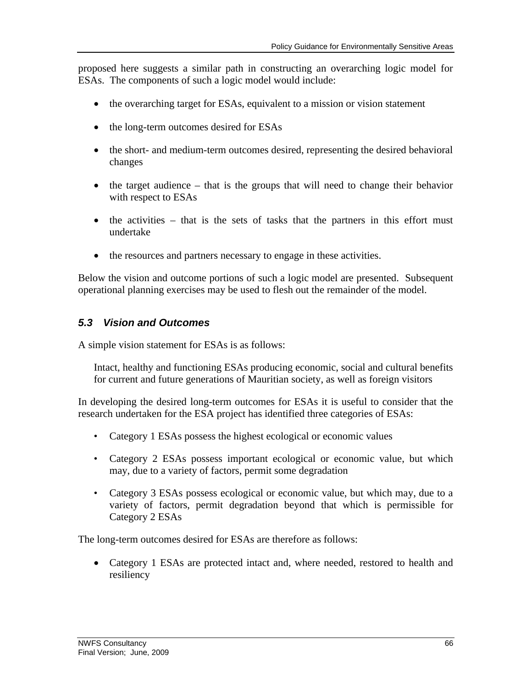proposed here suggests a similar path in constructing an overarching logic model for ESAs. The components of such a logic model would include:

- the overarching target for ESAs, equivalent to a mission or vision statement
- the long-term outcomes desired for ESAs
- the short- and medium-term outcomes desired, representing the desired behavioral changes
- $\bullet$  the target audience that is the groups that will need to change their behavior with respect to ESAs
- $\bullet$  the activities that is the sets of tasks that the partners in this effort must undertake
- the resources and partners necessary to engage in these activities.

Below the vision and outcome portions of such a logic model are presented. Subsequent operational planning exercises may be used to flesh out the remainder of the model.

## *5.3 Vision and Outcomes*

A simple vision statement for ESAs is as follows:

Intact, healthy and functioning ESAs producing economic, social and cultural benefits for current and future generations of Mauritian society, as well as foreign visitors

In developing the desired long-term outcomes for ESAs it is useful to consider that the research undertaken for the ESA project has identified three categories of ESAs:

- Category 1 ESAs possess the highest ecological or economic values
- Category 2 ESAs possess important ecological or economic value, but which may, due to a variety of factors, permit some degradation
- Category 3 ESAs possess ecological or economic value, but which may, due to a variety of factors, permit degradation beyond that which is permissible for Category 2 ESAs

The long-term outcomes desired for ESAs are therefore as follows:

• Category 1 ESAs are protected intact and, where needed, restored to health and resiliency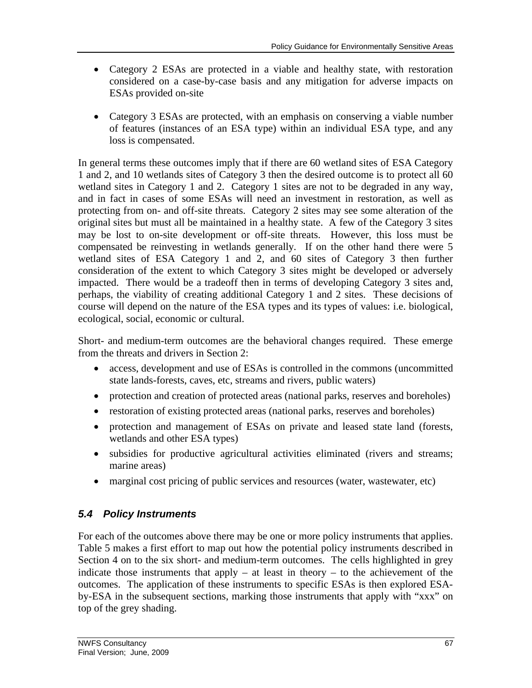- Category 2 ESAs are protected in a viable and healthy state, with restoration considered on a case-by-case basis and any mitigation for adverse impacts on ESAs provided on-site
- Category 3 ESAs are protected, with an emphasis on conserving a viable number of features (instances of an ESA type) within an individual ESA type, and any loss is compensated.

In general terms these outcomes imply that if there are 60 wetland sites of ESA Category 1 and 2, and 10 wetlands sites of Category 3 then the desired outcome is to protect all 60 wetland sites in Category 1 and 2. Category 1 sites are not to be degraded in any way, and in fact in cases of some ESAs will need an investment in restoration, as well as protecting from on- and off-site threats. Category 2 sites may see some alteration of the original sites but must all be maintained in a healthy state. A few of the Category 3 sites may be lost to on-site development or off-site threats. However, this loss must be compensated be reinvesting in wetlands generally. If on the other hand there were 5 wetland sites of ESA Category 1 and 2, and 60 sites of Category 3 then further consideration of the extent to which Category 3 sites might be developed or adversely impacted. There would be a tradeoff then in terms of developing Category 3 sites and, perhaps, the viability of creating additional Category 1 and 2 sites. These decisions of course will depend on the nature of the ESA types and its types of values: i.e. biological, ecological, social, economic or cultural.

Short- and medium-term outcomes are the behavioral changes required. These emerge from the threats and drivers in Section 2:

- access, development and use of ESAs is controlled in the commons (uncommitted state lands-forests, caves, etc, streams and rivers, public waters)
- protection and creation of protected areas (national parks, reserves and boreholes)
- restoration of existing protected areas (national parks, reserves and boreholes)
- protection and management of ESAs on private and leased state land (forests, wetlands and other ESA types)
- subsidies for productive agricultural activities eliminated (rivers and streams; marine areas)
- marginal cost pricing of public services and resources (water, wastewater, etc)

## *5.4 Policy Instruments*

For each of the outcomes above there may be one or more policy instruments that applies. Table 5 makes a first effort to map out how the potential policy instruments described in Section 4 on to the six short- and medium-term outcomes. The cells highlighted in grey indicate those instruments that apply – at least in theory – to the achievement of the outcomes. The application of these instruments to specific ESAs is then explored ESAby-ESA in the subsequent sections, marking those instruments that apply with "xxx" on top of the grey shading.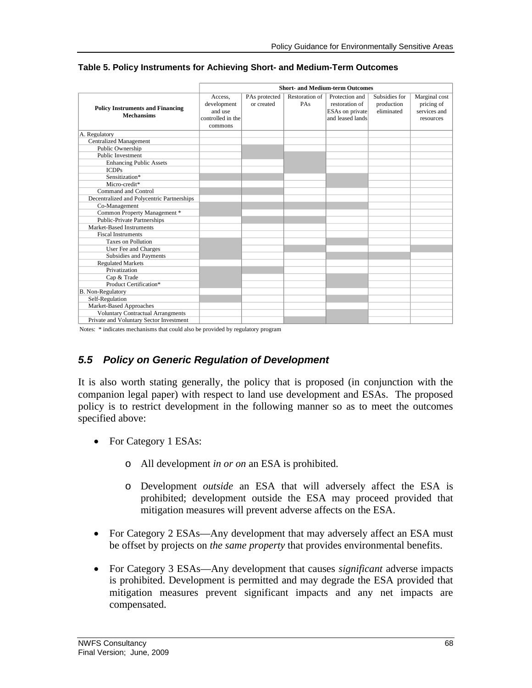|                                                              | <b>Short- and Medium-term Outcomes</b>                            |                             |                       |                                                                         |                                           |                                                          |
|--------------------------------------------------------------|-------------------------------------------------------------------|-----------------------------|-----------------------|-------------------------------------------------------------------------|-------------------------------------------|----------------------------------------------------------|
| <b>Policy Instruments and Financing</b><br><b>Mechansims</b> | Access.<br>development<br>and use<br>controlled in the<br>commons | PAs protected<br>or created | Restoration of<br>PAs | Protection and<br>restoration of<br>ESAs on private<br>and leased lands | Subsidies for<br>production<br>eliminated | Marginal cost<br>pricing of<br>services and<br>resources |
| A. Regulatory                                                |                                                                   |                             |                       |                                                                         |                                           |                                                          |
| <b>Centralized Management</b>                                |                                                                   |                             |                       |                                                                         |                                           |                                                          |
| Public Ownership                                             |                                                                   |                             |                       |                                                                         |                                           |                                                          |
| <b>Public Investment</b>                                     |                                                                   |                             |                       |                                                                         |                                           |                                                          |
| <b>Enhancing Public Assets</b>                               |                                                                   |                             |                       |                                                                         |                                           |                                                          |
| <b>ICDPs</b>                                                 |                                                                   |                             |                       |                                                                         |                                           |                                                          |
| Sensitization*                                               |                                                                   |                             |                       |                                                                         |                                           |                                                          |
| Micro-credit*                                                |                                                                   |                             |                       |                                                                         |                                           |                                                          |
| Command and Control                                          |                                                                   |                             |                       |                                                                         |                                           |                                                          |
| Decentralized and Polycentric Partnerships                   |                                                                   |                             |                       |                                                                         |                                           |                                                          |
| Co-Management                                                |                                                                   |                             |                       |                                                                         |                                           |                                                          |
| Common Property Management *                                 |                                                                   |                             |                       |                                                                         |                                           |                                                          |
| <b>Public-Private Partnerships</b>                           |                                                                   |                             |                       |                                                                         |                                           |                                                          |
| Market-Based Instruments                                     |                                                                   |                             |                       |                                                                         |                                           |                                                          |
| <b>Fiscal Instruments</b>                                    |                                                                   |                             |                       |                                                                         |                                           |                                                          |
| <b>Taxes on Pollution</b>                                    |                                                                   |                             |                       |                                                                         |                                           |                                                          |
| User Fee and Charges                                         |                                                                   |                             |                       |                                                                         |                                           |                                                          |
| Subsidies and Payments                                       |                                                                   |                             |                       |                                                                         |                                           |                                                          |
| <b>Regulated Markets</b>                                     |                                                                   |                             |                       |                                                                         |                                           |                                                          |
| Privatization                                                |                                                                   |                             |                       |                                                                         |                                           |                                                          |
| Cap & Trade                                                  |                                                                   |                             |                       |                                                                         |                                           |                                                          |
| Product Certification*                                       |                                                                   |                             |                       |                                                                         |                                           |                                                          |
| B. Non-Regulatory                                            |                                                                   |                             |                       |                                                                         |                                           |                                                          |
| Self-Regulation                                              |                                                                   |                             |                       |                                                                         |                                           |                                                          |
| Market-Based Approaches                                      |                                                                   |                             |                       |                                                                         |                                           |                                                          |
| <b>Voluntary Contractual Arrangments</b>                     |                                                                   |                             |                       |                                                                         |                                           |                                                          |
| Private and Voluntary Sector Investment                      |                                                                   |                             |                       |                                                                         |                                           |                                                          |

#### **Table 5. Policy Instruments for Achieving Short- and Medium-Term Outcomes**

Notes: \* indicates mechanisms that could also be provided by regulatory program

## *5.5 Policy on Generic Regulation of Development*

It is also worth stating generally, the policy that is proposed (in conjunction with the companion legal paper) with respect to land use development and ESAs. The proposed policy is to restrict development in the following manner so as to meet the outcomes specified above:

- For Category 1 ESAs:
	- o All development *in or on* an ESA is prohibited.
	- o Development *outside* an ESA that will adversely affect the ESA is prohibited; development outside the ESA may proceed provided that mitigation measures will prevent adverse affects on the ESA.
- For Category 2 ESAs—Any development that may adversely affect an ESA must be offset by projects on *the same property* that provides environmental benefits.
- For Category 3 ESAs—Any development that causes *significant* adverse impacts is prohibited. Development is permitted and may degrade the ESA provided that mitigation measures prevent significant impacts and any net impacts are compensated.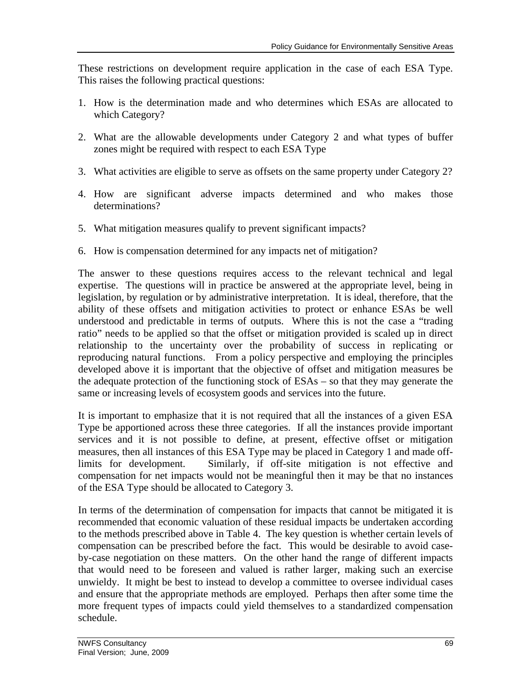These restrictions on development require application in the case of each ESA Type. This raises the following practical questions:

- 1. How is the determination made and who determines which ESAs are allocated to which Category?
- 2. What are the allowable developments under Category 2 and what types of buffer zones might be required with respect to each ESA Type
- 3. What activities are eligible to serve as offsets on the same property under Category 2?
- 4. How are significant adverse impacts determined and who makes those determinations?
- 5. What mitigation measures qualify to prevent significant impacts?
- 6. How is compensation determined for any impacts net of mitigation?

The answer to these questions requires access to the relevant technical and legal expertise. The questions will in practice be answered at the appropriate level, being in legislation, by regulation or by administrative interpretation. It is ideal, therefore, that the ability of these offsets and mitigation activities to protect or enhance ESAs be well understood and predictable in terms of outputs. Where this is not the case a "trading ratio" needs to be applied so that the offset or mitigation provided is scaled up in direct relationship to the uncertainty over the probability of success in replicating or reproducing natural functions. From a policy perspective and employing the principles developed above it is important that the objective of offset and mitigation measures be the adequate protection of the functioning stock of ESAs – so that they may generate the same or increasing levels of ecosystem goods and services into the future.

It is important to emphasize that it is not required that all the instances of a given ESA Type be apportioned across these three categories. If all the instances provide important services and it is not possible to define, at present, effective offset or mitigation measures, then all instances of this ESA Type may be placed in Category 1 and made offlimits for development. Similarly, if off-site mitigation is not effective and compensation for net impacts would not be meaningful then it may be that no instances of the ESA Type should be allocated to Category 3.

In terms of the determination of compensation for impacts that cannot be mitigated it is recommended that economic valuation of these residual impacts be undertaken according to the methods prescribed above in Table 4. The key question is whether certain levels of compensation can be prescribed before the fact. This would be desirable to avoid caseby-case negotiation on these matters. On the other hand the range of different impacts that would need to be foreseen and valued is rather larger, making such an exercise unwieldy. It might be best to instead to develop a committee to oversee individual cases and ensure that the appropriate methods are employed. Perhaps then after some time the more frequent types of impacts could yield themselves to a standardized compensation schedule.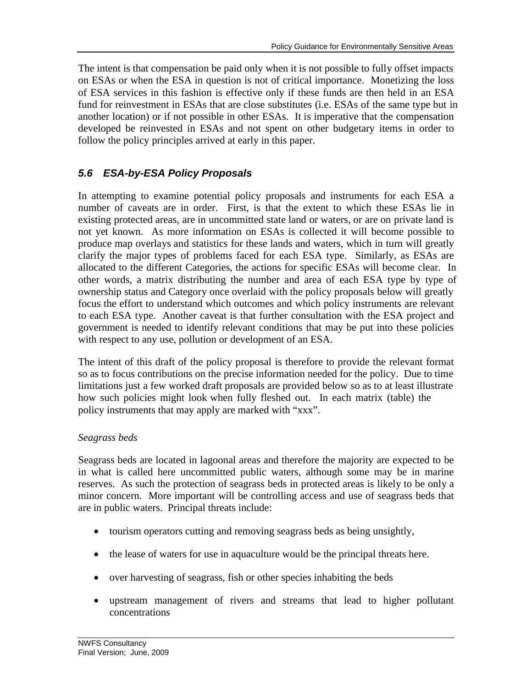fund for reinvestment in ESAs that are close substitutes (i.e. ESAs of the same type but in The intent is that compensation be paid only when it is not possible to fully offset impacts on ESAs or when the ESA in question is not of critical importance. Monetizing the loss of ESA services in this fashion is effective only if these funds are then held in an ESA another location) or if not possible in other ESAs. It is imperative that the compensation developed be reinvested in ESAs and not spent on other budgetary items in order to follow the policy principles arrived at early in this paper.

## *5.6 ESA-by-ESA Policy Proposals*

other words, a matrix distributing the number and area of each ESA type by type of allocated to the different Categories, the actions for specific ESAs will become clear. In In attempting to examine potential policy proposals and instruments for each ESA a number of caveats are in order. First, is that the extent to which these ESAs lie in existing protected areas, are in uncommitted state land or waters, or are on private land is not yet known. As more information on ESAs is collected it will become possible to produce map overlays and statistics for these lands and waters, which in turn will greatly clarify the major types of problems faced for each ESA type. Similarly, as ESAs are ownership status and Category once overlaid with the policy proposals below will greatly focus the effort to understand which outcomes and which policy instruments are relevant to each ESA type. Another caveat is that further consultation with the ESA project and government is needed to identify relevant conditions that may be put into these policies with respect to any use, pollution or development of an ESA.

how such policies might look when fully fleshed out. In each matrix (table) the The intent of this draft of the policy proposal is therefore to provide the relevant format so as to focus contributions on the precise information needed for the policy. Due to time limitations just a few worked draft proposals are provided below so as to at least illustrate policy instruments that may apply are marked with "xxx".

## *Seagrass beds*

Seagrass beds are located in lagoonal areas and therefore the majority are expected to be in what is called here uncommitted public waters, although some may be in marine reserves. As such the protection of seagrass beds in protected areas is likely to be only a minor concern. More important will be controlling access and use of seagrass beds that are in public waters. Principal threats include:

- tourism operators cutting and removing seagrass beds as being unsightly,
- the lease of waters for use in aquaculture would be the principal threats here.
- over harvesting of seagrass, fish or other species inhabiting the beds
- upstream management of rivers and streams that lead to higher pollutant concentrations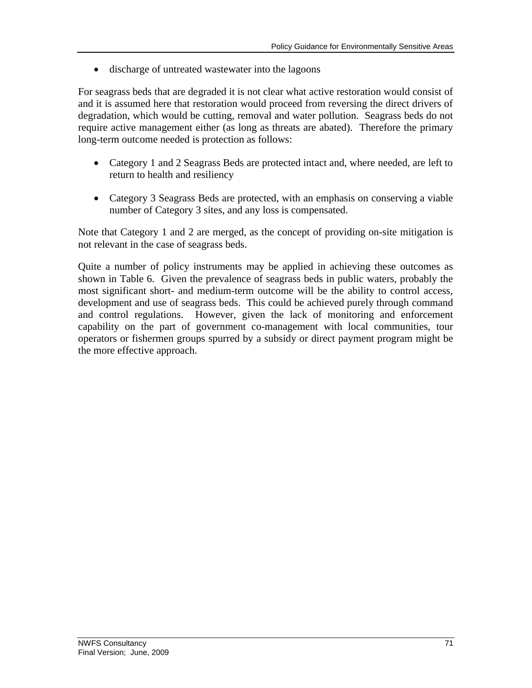• discharge of untreated wastewater into the lagoons

For seagrass beds that are degraded it is not clear what active restoration would consist of and it is assumed here that restoration would proceed from reversing the direct drivers of degradation, which would be cutting, removal and water pollution. Seagrass beds do not require active management either (as long as threats are abated). Therefore the primary long-term outcome needed is protection as follows:

- Category 1 and 2 Seagrass Beds are protected intact and, where needed, are left to return to health and resiliency
- Category 3 Seagrass Beds are protected, with an emphasis on conserving a viable number of Category 3 sites, and any loss is compensated.

Note that Category 1 and 2 are merged, as the concept of providing on-site mitigation is not relevant in the case of seagrass beds.

Quite a number of policy instruments may be applied in achieving these outcomes as shown in Table 6. Given the prevalence of seagrass beds in public waters, probably the most significant short- and medium-term outcome will be the ability to control access, development and use of seagrass beds. This could be achieved purely through command and control regulations. However, given the lack of monitoring and enforcement capability on the part of government co-management with local communities, tour operators or fishermen groups spurred by a subsidy or direct payment program might be the more effective approach.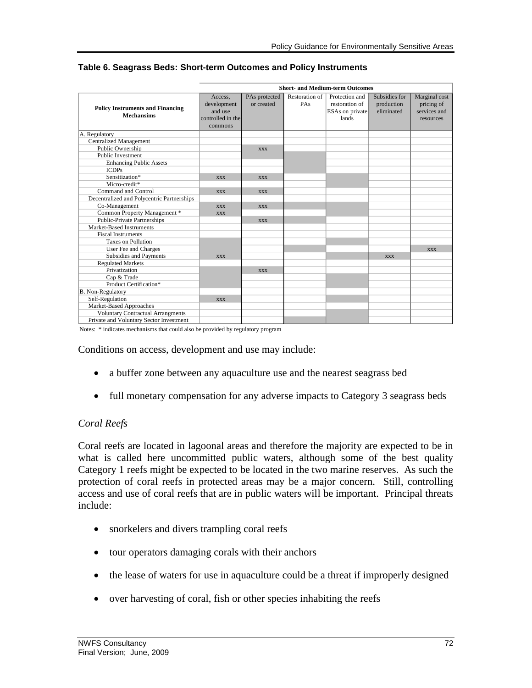|                                                              |                                                                   |                             |                       | <b>Short- and Medium-term Outcomes</b>                       |                                           |                                                          |
|--------------------------------------------------------------|-------------------------------------------------------------------|-----------------------------|-----------------------|--------------------------------------------------------------|-------------------------------------------|----------------------------------------------------------|
| <b>Policy Instruments and Financing</b><br><b>Mechansims</b> | Access,<br>development<br>and use<br>controlled in the<br>commons | PAs protected<br>or created | Restoration of<br>PAs | Protection and<br>restoration of<br>ESAs on private<br>lands | Subsidies for<br>production<br>eliminated | Marginal cost<br>pricing of<br>services and<br>resources |
| A. Regulatory                                                |                                                                   |                             |                       |                                                              |                                           |                                                          |
| <b>Centralized Management</b>                                |                                                                   |                             |                       |                                                              |                                           |                                                          |
| Public Ownership                                             |                                                                   | <b>XXX</b>                  |                       |                                                              |                                           |                                                          |
| <b>Public Investment</b>                                     |                                                                   |                             |                       |                                                              |                                           |                                                          |
| <b>Enhancing Public Assets</b>                               |                                                                   |                             |                       |                                                              |                                           |                                                          |
| <b>ICDPs</b>                                                 |                                                                   |                             |                       |                                                              |                                           |                                                          |
| Sensitization*                                               | <b>XXX</b>                                                        | <b>XXX</b>                  |                       |                                                              |                                           |                                                          |
| Micro-credit*                                                |                                                                   |                             |                       |                                                              |                                           |                                                          |
| Command and Control                                          | <b>XXX</b>                                                        | <b>XXX</b>                  |                       |                                                              |                                           |                                                          |
| Decentralized and Polycentric Partnerships                   |                                                                   |                             |                       |                                                              |                                           |                                                          |
| Co-Management                                                | <b>XXX</b>                                                        | <b>XXX</b>                  |                       |                                                              |                                           |                                                          |
| Common Property Management *                                 | <b>XXX</b>                                                        |                             |                       |                                                              |                                           |                                                          |
| <b>Public-Private Partnerships</b>                           |                                                                   | <b>XXX</b>                  |                       |                                                              |                                           |                                                          |
| Market-Based Instruments                                     |                                                                   |                             |                       |                                                              |                                           |                                                          |
| <b>Fiscal Instruments</b>                                    |                                                                   |                             |                       |                                                              |                                           |                                                          |
| <b>Taxes on Pollution</b>                                    |                                                                   |                             |                       |                                                              |                                           |                                                          |
| User Fee and Charges                                         |                                                                   |                             |                       |                                                              |                                           | <b>XXX</b>                                               |
| Subsidies and Payments                                       | <b>XXX</b>                                                        |                             |                       |                                                              | <b>XXX</b>                                |                                                          |
| <b>Regulated Markets</b>                                     |                                                                   |                             |                       |                                                              |                                           |                                                          |
| Privatization                                                |                                                                   | <b>XXX</b>                  |                       |                                                              |                                           |                                                          |
| Cap & Trade                                                  |                                                                   |                             |                       |                                                              |                                           |                                                          |
| Product Certification*                                       |                                                                   |                             |                       |                                                              |                                           |                                                          |
| B. Non-Regulatory                                            |                                                                   |                             |                       |                                                              |                                           |                                                          |
| Self-Regulation                                              | <b>XXX</b>                                                        |                             |                       |                                                              |                                           |                                                          |
| Market-Based Approaches                                      |                                                                   |                             |                       |                                                              |                                           |                                                          |
| <b>Voluntary Contractual Arrangments</b>                     |                                                                   |                             |                       |                                                              |                                           |                                                          |
| Private and Voluntary Sector Investment                      |                                                                   |                             |                       |                                                              |                                           |                                                          |

#### **Table 6. Seagrass Beds: Short-term Outcomes and Policy Instruments**

Notes: \* indicates mechanisms that could also be provided by regulatory program

Conditions on access, development and use may include:

- a buffer zone between any aquaculture use and the nearest seagrass bed
- full monetary compensation for any adverse impacts to Category 3 seagrass beds

### *Coral Reefs*

Coral reefs are located in lagoonal areas and therefore the majority are expected to be in what is called here uncommitted public waters, although some of the best quality Category 1 reefs might be expected to be located in the two marine reserves. As such the protection of coral reefs in protected areas may be a major concern. Still, controlling access and use of coral reefs that are in public waters will be important. Principal threats include:

- snorkelers and divers trampling coral reefs
- tour operators damaging corals with their anchors
- the lease of waters for use in aquaculture could be a threat if improperly designed
- over harvesting of coral, fish or other species inhabiting the reefs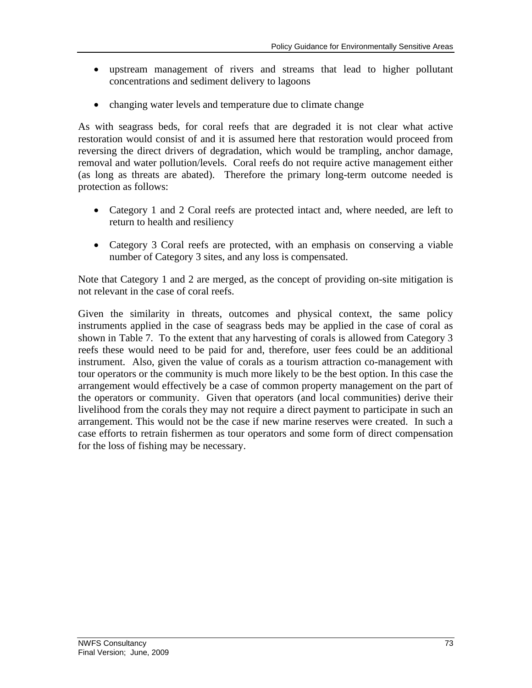- upstream management of rivers and streams that lead to higher pollutant concentrations and sediment delivery to lagoons
- changing water levels and temperature due to climate change

As with seagrass beds, for coral reefs that are degraded it is not clear what active restoration would consist of and it is assumed here that restoration would proceed from reversing the direct drivers of degradation, which would be trampling, anchor damage, removal and water pollution/levels. Coral reefs do not require active management either (as long as threats are abated). Therefore the primary long-term outcome needed is protection as follows:

- Category 1 and 2 Coral reefs are protected intact and, where needed, are left to return to health and resiliency
- Category 3 Coral reefs are protected, with an emphasis on conserving a viable number of Category 3 sites, and any loss is compensated.

Note that Category 1 and 2 are merged, as the concept of providing on-site mitigation is not relevant in the case of coral reefs.

Given the similarity in threats, outcomes and physical context, the same policy instruments applied in the case of seagrass beds may be applied in the case of coral as shown in Table 7. To the extent that any harvesting of corals is allowed from Category 3 reefs these would need to be paid for and, therefore, user fees could be an additional instrument. Also, given the value of corals as a tourism attraction co-management with tour operators or the community is much more likely to be the best option. In this case the arrangement would effectively be a case of common property management on the part of the operators or community. Given that operators (and local communities) derive their livelihood from the corals they may not require a direct payment to participate in such an arrangement. This would not be the case if new marine reserves were created. In such a case efforts to retrain fishermen as tour operators and some form of direct compensation for the loss of fishing may be necessary.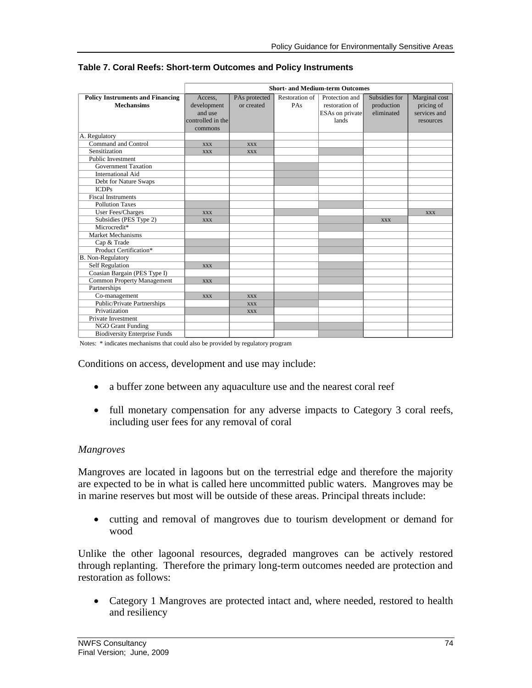|                                         |                   |               |                | <b>Short- and Medium-term Outcomes</b> |               |               |
|-----------------------------------------|-------------------|---------------|----------------|----------------------------------------|---------------|---------------|
| <b>Policy Instruments and Financing</b> | Access,           | PAs protected | Restoration of | Protection and                         | Subsidies for | Marginal cost |
| <b>Mechansims</b>                       | development       | or created    | PAs            | restoration of                         | production    | pricing of    |
|                                         | and use           |               |                | ESAs on private                        | eliminated    | services and  |
|                                         | controlled in the |               |                | lands                                  |               | resources     |
|                                         | commons           |               |                |                                        |               |               |
| A. Regulatory                           |                   |               |                |                                        |               |               |
| Command and Control                     | <b>XXX</b>        | <b>XXX</b>    |                |                                        |               |               |
| Sensitization                           | <b>XXX</b>        | <b>XXX</b>    |                |                                        |               |               |
| <b>Public Investment</b>                |                   |               |                |                                        |               |               |
| <b>Government Taxation</b>              |                   |               |                |                                        |               |               |
| <b>International Aid</b>                |                   |               |                |                                        |               |               |
| Debt for Nature Swaps                   |                   |               |                |                                        |               |               |
| <b>ICDPs</b>                            |                   |               |                |                                        |               |               |
| <b>Fiscal Instruments</b>               |                   |               |                |                                        |               |               |
| <b>Pollution Taxes</b>                  |                   |               |                |                                        |               |               |
| User Fees/Charges                       | <b>XXX</b>        |               |                |                                        |               | <b>XXX</b>    |
| Subsidies (PES Type 2)                  | <b>XXX</b>        |               |                |                                        | <b>XXX</b>    |               |
| Microcredit*                            |                   |               |                |                                        |               |               |
| Market Mechanisms                       |                   |               |                |                                        |               |               |
| Cap & Trade                             |                   |               |                |                                        |               |               |
| Product Certification*                  |                   |               |                |                                        |               |               |
| B. Non-Regulatory                       |                   |               |                |                                        |               |               |
| <b>Self Regulation</b>                  | <b>XXX</b>        |               |                |                                        |               |               |
| Coasian Bargain (PES Type I)            |                   |               |                |                                        |               |               |
| <b>Common Property Management</b>       | <b>XXX</b>        |               |                |                                        |               |               |
| Partnerships                            |                   |               |                |                                        |               |               |
| Co-management                           | <b>XXX</b>        | <b>XXX</b>    |                |                                        |               |               |
| Public/Private Partnerships             |                   | <b>XXX</b>    |                |                                        |               |               |
| Privatization                           |                   | <b>XXX</b>    |                |                                        |               |               |
| Private Investment                      |                   |               |                |                                        |               |               |
| <b>NGO Grant Funding</b>                |                   |               |                |                                        |               |               |
| <b>Biodiversity Enterprise Funds</b>    |                   |               |                |                                        |               |               |

#### **Table 7. Coral Reefs: Short-term Outcomes and Policy Instruments**

Notes: \* indicates mechanisms that could also be provided by regulatory program

Conditions on access, development and use may include:

- a buffer zone between any aquaculture use and the nearest coral reef
- full monetary compensation for any adverse impacts to Category 3 coral reefs, including user fees for any removal of coral

### *Mangroves*

Mangroves are located in lagoons but on the terrestrial edge and therefore the majority are expected to be in what is called here uncommitted public waters. Mangroves may be in marine reserves but most will be outside of these areas. Principal threats include:

• cutting and removal of mangroves due to tourism development or demand for wood

Unlike the other lagoonal resources, degraded mangroves can be actively restored through replanting. Therefore the primary long-term outcomes needed are protection and restoration as follows:

• Category 1 Mangroves are protected intact and, where needed, restored to health and resiliency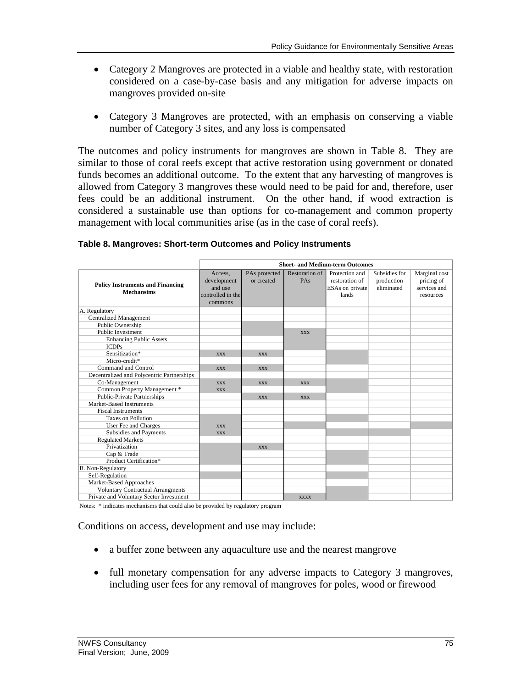- Category 2 Mangroves are protected in a viable and healthy state, with restoration considered on a case-by-case basis and any mitigation for adverse impacts on mangroves provided on-site
- Category 3 Mangroves are protected, with an emphasis on conserving a viable number of Category 3 sites, and any loss is compensated

The outcomes and policy instruments for mangroves are shown in Table 8. They are similar to those of coral reefs except that active restoration using government or donated funds becomes an additional outcome. To the extent that any harvesting of mangroves is allowed from Category 3 mangroves these would need to be paid for and, therefore, user fees could be an additional instrument. On the other hand, if wood extraction is considered a sustainable use than options for co-management and common property management with local communities arise (as in the case of coral reefs).

|                                            |                   |               |                | <b>Short- and Medium-term Outcomes</b> |               |               |
|--------------------------------------------|-------------------|---------------|----------------|----------------------------------------|---------------|---------------|
|                                            | Access.           | PAs protected | Restoration of | Protection and                         | Subsidies for | Marginal cost |
|                                            | development       | or created    | PAs            | restoration of                         | production    | pricing of    |
| <b>Policy Instruments and Financing</b>    | and use           |               |                | ESAs on private                        | eliminated    | services and  |
| <b>Mechansims</b>                          | controlled in the |               |                | lands                                  |               | resources     |
|                                            | commons           |               |                |                                        |               |               |
| A. Regulatory                              |                   |               |                |                                        |               |               |
| <b>Centralized Management</b>              |                   |               |                |                                        |               |               |
| Public Ownership                           |                   |               |                |                                        |               |               |
| <b>Public Investment</b>                   |                   |               | <b>XXX</b>     |                                        |               |               |
| <b>Enhancing Public Assets</b>             |                   |               |                |                                        |               |               |
| <b>ICDPs</b>                               |                   |               |                |                                        |               |               |
| Sensitization*                             | <b>XXX</b>        | <b>XXX</b>    |                |                                        |               |               |
| Micro-credit*                              |                   |               |                |                                        |               |               |
| Command and Control                        | <b>XXX</b>        | <b>XXX</b>    |                |                                        |               |               |
| Decentralized and Polycentric Partnerships |                   |               |                |                                        |               |               |
| Co-Management                              | <b>XXX</b>        | <b>XXX</b>    | <b>XXX</b>     |                                        |               |               |
| Common Property Management *               | <b>XXX</b>        |               |                |                                        |               |               |
| <b>Public-Private Partnerships</b>         |                   | <b>XXX</b>    | <b>XXX</b>     |                                        |               |               |
| Market-Based Instruments                   |                   |               |                |                                        |               |               |
| <b>Fiscal Instruments</b>                  |                   |               |                |                                        |               |               |
| <b>Taxes on Pollution</b>                  |                   |               |                |                                        |               |               |
| User Fee and Charges                       | <b>XXX</b>        |               |                |                                        |               |               |
| Subsidies and Payments                     | <b>XXX</b>        |               |                |                                        |               |               |
| <b>Regulated Markets</b>                   |                   |               |                |                                        |               |               |
| Privatization                              |                   | <b>XXX</b>    |                |                                        |               |               |
| Cap & Trade                                |                   |               |                |                                        |               |               |
| Product Certification*                     |                   |               |                |                                        |               |               |
| B. Non-Regulatory                          |                   |               |                |                                        |               |               |
| Self-Regulation                            |                   |               |                |                                        |               |               |
| Market-Based Approaches                    |                   |               |                |                                        |               |               |
| <b>Voluntary Contractual Arrangments</b>   |                   |               |                |                                        |               |               |
| Private and Voluntary Sector Investment    |                   |               | <b>XXXX</b>    |                                        |               |               |

#### **Table 8. Mangroves: Short-term Outcomes and Policy Instruments**

Notes: \* indicates mechanisms that could also be provided by regulatory program

Conditions on access, development and use may include:

- a buffer zone between any aquaculture use and the nearest mangrove
- full monetary compensation for any adverse impacts to Category 3 mangroves, including user fees for any removal of mangroves for poles, wood or firewood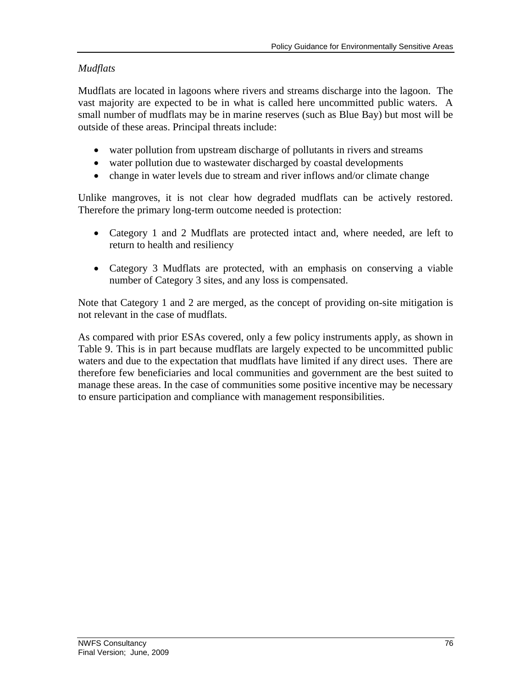## *Mudflats*

Mudflats are located in lagoons where rivers and streams discharge into the lagoon. The vast majority are expected to be in what is called here uncommitted public waters. A small number of mudflats may be in marine reserves (such as Blue Bay) but most will be outside of these areas. Principal threats include:

- water pollution from upstream discharge of pollutants in rivers and streams
- water pollution due to wastewater discharged by coastal developments
- change in water levels due to stream and river inflows and/or climate change

Unlike mangroves, it is not clear how degraded mudflats can be actively restored. Therefore the primary long-term outcome needed is protection:

- Category 1 and 2 Mudflats are protected intact and, where needed, are left to return to health and resiliency
- Category 3 Mudflats are protected, with an emphasis on conserving a viable number of Category 3 sites, and any loss is compensated.

Note that Category 1 and 2 are merged, as the concept of providing on-site mitigation is not relevant in the case of mudflats.

As compared with prior ESAs covered, only a few policy instruments apply, as shown in Table 9. This is in part because mudflats are largely expected to be uncommitted public waters and due to the expectation that mudflats have limited if any direct uses. There are therefore few beneficiaries and local communities and government are the best suited to manage these areas. In the case of communities some positive incentive may be necessary to ensure participation and compliance with management responsibilities.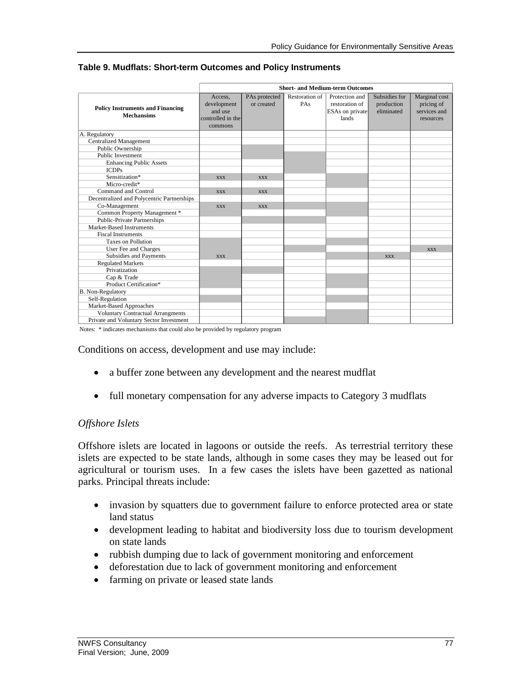|                                                              |                                                                   |                             |                       | <b>Short- and Medium-term Outcomes</b>                       |                                           |                                                          |
|--------------------------------------------------------------|-------------------------------------------------------------------|-----------------------------|-----------------------|--------------------------------------------------------------|-------------------------------------------|----------------------------------------------------------|
| <b>Policy Instruments and Financing</b><br><b>Mechansims</b> | Access.<br>development<br>and use<br>controlled in the<br>commons | PAs protected<br>or created | Restoration of<br>PAs | Protection and<br>restoration of<br>ESAs on private<br>lands | Subsidies for<br>production<br>eliminated | Marginal cost<br>pricing of<br>services and<br>resources |
| A. Regulatory                                                |                                                                   |                             |                       |                                                              |                                           |                                                          |
| <b>Centralized Management</b>                                |                                                                   |                             |                       |                                                              |                                           |                                                          |
| Public Ownership                                             |                                                                   |                             |                       |                                                              |                                           |                                                          |
| <b>Public Investment</b>                                     |                                                                   |                             |                       |                                                              |                                           |                                                          |
| <b>Enhancing Public Assets</b>                               |                                                                   |                             |                       |                                                              |                                           |                                                          |
| <b>ICDPs</b>                                                 |                                                                   |                             |                       |                                                              |                                           |                                                          |
| Sensitization*                                               | <b>XXX</b>                                                        | <b>XXX</b>                  |                       |                                                              |                                           |                                                          |
| Micro-credit*                                                |                                                                   |                             |                       |                                                              |                                           |                                                          |
| Command and Control                                          | <b>XXX</b>                                                        | <b>XXX</b>                  |                       |                                                              |                                           |                                                          |
| Decentralized and Polycentric Partnerships                   |                                                                   |                             |                       |                                                              |                                           |                                                          |
| Co-Management                                                | <b>XXX</b>                                                        | <b>XXX</b>                  |                       |                                                              |                                           |                                                          |
| Common Property Management *                                 |                                                                   |                             |                       |                                                              |                                           |                                                          |
| <b>Public-Private Partnerships</b>                           |                                                                   |                             |                       |                                                              |                                           |                                                          |
| Market-Based Instruments                                     |                                                                   |                             |                       |                                                              |                                           |                                                          |
| <b>Fiscal Instruments</b>                                    |                                                                   |                             |                       |                                                              |                                           |                                                          |
| <b>Taxes on Pollution</b>                                    |                                                                   |                             |                       |                                                              |                                           |                                                          |
| User Fee and Charges                                         |                                                                   |                             |                       |                                                              |                                           | <b>XXX</b>                                               |
| Subsidies and Payments                                       | <b>XXX</b>                                                        |                             |                       |                                                              | <b>XXX</b>                                |                                                          |
| <b>Regulated Markets</b>                                     |                                                                   |                             |                       |                                                              |                                           |                                                          |
| Privatization                                                |                                                                   |                             |                       |                                                              |                                           |                                                          |
| Cap & Trade                                                  |                                                                   |                             |                       |                                                              |                                           |                                                          |
| Product Certification*                                       |                                                                   |                             |                       |                                                              |                                           |                                                          |
| B. Non-Regulatory                                            |                                                                   |                             |                       |                                                              |                                           |                                                          |
| Self-Regulation                                              |                                                                   |                             |                       |                                                              |                                           |                                                          |
| Market-Based Approaches                                      |                                                                   |                             |                       |                                                              |                                           |                                                          |
| <b>Voluntary Contractual Arrangments</b>                     |                                                                   |                             |                       |                                                              |                                           |                                                          |
| Private and Voluntary Sector Investment                      |                                                                   |                             |                       |                                                              |                                           |                                                          |

#### **Table 9. Mudflats: Short-term Outcomes and Policy Instruments**

Notes: \* indicates mechanisms that could also be provided by regulatory program

Conditions on access, development and use may include:

- a buffer zone between any development and the nearest mudflat
- full monetary compensation for any adverse impacts to Category 3 mudflats

### *Offshore Islets*

Offshore islets are located in lagoons or outside the reefs. As terrestrial territory these islets are expected to be state lands, although in some cases they may be leased out for agricultural or tourism uses. In a few cases the islets have been gazetted as national parks. Principal threats include:

- invasion by squatters due to government failure to enforce protected area or state land status
- development leading to habitat and biodiversity loss due to tourism development on state lands
- rubbish dumping due to lack of government monitoring and enforcement
- deforestation due to lack of government monitoring and enforcement
- farming on private or leased state lands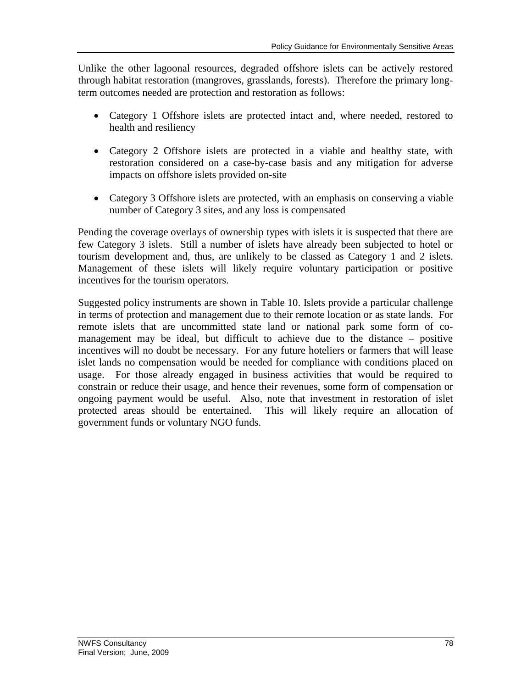Unlike the other lagoonal resources, degraded offshore islets can be actively restored through habitat restoration (mangroves, grasslands, forests). Therefore the primary longterm outcomes needed are protection and restoration as follows:

- Category 1 Offshore islets are protected intact and, where needed, restored to health and resiliency
- Category 2 Offshore islets are protected in a viable and healthy state, with restoration considered on a case-by-case basis and any mitigation for adverse impacts on offshore islets provided on-site
- Category 3 Offshore islets are protected, with an emphasis on conserving a viable number of Category 3 sites, and any loss is compensated

Pending the coverage overlays of ownership types with islets it is suspected that there are few Category 3 islets. Still a number of islets have already been subjected to hotel or tourism development and, thus, are unlikely to be classed as Category 1 and 2 islets. Management of these islets will likely require voluntary participation or positive incentives for the tourism operators.

Suggested policy instruments are shown in Table 10. Islets provide a particular challenge in terms of protection and management due to their remote location or as state lands. For remote islets that are uncommitted state land or national park some form of comanagement may be ideal, but difficult to achieve due to the distance – positive incentives will no doubt be necessary. For any future hoteliers or farmers that will lease islet lands no compensation would be needed for compliance with conditions placed on usage. For those already engaged in business activities that would be required to constrain or reduce their usage, and hence their revenues, some form of compensation or ongoing payment would be useful. Also, note that investment in restoration of islet protected areas should be entertained. This will likely require an allocation of government funds or voluntary NGO funds.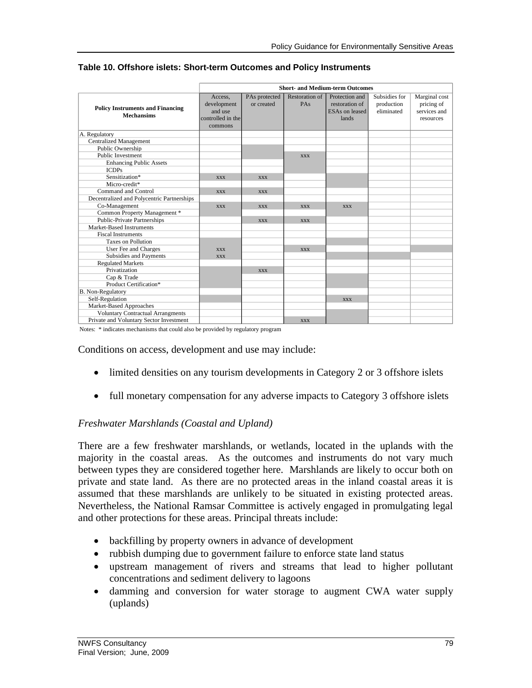|                                                              |                                                                   |                             |                              | <b>Short- and Medium-term Outcomes</b>                      |                                           |                                                          |
|--------------------------------------------------------------|-------------------------------------------------------------------|-----------------------------|------------------------------|-------------------------------------------------------------|-------------------------------------------|----------------------------------------------------------|
| <b>Policy Instruments and Financing</b><br><b>Mechansims</b> | Access.<br>development<br>and use<br>controlled in the<br>commons | PAs protected<br>or created | <b>Restoration of</b><br>PAs | Protection and<br>restoration of<br>ESAs on leased<br>lands | Subsidies for<br>production<br>eliminated | Marginal cost<br>pricing of<br>services and<br>resources |
| A. Regulatory                                                |                                                                   |                             |                              |                                                             |                                           |                                                          |
| <b>Centralized Management</b>                                |                                                                   |                             |                              |                                                             |                                           |                                                          |
| Public Ownership                                             |                                                                   |                             |                              |                                                             |                                           |                                                          |
| <b>Public Investment</b>                                     |                                                                   |                             | <b>XXX</b>                   |                                                             |                                           |                                                          |
| <b>Enhancing Public Assets</b>                               |                                                                   |                             |                              |                                                             |                                           |                                                          |
| <b>ICDPs</b>                                                 |                                                                   |                             |                              |                                                             |                                           |                                                          |
| Sensitization*                                               | <b>XXX</b>                                                        | <b>XXX</b>                  |                              |                                                             |                                           |                                                          |
| Micro-credit*                                                |                                                                   |                             |                              |                                                             |                                           |                                                          |
| Command and Control                                          | <b>XXX</b>                                                        | <b>XXX</b>                  |                              |                                                             |                                           |                                                          |
| Decentralized and Polycentric Partnerships                   |                                                                   |                             |                              |                                                             |                                           |                                                          |
| Co-Management                                                | <b>XXX</b>                                                        | <b>XXX</b>                  | <b>XXX</b>                   | <b>XXX</b>                                                  |                                           |                                                          |
| Common Property Management *                                 |                                                                   |                             |                              |                                                             |                                           |                                                          |
| <b>Public-Private Partnerships</b>                           |                                                                   | <b>XXX</b>                  | <b>XXX</b>                   |                                                             |                                           |                                                          |
| Market-Based Instruments                                     |                                                                   |                             |                              |                                                             |                                           |                                                          |
| <b>Fiscal Instruments</b>                                    |                                                                   |                             |                              |                                                             |                                           |                                                          |
| <b>Taxes on Pollution</b>                                    |                                                                   |                             |                              |                                                             |                                           |                                                          |
| User Fee and Charges                                         | <b>XXX</b>                                                        |                             | <b>XXX</b>                   |                                                             |                                           |                                                          |
| Subsidies and Payments                                       | <b>XXX</b>                                                        |                             |                              |                                                             |                                           |                                                          |
| <b>Regulated Markets</b>                                     |                                                                   |                             |                              |                                                             |                                           |                                                          |
| Privatization                                                |                                                                   | <b>XXX</b>                  |                              |                                                             |                                           |                                                          |
| Cap & Trade                                                  |                                                                   |                             |                              |                                                             |                                           |                                                          |
| Product Certification*                                       |                                                                   |                             |                              |                                                             |                                           |                                                          |
| <b>B.</b> Non-Regulatory                                     |                                                                   |                             |                              |                                                             |                                           |                                                          |
| Self-Regulation                                              |                                                                   |                             |                              | <b>XXX</b>                                                  |                                           |                                                          |
| Market-Based Approaches                                      |                                                                   |                             |                              |                                                             |                                           |                                                          |
| <b>Voluntary Contractual Arrangments</b>                     |                                                                   |                             |                              |                                                             |                                           |                                                          |
| Private and Voluntary Sector Investment                      |                                                                   |                             | <b>XXX</b>                   |                                                             |                                           |                                                          |

#### **Table 10. Offshore islets: Short-term Outcomes and Policy Instruments**

Notes: \* indicates mechanisms that could also be provided by regulatory program

Conditions on access, development and use may include:

- limited densities on any tourism developments in Category 2 or 3 offshore islets
- full monetary compensation for any adverse impacts to Category 3 offshore islets

### *Freshwater Marshlands (Coastal and Upland)*

There are a few freshwater marshlands, or wetlands, located in the uplands with the majority in the coastal areas. As the outcomes and instruments do not vary much between types they are considered together here. Marshlands are likely to occur both on private and state land. As there are no protected areas in the inland coastal areas it is assumed that these marshlands are unlikely to be situated in existing protected areas. Nevertheless, the National Ramsar Committee is actively engaged in promulgating legal and other protections for these areas. Principal threats include:

- backfilling by property owners in advance of development
- rubbish dumping due to government failure to enforce state land status
- upstream management of rivers and streams that lead to higher pollutant concentrations and sediment delivery to lagoons
- damming and conversion for water storage to augment CWA water supply (uplands)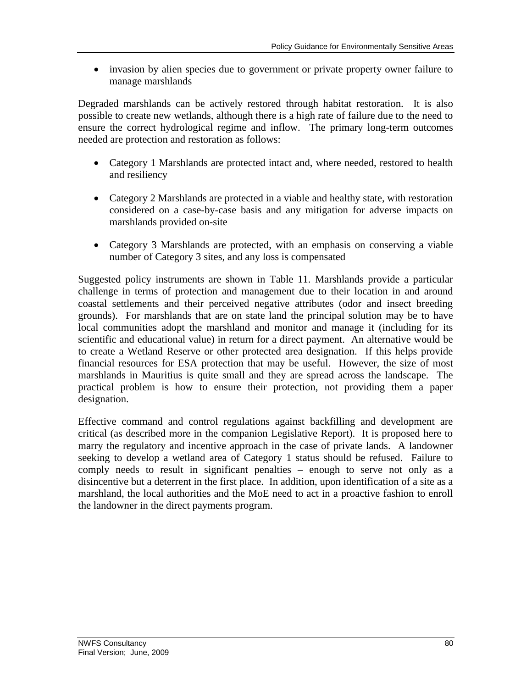• invasion by alien species due to government or private property owner failure to manage marshlands

Degraded marshlands can be actively restored through habitat restoration. It is also possible to create new wetlands, although there is a high rate of failure due to the need to ensure the correct hydrological regime and inflow. The primary long-term outcomes needed are protection and restoration as follows:

- Category 1 Marshlands are protected intact and, where needed, restored to health and resiliency
- Category 2 Marshlands are protected in a viable and healthy state, with restoration considered on a case-by-case basis and any mitigation for adverse impacts on marshlands provided on-site
- Category 3 Marshlands are protected, with an emphasis on conserving a viable number of Category 3 sites, and any loss is compensated

Suggested policy instruments are shown in Table 11. Marshlands provide a particular challenge in terms of protection and management due to their location in and around coastal settlements and their perceived negative attributes (odor and insect breeding grounds). For marshlands that are on state land the principal solution may be to have local communities adopt the marshland and monitor and manage it (including for its scientific and educational value) in return for a direct payment. An alternative would be to create a Wetland Reserve or other protected area designation. If this helps provide financial resources for ESA protection that may be useful. However, the size of most marshlands in Mauritius is quite small and they are spread across the landscape. The practical problem is how to ensure their protection, not providing them a paper designation.

Effective command and control regulations against backfilling and development are critical (as described more in the companion Legislative Report). It is proposed here to marry the regulatory and incentive approach in the case of private lands. A landowner seeking to develop a wetland area of Category 1 status should be refused. Failure to comply needs to result in significant penalties – enough to serve not only as a disincentive but a deterrent in the first place. In addition, upon identification of a site as a marshland, the local authorities and the MoE need to act in a proactive fashion to enroll the landowner in the direct payments program.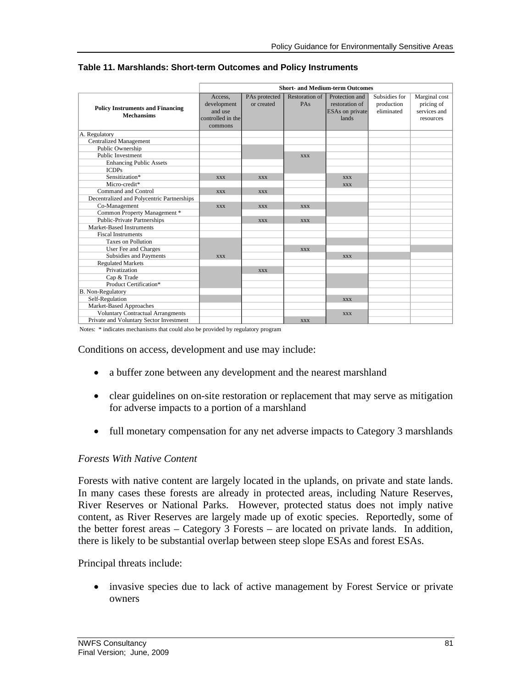|                                                              |                        |                             |                       | <b>Short- and Medium-term Outcomes</b> |                             |                             |
|--------------------------------------------------------------|------------------------|-----------------------------|-----------------------|----------------------------------------|-----------------------------|-----------------------------|
|                                                              | Access.<br>development | PAs protected<br>or created | Restoration of<br>PAs | Protection and<br>restoration of       | Subsidies for<br>production | Marginal cost<br>pricing of |
| <b>Policy Instruments and Financing</b><br><b>Mechansims</b> | and use                |                             |                       | <b>ESAs</b> on private                 | eliminated                  | services and                |
|                                                              | controlled in the      |                             |                       | lands                                  |                             | resources                   |
|                                                              | commons                |                             |                       |                                        |                             |                             |
| A. Regulatory                                                |                        |                             |                       |                                        |                             |                             |
| <b>Centralized Management</b>                                |                        |                             |                       |                                        |                             |                             |
| Public Ownership                                             |                        |                             |                       |                                        |                             |                             |
| <b>Public Investment</b>                                     |                        |                             | <b>XXX</b>            |                                        |                             |                             |
| <b>Enhancing Public Assets</b>                               |                        |                             |                       |                                        |                             |                             |
| <b>ICDPs</b>                                                 |                        |                             |                       |                                        |                             |                             |
| Sensitization*                                               | <b>XXX</b>             | <b>XXX</b>                  |                       | <b>XXX</b>                             |                             |                             |
| Micro-credit*                                                |                        |                             |                       | <b>XXX</b>                             |                             |                             |
| Command and Control                                          | <b>XXX</b>             | <b>XXX</b>                  |                       |                                        |                             |                             |
| Decentralized and Polycentric Partnerships                   |                        |                             |                       |                                        |                             |                             |
| Co-Management                                                | <b>XXX</b>             | <b>XXX</b>                  | <b>XXX</b>            |                                        |                             |                             |
| Common Property Management *                                 |                        |                             |                       |                                        |                             |                             |
| <b>Public-Private Partnerships</b>                           |                        | <b>XXX</b>                  | <b>XXX</b>            |                                        |                             |                             |
| Market-Based Instruments                                     |                        |                             |                       |                                        |                             |                             |
| <b>Fiscal Instruments</b>                                    |                        |                             |                       |                                        |                             |                             |
| <b>Taxes on Pollution</b>                                    |                        |                             |                       |                                        |                             |                             |
| User Fee and Charges                                         |                        |                             | <b>XXX</b>            |                                        |                             |                             |
| Subsidies and Payments                                       | <b>XXX</b>             |                             |                       | <b>XXX</b>                             |                             |                             |
| <b>Regulated Markets</b>                                     |                        |                             |                       |                                        |                             |                             |
| Privatization                                                |                        | <b>XXX</b>                  |                       |                                        |                             |                             |
| Cap & Trade                                                  |                        |                             |                       |                                        |                             |                             |
| Product Certification*                                       |                        |                             |                       |                                        |                             |                             |
| B. Non-Regulatory                                            |                        |                             |                       |                                        |                             |                             |
| Self-Regulation                                              |                        |                             |                       | <b>XXX</b>                             |                             |                             |
| Market-Based Approaches                                      |                        |                             |                       |                                        |                             |                             |
| <b>Voluntary Contractual Arrangments</b>                     |                        |                             |                       | <b>XXX</b>                             |                             |                             |
| Private and Voluntary Sector Investment                      |                        |                             | <b>XXX</b>            |                                        |                             |                             |

#### **Table 11. Marshlands: Short-term Outcomes and Policy Instruments**

Notes: \* indicates mechanisms that could also be provided by regulatory program

Conditions on access, development and use may include:

- a buffer zone between any development and the nearest marshland
- clear guidelines on on-site restoration or replacement that may serve as mitigation for adverse impacts to a portion of a marshland
- full monetary compensation for any net adverse impacts to Category 3 marshlands

### *Forests With Native Content*

Forests with native content are largely located in the uplands, on private and state lands. In many cases these forests are already in protected areas, including Nature Reserves, River Reserves or National Parks. However, protected status does not imply native content, as River Reserves are largely made up of exotic species. Reportedly, some of the better forest areas – Category 3 Forests – are located on private lands. In addition, there is likely to be substantial overlap between steep slope ESAs and forest ESAs.

Principal threats include:

 invasive species due to lack of active management by Forest Service or private owners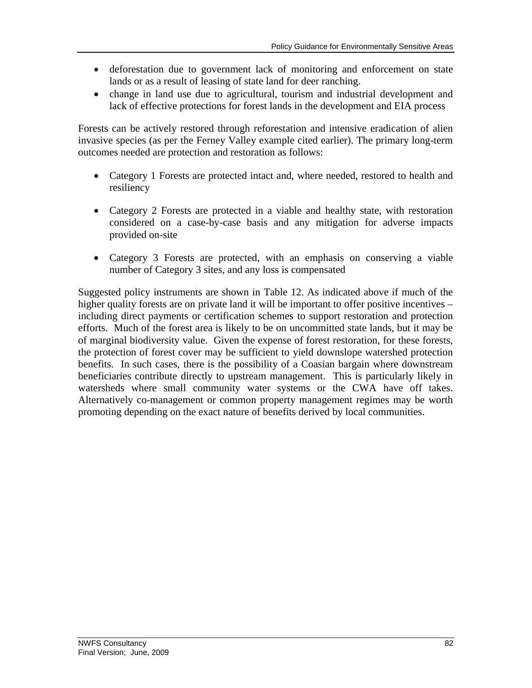- deforestation due to government lack of monitoring and enforcement on state lands or as a result of leasing of state land for deer ranching.
- change in land use due to agricultural, tourism and industrial development and lack of effective protections for forest lands in the development and EIA process

Forests can be actively restored through reforestation and intensive eradication of alien invasive species (as per the Ferney Valley example cited earlier). The primary long-term outcomes needed are protection and restoration as follows:

- Category 1 Forests are protected intact and, where needed, restored to health and resiliency
- Category 2 Forests are protected in a viable and healthy state, with restoration considered on a case-by-case basis and any mitigation for adverse impacts provided on-site
- Category 3 Forests are protected, with an emphasis on conserving a viable number of Category 3 sites, and any loss is compensated

Suggested policy instruments are shown in Table 12. As indicated above if much of the higher quality forests are on private land it will be important to offer positive incentives – including direct payments or certification schemes to support restoration and protection efforts. Much of the forest area is likely to be on uncommitted state lands, but it may be of marginal biodiversity value. Given the expense of forest restoration, for these forests, the protection of forest cover may be sufficient to yield downslope watershed protection benefits. In such cases, there is the possibility of a Coasian bargain where downstream beneficiaries contribute directly to upstream management. This is particularly likely in watersheds where small community water systems or the CWA have off takes. Alternatively co-management or common property management regimes may be worth promoting depending on the exact nature of benefits derived by local communities.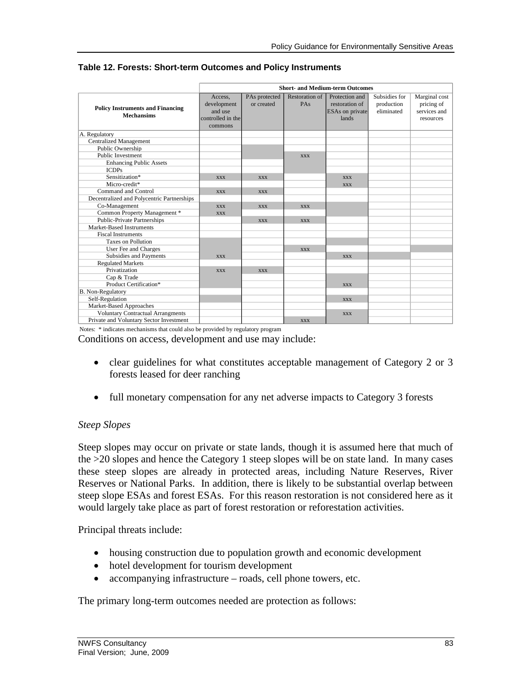|                                                              |                                                                   |                             |                              | <b>Short- and Medium-term Outcomes</b>                              |                                           |                                                          |
|--------------------------------------------------------------|-------------------------------------------------------------------|-----------------------------|------------------------------|---------------------------------------------------------------------|-------------------------------------------|----------------------------------------------------------|
| <b>Policy Instruments and Financing</b><br><b>Mechansims</b> | Access.<br>development<br>and use<br>controlled in the<br>commons | PAs protected<br>or created | <b>Restoration of</b><br>PAs | Protection and<br>restoration of<br><b>ESAs</b> on private<br>lands | Subsidies for<br>production<br>eliminated | Marginal cost<br>pricing of<br>services and<br>resources |
| A. Regulatory                                                |                                                                   |                             |                              |                                                                     |                                           |                                                          |
| <b>Centralized Management</b>                                |                                                                   |                             |                              |                                                                     |                                           |                                                          |
| Public Ownership                                             |                                                                   |                             |                              |                                                                     |                                           |                                                          |
| <b>Public Investment</b>                                     |                                                                   |                             | <b>XXX</b>                   |                                                                     |                                           |                                                          |
| <b>Enhancing Public Assets</b>                               |                                                                   |                             |                              |                                                                     |                                           |                                                          |
| <b>ICDPs</b>                                                 |                                                                   |                             |                              |                                                                     |                                           |                                                          |
| Sensitization*                                               | <b>XXX</b>                                                        | <b>XXX</b>                  |                              | <b>XXX</b>                                                          |                                           |                                                          |
| Micro-credit*                                                |                                                                   |                             |                              | <b>XXX</b>                                                          |                                           |                                                          |
| Command and Control                                          | <b>XXX</b>                                                        | <b>XXX</b>                  |                              |                                                                     |                                           |                                                          |
| Decentralized and Polycentric Partnerships                   |                                                                   |                             |                              |                                                                     |                                           |                                                          |
| Co-Management                                                | <b>XXX</b>                                                        | <b>XXX</b>                  | <b>XXX</b>                   |                                                                     |                                           |                                                          |
| Common Property Management *                                 | <b>XXX</b>                                                        |                             |                              |                                                                     |                                           |                                                          |
| <b>Public-Private Partnerships</b>                           |                                                                   | <b>XXX</b>                  | <b>XXX</b>                   |                                                                     |                                           |                                                          |
| Market-Based Instruments                                     |                                                                   |                             |                              |                                                                     |                                           |                                                          |
| <b>Fiscal Instruments</b>                                    |                                                                   |                             |                              |                                                                     |                                           |                                                          |
| <b>Taxes on Pollution</b>                                    |                                                                   |                             |                              |                                                                     |                                           |                                                          |
| User Fee and Charges                                         |                                                                   |                             | <b>XXX</b>                   |                                                                     |                                           |                                                          |
| Subsidies and Payments                                       | <b>XXX</b>                                                        |                             |                              | <b>XXX</b>                                                          |                                           |                                                          |
| <b>Regulated Markets</b>                                     |                                                                   |                             |                              |                                                                     |                                           |                                                          |
| Privatization                                                | <b>XXX</b>                                                        | <b>XXX</b>                  |                              |                                                                     |                                           |                                                          |
| Cap & Trade                                                  |                                                                   |                             |                              |                                                                     |                                           |                                                          |
| Product Certification*                                       |                                                                   |                             |                              | <b>XXX</b>                                                          |                                           |                                                          |
| B. Non-Regulatory                                            |                                                                   |                             |                              |                                                                     |                                           |                                                          |
| Self-Regulation                                              |                                                                   |                             |                              | <b>XXX</b>                                                          |                                           |                                                          |
| Market-Based Approaches                                      |                                                                   |                             |                              |                                                                     |                                           |                                                          |
| <b>Voluntary Contractual Arrangments</b>                     |                                                                   |                             |                              | <b>XXX</b>                                                          |                                           |                                                          |
| Private and Voluntary Sector Investment                      |                                                                   |                             | <b>XXX</b>                   |                                                                     |                                           |                                                          |

#### **Table 12. Forests: Short-term Outcomes and Policy Instruments**

Notes: \* indicates mechanisms that could also be provided by regulatory program

Conditions on access, development and use may include:

- clear guidelines for what constitutes acceptable management of Category 2 or 3 forests leased for deer ranching
- full monetary compensation for any net adverse impacts to Category 3 forests

### *Steep Slopes*

Steep slopes may occur on private or state lands, though it is assumed here that much of the >20 slopes and hence the Category 1 steep slopes will be on state land. In many cases these steep slopes are already in protected areas, including Nature Reserves, River Reserves or National Parks. In addition, there is likely to be substantial overlap between steep slope ESAs and forest ESAs. For this reason restoration is not considered here as it would largely take place as part of forest restoration or reforestation activities.

Principal threats include:

- housing construction due to population growth and economic development
- hotel development for tourism development
- accompanying infrastructure roads, cell phone towers, etc.

The primary long-term outcomes needed are protection as follows: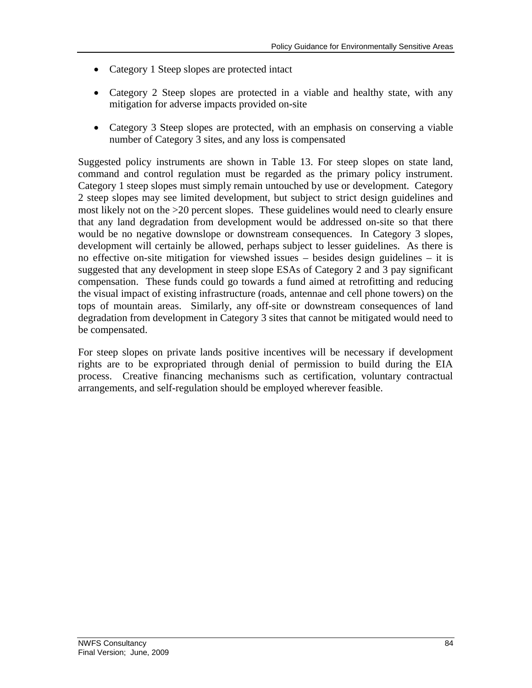- Category 1 Steep slopes are protected intact
- Category 2 Steep slopes are protected in a viable and healthy state, with any mitigation for adverse impacts provided on-site
- Category 3 Steep slopes are protected, with an emphasis on conserving a viable number of Category 3 sites, and any loss is compensated

Suggested policy instruments are shown in Table 13. For steep slopes on state land, command and control regulation must be regarded as the primary policy instrument. Category 1 steep slopes must simply remain untouched by use or development. Category 2 steep slopes may see limited development, but subject to strict design guidelines and most likely not on the >20 percent slopes. These guidelines would need to clearly ensure that any land degradation from development would be addressed on-site so that there would be no negative downslope or downstream consequences. In Category 3 slopes, development will certainly be allowed, perhaps subject to lesser guidelines. As there is no effective on-site mitigation for viewshed issues – besides design guidelines – it is suggested that any development in steep slope ESAs of Category 2 and 3 pay significant compensation. These funds could go towards a fund aimed at retrofitting and reducing the visual impact of existing infrastructure (roads, antennae and cell phone towers) on the tops of mountain areas. Similarly, any off-site or downstream consequences of land degradation from development in Category 3 sites that cannot be mitigated would need to be compensated.

For steep slopes on private lands positive incentives will be necessary if development rights are to be expropriated through denial of permission to build during the EIA process. Creative financing mechanisms such as certification, voluntary contractual arrangements, and self-regulation should be employed wherever feasible.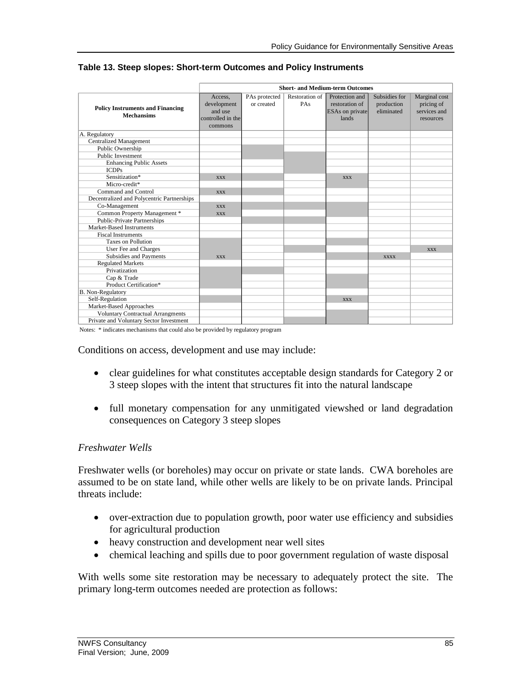|                                                              |                                                                   |                             |                       | <b>Short- and Medium-term Outcomes</b>                              |                                           |                                                          |
|--------------------------------------------------------------|-------------------------------------------------------------------|-----------------------------|-----------------------|---------------------------------------------------------------------|-------------------------------------------|----------------------------------------------------------|
| <b>Policy Instruments and Financing</b><br><b>Mechansims</b> | Access.<br>development<br>and use<br>controlled in the<br>commons | PAs protected<br>or created | Restoration of<br>PAs | Protection and<br>restoration of<br><b>ESAs</b> on private<br>lands | Subsidies for<br>production<br>eliminated | Marginal cost<br>pricing of<br>services and<br>resources |
| A. Regulatory                                                |                                                                   |                             |                       |                                                                     |                                           |                                                          |
| <b>Centralized Management</b>                                |                                                                   |                             |                       |                                                                     |                                           |                                                          |
| Public Ownership                                             |                                                                   |                             |                       |                                                                     |                                           |                                                          |
| <b>Public Investment</b>                                     |                                                                   |                             |                       |                                                                     |                                           |                                                          |
| <b>Enhancing Public Assets</b>                               |                                                                   |                             |                       |                                                                     |                                           |                                                          |
| <b>ICDPs</b>                                                 |                                                                   |                             |                       |                                                                     |                                           |                                                          |
| Sensitization*                                               | <b>XXX</b>                                                        |                             |                       | <b>XXX</b>                                                          |                                           |                                                          |
| Micro-credit*                                                |                                                                   |                             |                       |                                                                     |                                           |                                                          |
| Command and Control                                          | <b>XXX</b>                                                        |                             |                       |                                                                     |                                           |                                                          |
| Decentralized and Polycentric Partnerships                   |                                                                   |                             |                       |                                                                     |                                           |                                                          |
| Co-Management                                                | <b>XXX</b>                                                        |                             |                       |                                                                     |                                           |                                                          |
| Common Property Management *                                 | <b>XXX</b>                                                        |                             |                       |                                                                     |                                           |                                                          |
| <b>Public-Private Partnerships</b>                           |                                                                   |                             |                       |                                                                     |                                           |                                                          |
| Market-Based Instruments                                     |                                                                   |                             |                       |                                                                     |                                           |                                                          |
| <b>Fiscal Instruments</b>                                    |                                                                   |                             |                       |                                                                     |                                           |                                                          |
| <b>Taxes on Pollution</b>                                    |                                                                   |                             |                       |                                                                     |                                           |                                                          |
| User Fee and Charges                                         |                                                                   |                             |                       |                                                                     |                                           | <b>XXX</b>                                               |
| Subsidies and Payments                                       | <b>XXX</b>                                                        |                             |                       |                                                                     | <b>XXXX</b>                               |                                                          |
| <b>Regulated Markets</b>                                     |                                                                   |                             |                       |                                                                     |                                           |                                                          |
| Privatization                                                |                                                                   |                             |                       |                                                                     |                                           |                                                          |
| Cap & Trade                                                  |                                                                   |                             |                       |                                                                     |                                           |                                                          |
| Product Certification*                                       |                                                                   |                             |                       |                                                                     |                                           |                                                          |
| <b>B.</b> Non-Regulatory                                     |                                                                   |                             |                       |                                                                     |                                           |                                                          |
| Self-Regulation                                              |                                                                   |                             |                       | <b>XXX</b>                                                          |                                           |                                                          |
| Market-Based Approaches                                      |                                                                   |                             |                       |                                                                     |                                           |                                                          |
| <b>Voluntary Contractual Arrangments</b>                     |                                                                   |                             |                       |                                                                     |                                           |                                                          |
| Private and Voluntary Sector Investment                      |                                                                   |                             |                       |                                                                     |                                           |                                                          |

#### **Table 13. Steep slopes: Short-term Outcomes and Policy Instruments**

Notes: \* indicates mechanisms that could also be provided by regulatory program

Conditions on access, development and use may include:

- clear guidelines for what constitutes acceptable design standards for Category 2 or 3 steep slopes with the intent that structures fit into the natural landscape
- full monetary compensation for any unmitigated viewshed or land degradation consequences on Category 3 steep slopes

### *Freshwater Wells*

Freshwater wells (or boreholes) may occur on private or state lands. CWA boreholes are assumed to be on state land, while other wells are likely to be on private lands. Principal threats include:

- over-extraction due to population growth, poor water use efficiency and subsidies for agricultural production
- heavy construction and development near well sites
- chemical leaching and spills due to poor government regulation of waste disposal

With wells some site restoration may be necessary to adequately protect the site. The primary long-term outcomes needed are protection as follows: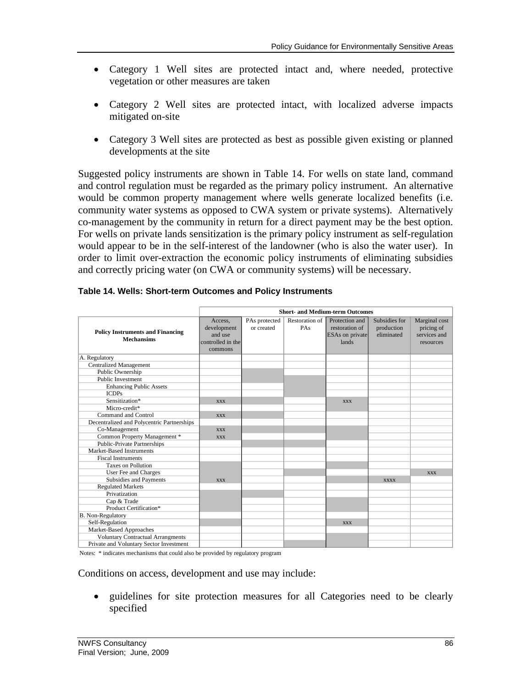- Category 1 Well sites are protected intact and, where needed, protective vegetation or other measures are taken
- Category 2 Well sites are protected intact, with localized adverse impacts mitigated on-site
- Category 3 Well sites are protected as best as possible given existing or planned developments at the site

Suggested policy instruments are shown in Table 14. For wells on state land, command and control regulation must be regarded as the primary policy instrument. An alternative would be common property management where wells generate localized benefits (i.e. community water systems as opposed to CWA system or private systems). Alternatively co-management by the community in return for a direct payment may be the best option. For wells on private lands sensitization is the primary policy instrument as self-regulation would appear to be in the self-interest of the landowner (who is also the water user). In order to limit over-extraction the economic policy instruments of eliminating subsidies and correctly pricing water (on CWA or community systems) will be necessary.

|                                                              |                                                                   |                             |                       | <b>Short- and Medium-term Outcomes</b>                              |                                           |                                                          |
|--------------------------------------------------------------|-------------------------------------------------------------------|-----------------------------|-----------------------|---------------------------------------------------------------------|-------------------------------------------|----------------------------------------------------------|
| <b>Policy Instruments and Financing</b><br><b>Mechansims</b> | Access.<br>development<br>and use<br>controlled in the<br>commons | PAs protected<br>or created | Restoration of<br>PAs | Protection and<br>restoration of<br><b>ESAs</b> on private<br>lands | Subsidies for<br>production<br>eliminated | Marginal cost<br>pricing of<br>services and<br>resources |
| A. Regulatory                                                |                                                                   |                             |                       |                                                                     |                                           |                                                          |
| <b>Centralized Management</b>                                |                                                                   |                             |                       |                                                                     |                                           |                                                          |
| Public Ownership                                             |                                                                   |                             |                       |                                                                     |                                           |                                                          |
| <b>Public Investment</b>                                     |                                                                   |                             |                       |                                                                     |                                           |                                                          |
| <b>Enhancing Public Assets</b>                               |                                                                   |                             |                       |                                                                     |                                           |                                                          |
| <b>ICDPs</b>                                                 |                                                                   |                             |                       |                                                                     |                                           |                                                          |
| Sensitization*                                               | <b>XXX</b>                                                        |                             |                       | <b>XXX</b>                                                          |                                           |                                                          |
| Micro-credit*                                                |                                                                   |                             |                       |                                                                     |                                           |                                                          |
| Command and Control                                          | <b>XXX</b>                                                        |                             |                       |                                                                     |                                           |                                                          |
| Decentralized and Polycentric Partnerships                   |                                                                   |                             |                       |                                                                     |                                           |                                                          |
| Co-Management                                                | <b>XXX</b>                                                        |                             |                       |                                                                     |                                           |                                                          |
| Common Property Management *                                 | <b>XXX</b>                                                        |                             |                       |                                                                     |                                           |                                                          |
| <b>Public-Private Partnerships</b>                           |                                                                   |                             |                       |                                                                     |                                           |                                                          |
| Market-Based Instruments                                     |                                                                   |                             |                       |                                                                     |                                           |                                                          |
| <b>Fiscal Instruments</b>                                    |                                                                   |                             |                       |                                                                     |                                           |                                                          |
| <b>Taxes on Pollution</b>                                    |                                                                   |                             |                       |                                                                     |                                           |                                                          |
| User Fee and Charges                                         |                                                                   |                             |                       |                                                                     |                                           | <b>XXX</b>                                               |
| Subsidies and Payments                                       | <b>XXX</b>                                                        |                             |                       |                                                                     | <b>XXXX</b>                               |                                                          |
| <b>Regulated Markets</b>                                     |                                                                   |                             |                       |                                                                     |                                           |                                                          |
| Privatization                                                |                                                                   |                             |                       |                                                                     |                                           |                                                          |
| Cap & Trade                                                  |                                                                   |                             |                       |                                                                     |                                           |                                                          |
| Product Certification*                                       |                                                                   |                             |                       |                                                                     |                                           |                                                          |
| B. Non-Regulatory                                            |                                                                   |                             |                       |                                                                     |                                           |                                                          |
| Self-Regulation                                              |                                                                   |                             |                       | <b>XXX</b>                                                          |                                           |                                                          |
| Market-Based Approaches                                      |                                                                   |                             |                       |                                                                     |                                           |                                                          |
| <b>Voluntary Contractual Arrangments</b>                     |                                                                   |                             |                       |                                                                     |                                           |                                                          |
| Private and Voluntary Sector Investment                      |                                                                   |                             |                       |                                                                     |                                           |                                                          |

| Table 14. Wells: Short-term Outcomes and Policy Instruments |  |  |
|-------------------------------------------------------------|--|--|
|-------------------------------------------------------------|--|--|

Notes: \* indicates mechanisms that could also be provided by regulatory program

Conditions on access, development and use may include:

 guidelines for site protection measures for all Categories need to be clearly specified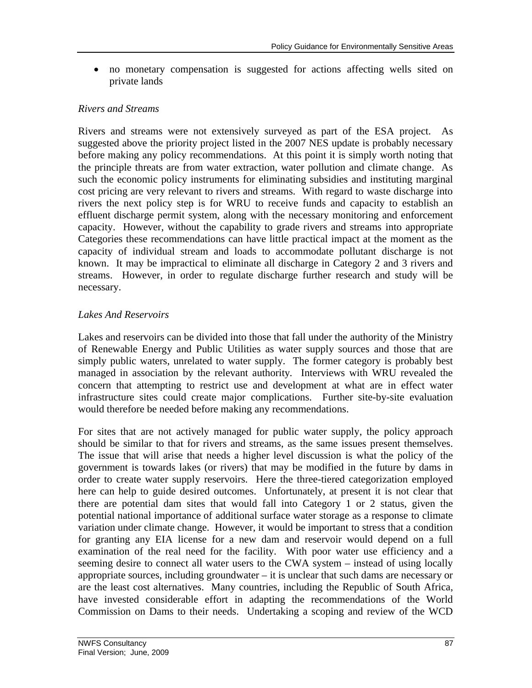no monetary compensation is suggested for actions affecting wells sited on private lands

### *Rivers and Streams*

Rivers and streams were not extensively surveyed as part of the ESA project. As suggested above the priority project listed in the 2007 NES update is probably necessary before making any policy recommendations. At this point it is simply worth noting that the principle threats are from water extraction, water pollution and climate change. As such the economic policy instruments for eliminating subsidies and instituting marginal cost pricing are very relevant to rivers and streams. With regard to waste discharge into rivers the next policy step is for WRU to receive funds and capacity to establish an effluent discharge permit system, along with the necessary monitoring and enforcement capacity. However, without the capability to grade rivers and streams into appropriate Categories these recommendations can have little practical impact at the moment as the capacity of individual stream and loads to accommodate pollutant discharge is not known. It may be impractical to eliminate all discharge in Category 2 and 3 rivers and streams. However, in order to regulate discharge further research and study will be necessary.

## *Lakes And Reservoirs*

Lakes and reservoirs can be divided into those that fall under the authority of the Ministry of Renewable Energy and Public Utilities as water supply sources and those that are simply public waters, unrelated to water supply. The former category is probably best managed in association by the relevant authority. Interviews with WRU revealed the concern that attempting to restrict use and development at what are in effect water infrastructure sites could create major complications. Further site-by-site evaluation would therefore be needed before making any recommendations.

For sites that are not actively managed for public water supply, the policy approach should be similar to that for rivers and streams, as the same issues present themselves. The issue that will arise that needs a higher level discussion is what the policy of the government is towards lakes (or rivers) that may be modified in the future by dams in order to create water supply reservoirs. Here the three-tiered categorization employed here can help to guide desired outcomes. Unfortunately, at present it is not clear that there are potential dam sites that would fall into Category 1 or 2 status, given the potential national importance of additional surface water storage as a response to climate variation under climate change. However, it would be important to stress that a condition for granting any EIA license for a new dam and reservoir would depend on a full examination of the real need for the facility. With poor water use efficiency and a seeming desire to connect all water users to the CWA system – instead of using locally appropriate sources, including groundwater – it is unclear that such dams are necessary or are the least cost alternatives. Many countries, including the Republic of South Africa, have invested considerable effort in adapting the recommendations of the World Commission on Dams to their needs. Undertaking a scoping and review of the WCD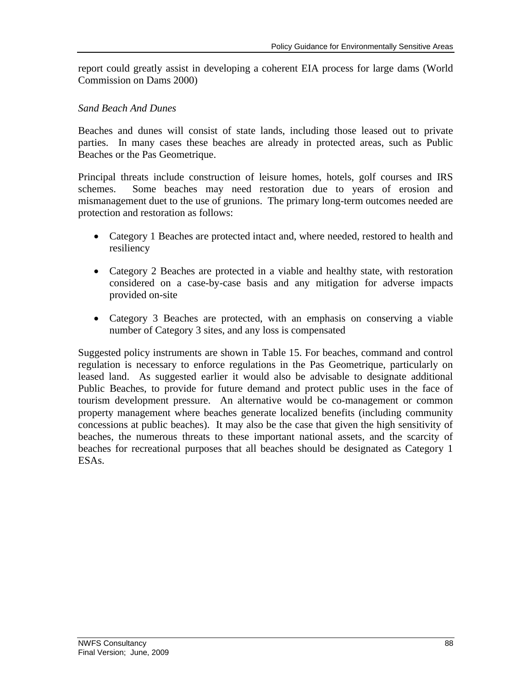report could greatly assist in developing a coherent EIA process for large dams (World Commission on Dams 2000)

### *Sand Beach And Dunes*

Beaches and dunes will consist of state lands, including those leased out to private parties. In many cases these beaches are already in protected areas, such as Public Beaches or the Pas Geometrique.

Principal threats include construction of leisure homes, hotels, golf courses and IRS schemes. Some beaches may need restoration due to years of erosion and mismanagement duet to the use of grunions. The primary long-term outcomes needed are protection and restoration as follows:

- Category 1 Beaches are protected intact and, where needed, restored to health and resiliency
- Category 2 Beaches are protected in a viable and healthy state, with restoration considered on a case-by-case basis and any mitigation for adverse impacts provided on-site
- Category 3 Beaches are protected, with an emphasis on conserving a viable number of Category 3 sites, and any loss is compensated

Suggested policy instruments are shown in Table 15. For beaches, command and control regulation is necessary to enforce regulations in the Pas Geometrique, particularly on leased land. As suggested earlier it would also be advisable to designate additional Public Beaches, to provide for future demand and protect public uses in the face of tourism development pressure. An alternative would be co-management or common property management where beaches generate localized benefits (including community concessions at public beaches). It may also be the case that given the high sensitivity of beaches, the numerous threats to these important national assets, and the scarcity of beaches for recreational purposes that all beaches should be designated as Category 1 ESAs.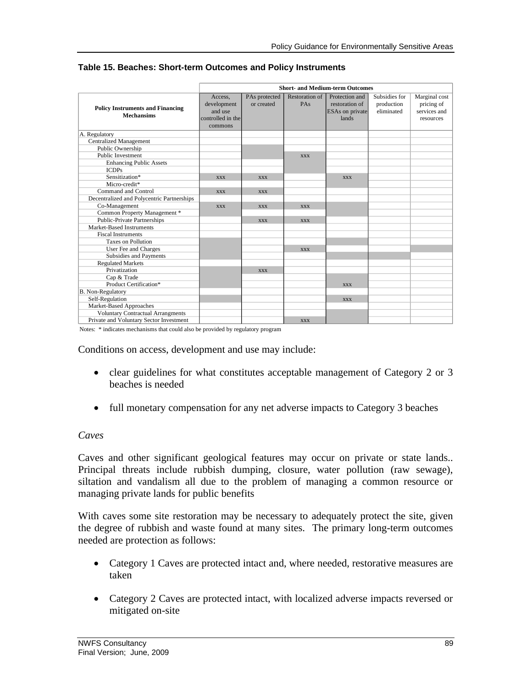|                                                              |                                                                   |                             |                              | <b>Short- and Medium-term Outcomes</b>                              |                                           |                                                          |
|--------------------------------------------------------------|-------------------------------------------------------------------|-----------------------------|------------------------------|---------------------------------------------------------------------|-------------------------------------------|----------------------------------------------------------|
| <b>Policy Instruments and Financing</b><br><b>Mechansims</b> | Access,<br>development<br>and use<br>controlled in the<br>commons | PAs protected<br>or created | <b>Restoration of</b><br>PAs | Protection and<br>restoration of<br><b>ESAs</b> on private<br>lands | Subsidies for<br>production<br>eliminated | Marginal cost<br>pricing of<br>services and<br>resources |
| A. Regulatory                                                |                                                                   |                             |                              |                                                                     |                                           |                                                          |
| <b>Centralized Management</b>                                |                                                                   |                             |                              |                                                                     |                                           |                                                          |
| Public Ownership                                             |                                                                   |                             |                              |                                                                     |                                           |                                                          |
| <b>Public Investment</b>                                     |                                                                   |                             | <b>XXX</b>                   |                                                                     |                                           |                                                          |
| <b>Enhancing Public Assets</b>                               |                                                                   |                             |                              |                                                                     |                                           |                                                          |
| <b>ICDPs</b>                                                 |                                                                   |                             |                              |                                                                     |                                           |                                                          |
| Sensitization*                                               | <b>XXX</b>                                                        | <b>XXX</b>                  |                              | <b>XXX</b>                                                          |                                           |                                                          |
| Micro-credit*                                                |                                                                   |                             |                              |                                                                     |                                           |                                                          |
| Command and Control                                          | <b>XXX</b>                                                        | <b>XXX</b>                  |                              |                                                                     |                                           |                                                          |
| Decentralized and Polycentric Partnerships                   |                                                                   |                             |                              |                                                                     |                                           |                                                          |
| Co-Management                                                | <b>XXX</b>                                                        | <b>XXX</b>                  | <b>XXX</b>                   |                                                                     |                                           |                                                          |
| Common Property Management *                                 |                                                                   |                             |                              |                                                                     |                                           |                                                          |
| Public-Private Partnerships                                  |                                                                   | <b>XXX</b>                  | <b>XXX</b>                   |                                                                     |                                           |                                                          |
| Market-Based Instruments                                     |                                                                   |                             |                              |                                                                     |                                           |                                                          |
| <b>Fiscal Instruments</b>                                    |                                                                   |                             |                              |                                                                     |                                           |                                                          |
| <b>Taxes on Pollution</b>                                    |                                                                   |                             |                              |                                                                     |                                           |                                                          |
| User Fee and Charges                                         |                                                                   |                             | <b>XXX</b>                   |                                                                     |                                           |                                                          |
| Subsidies and Payments                                       |                                                                   |                             |                              |                                                                     |                                           |                                                          |
| <b>Regulated Markets</b>                                     |                                                                   |                             |                              |                                                                     |                                           |                                                          |
| Privatization                                                |                                                                   | <b>XXX</b>                  |                              |                                                                     |                                           |                                                          |
| Cap & Trade                                                  |                                                                   |                             |                              |                                                                     |                                           |                                                          |
| Product Certification*                                       |                                                                   |                             |                              | <b>XXX</b>                                                          |                                           |                                                          |
| B. Non-Regulatory                                            |                                                                   |                             |                              |                                                                     |                                           |                                                          |
| Self-Regulation                                              |                                                                   |                             |                              | <b>XXX</b>                                                          |                                           |                                                          |
| Market-Based Approaches                                      |                                                                   |                             |                              |                                                                     |                                           |                                                          |
| <b>Voluntary Contractual Arrangments</b>                     |                                                                   |                             |                              |                                                                     |                                           |                                                          |
| Private and Voluntary Sector Investment                      |                                                                   |                             | <b>XXX</b>                   |                                                                     |                                           |                                                          |

#### **Table 15. Beaches: Short-term Outcomes and Policy Instruments**

Notes: \* indicates mechanisms that could also be provided by regulatory program

Conditions on access, development and use may include:

- clear guidelines for what constitutes acceptable management of Category 2 or 3 beaches is needed
- full monetary compensation for any net adverse impacts to Category 3 beaches

### *Caves*

Caves and other significant geological features may occur on private or state lands.. Principal threats include rubbish dumping, closure, water pollution (raw sewage), siltation and vandalism all due to the problem of managing a common resource or managing private lands for public benefits

With caves some site restoration may be necessary to adequately protect the site, given the degree of rubbish and waste found at many sites. The primary long-term outcomes needed are protection as follows:

- Category 1 Caves are protected intact and, where needed, restorative measures are taken
- Category 2 Caves are protected intact, with localized adverse impacts reversed or mitigated on-site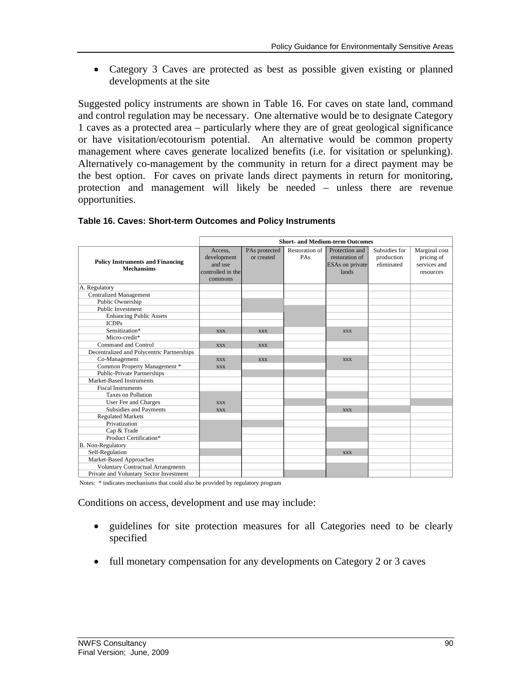Category 3 Caves are protected as best as possible given existing or planned developments at the site

Suggested policy instruments are shown in Table 16. For caves on state land, command and control regulation may be necessary. One alternative would be to designate Category 1 caves as a protected area – particularly where they are of great geological significance or have visitation/ecotourism potential. An alternative would be common property management where caves generate localized benefits (i.e. for visitation or spelunking). Alternatively co-management by the community in return for a direct payment may be the best option. For caves on private lands direct payments in return for monitoring, protection and management will likely be needed – unless there are revenue opportunities.

|                                                              | <b>Short- and Medium-term Outcomes</b> |               |                |                 |               |               |
|--------------------------------------------------------------|----------------------------------------|---------------|----------------|-----------------|---------------|---------------|
| <b>Policy Instruments and Financing</b><br><b>Mechansims</b> | Access.                                | PAs protected | Restoration of | Protection and  | Subsidies for | Marginal cost |
|                                                              | development                            | or created    | PAs            | restoration of  | production    | pricing of    |
|                                                              | and use                                |               |                | ESAs on private | eliminated    | services and  |
|                                                              | controlled in the                      |               |                | lands           |               | resources     |
|                                                              | commons                                |               |                |                 |               |               |
| A. Regulatory                                                |                                        |               |                |                 |               |               |
| <b>Centralized Management</b>                                |                                        |               |                |                 |               |               |
| Public Ownership                                             |                                        |               |                |                 |               |               |
| <b>Public Investment</b>                                     |                                        |               |                |                 |               |               |
| <b>Enhancing Public Assets</b>                               |                                        |               |                |                 |               |               |
| <b>ICDPs</b>                                                 |                                        |               |                |                 |               |               |
| Sensitization*                                               | <b>XXX</b>                             | <b>XXX</b>    |                | <b>XXX</b>      |               |               |
| Micro-credit*                                                |                                        |               |                |                 |               |               |
| Command and Control                                          | <b>XXX</b>                             | <b>XXX</b>    |                |                 |               |               |
| Decentralized and Polycentric Partnerships                   |                                        |               |                |                 |               |               |
| Co-Management                                                | <b>XXX</b>                             | <b>XXX</b>    |                | <b>XXX</b>      |               |               |
| Common Property Management *                                 | <b>XXX</b>                             |               |                |                 |               |               |
| <b>Public-Private Partnerships</b>                           |                                        |               |                |                 |               |               |
| Market-Based Instruments                                     |                                        |               |                |                 |               |               |
| <b>Fiscal Instruments</b>                                    |                                        |               |                |                 |               |               |
| <b>Taxes on Pollution</b>                                    |                                        |               |                |                 |               |               |
| User Fee and Charges                                         | <b>XXX</b>                             |               |                |                 |               |               |
| Subsidies and Payments                                       | <b>XXX</b>                             |               |                | <b>XXX</b>      |               |               |
| <b>Regulated Markets</b>                                     |                                        |               |                |                 |               |               |
| Privatization                                                |                                        |               |                |                 |               |               |
| Cap & Trade                                                  |                                        |               |                |                 |               |               |
| Product Certification*                                       |                                        |               |                |                 |               |               |
| B. Non-Regulatory                                            |                                        |               |                |                 |               |               |
| Self-Regulation                                              |                                        |               |                | <b>XXX</b>      |               |               |
| Market-Based Approaches                                      |                                        |               |                |                 |               |               |
| <b>Voluntary Contractual Arrangments</b>                     |                                        |               |                |                 |               |               |
| Private and Voluntary Sector Investment                      |                                        |               |                |                 |               |               |

#### **Table 16. Caves: Short-term Outcomes and Policy Instruments**

Notes: \* indicates mechanisms that could also be provided by regulatory program

Conditions on access, development and use may include:

- guidelines for site protection measures for all Categories need to be clearly specified
- full monetary compensation for any developments on Category 2 or 3 caves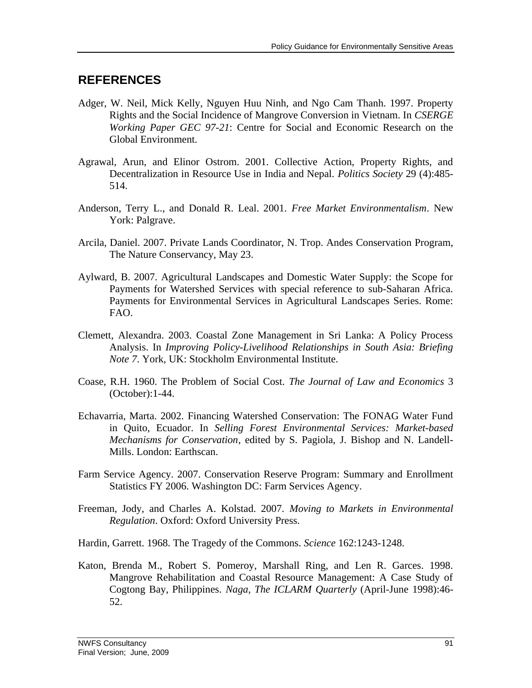## **REFERENCES**

- Adger, W. Neil, Mick Kelly, Nguyen Huu Ninh, and Ngo Cam Thanh. 1997. Property Rights and the Social Incidence of Mangrove Conversion in Vietnam. In *CSERGE Working Paper GEC 97-21*: Centre for Social and Economic Research on the Global Environment.
- Agrawal, Arun, and Elinor Ostrom. 2001. Collective Action, Property Rights, and Decentralization in Resource Use in India and Nepal. *Politics Society* 29 (4):485- 514.
- Anderson, Terry L., and Donald R. Leal. 2001. *Free Market Environmentalism*. New York: Palgrave.
- Arcila, Daniel. 2007. Private Lands Coordinator, N. Trop. Andes Conservation Program, The Nature Conservancy, May 23.
- Aylward, B. 2007. Agricultural Landscapes and Domestic Water Supply: the Scope for Payments for Watershed Services with special reference to sub-Saharan Africa. Payments for Environmental Services in Agricultural Landscapes Series. Rome: FAO.
- Clemett, Alexandra. 2003. Coastal Zone Management in Sri Lanka: A Policy Process Analysis. In *Improving Policy-Livelihood Relationships in South Asia: Briefing Note 7*. York, UK: Stockholm Environmental Institute.
- Coase, R.H. 1960. The Problem of Social Cost. *The Journal of Law and Economics* 3 (October):1-44.
- Echavarria, Marta. 2002. Financing Watershed Conservation: The FONAG Water Fund in Quito, Ecuador. In *Selling Forest Environmental Services: Market-based Mechanisms for Conservation*, edited by S. Pagiola, J. Bishop and N. Landell-Mills. London: Earthscan.
- Farm Service Agency. 2007. Conservation Reserve Program: Summary and Enrollment Statistics FY 2006. Washington DC: Farm Services Agency.
- Freeman, Jody, and Charles A. Kolstad. 2007. *Moving to Markets in Environmental Regulation*. Oxford: Oxford University Press.
- Hardin, Garrett. 1968. The Tragedy of the Commons. *Science* 162:1243-1248.
- Katon, Brenda M., Robert S. Pomeroy, Marshall Ring, and Len R. Garces. 1998. Mangrove Rehabilitation and Coastal Resource Management: A Case Study of Cogtong Bay, Philippines. *Naga, The ICLARM Quarterly* (April-June 1998):46- 52.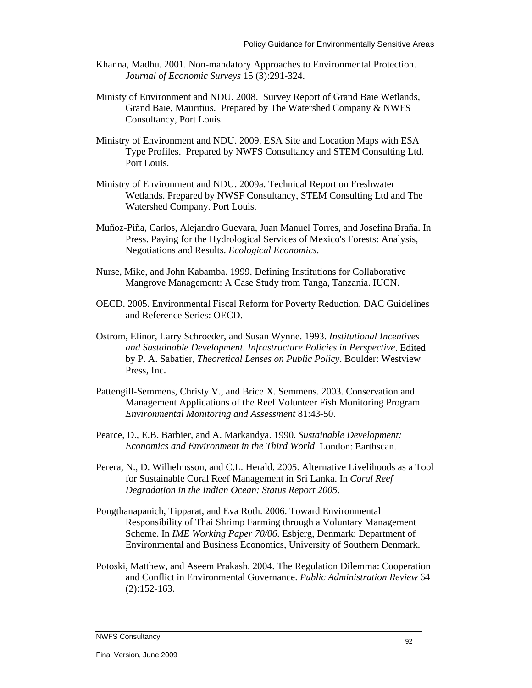- Khanna, Madhu. 2001. Non-mandatory Approaches to Environmental Protection. *Journal of Economic Surveys* 15 (3):291-324.
- Ministy of Environment and NDU. 2008. Survey Report of Grand Baie Wetlands, Grand Baie, Mauritius. Prepared by The Watershed Company & NWFS Consultancy, Port Louis.
- Ministry of Environment and NDU. 2009. ESA Site and Location Maps with ESA Type Profiles. Prepared by NWFS Consultancy and STEM Consulting Ltd. Port Louis.
- Ministry of Environment and NDU. 2009a. Technical Report on Freshwater Wetlands. Prepared by NWSF Consultancy, STEM Consulting Ltd and The Watershed Company. Port Louis.
- Muñoz-Piña, Carlos, Alejandro Guevara, Juan Manuel Torres, and Josefina Braña. In Press. Paying for the Hydrological Services of Mexico's Forests: Analysis, Negotiations and Results. *Ecological Economics*.
- Nurse, Mike, and John Kabamba. 1999. Defining Institutions for Collaborative Mangrove Management: A Case Study from Tanga, Tanzania. IUCN.
- OECD. 2005. Environmental Fiscal Reform for Poverty Reduction. DAC Guidelines and Reference Series: OECD.
- Ostrom, Elinor, Larry Schroeder, and Susan Wynne. 1993. *Institutional Incentives and Sustainable Development. Infrastructure Policies in Perspective*. Edited by P. A. Sabatier, *Theoretical Lenses on Public Policy*. Boulder: Westview Press, Inc.
- Pattengill-Semmens, Christy V., and Brice X. Semmens. 2003. Conservation and Management Applications of the Reef Volunteer Fish Monitoring Program. *Environmental Monitoring and Assessment* 81:43-50.
- Pearce, D., E.B. Barbier, and A. Markandya. 1990. *Sustainable Development: Economics and Environment in the Third World*. London: Earthscan.
- Perera, N., D. Wilhelmsson, and C.L. Herald. 2005. Alternative Livelihoods as a Tool for Sustainable Coral Reef Management in Sri Lanka. In *Coral Reef Degradation in the Indian Ocean: Status Report 2005*.
- Pongthanapanich, Tipparat, and Eva Roth. 2006. Toward Environmental Responsibility of Thai Shrimp Farming through a Voluntary Management Scheme. In *IME Working Paper 70/06*. Esbjerg, Denmark: Department of Environmental and Business Economics, University of Southern Denmark.
- Potoski, Matthew, and Aseem Prakash. 2004. The Regulation Dilemma: Cooperation and Conflict in Environmental Governance. *Public Administration Review* 64 (2):152-163.